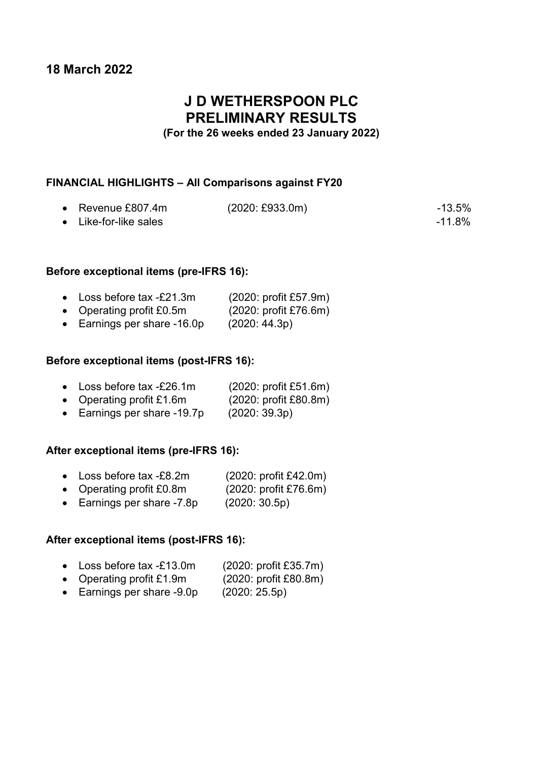## 18 March 2022

## J D WETHERSPOON PLC PRELIMINARY RESULTS

### (For the 26 weeks ended 23 January 2022)

### FINANCIAL HIGHLIGHTS – All Comparisons against FY20

| • Revenue $£807.4m$           | $(2020: \text{\pounds}933.0m)$ | -13.5% |
|-------------------------------|--------------------------------|--------|
| $\bullet$ Like-for-like sales |                                | -11.8% |

### Before exceptional items (pre-IFRS 16):

| Loss before tax -£21.3m                               | (2020: profit £57.9m)      |
|-------------------------------------------------------|----------------------------|
| Operating profit £0.5m                                | (2020: profit £76.6m)      |
| $\mathsf{F}$ is the set of $\mathsf{A}\cap\mathsf{A}$ | $\sqrt{2000}$ $\sqrt{400}$ |

Earnings per share  $-16.0p$  (2020: 44.3p)

### Before exceptional items (post-IFRS 16):

|  | Loss before tax -£26.1m | (2020: profit £51.6m) |
|--|-------------------------|-----------------------|
|--|-------------------------|-----------------------|

- Operating profit £1.6m (2020: profit £80.8m)
- Earnings per share -19.7p (2020: 39.3p)

### After exceptional items (pre-IFRS 16):

- Loss before tax -£8.2m (2020: profit £42.0m)
- Operating profit £0.8m (2020: profit £76.6m)
- Earnings per share -7.8p (2020: 30.5p)

### After exceptional items (post-IFRS 16):

- Loss before tax -£13.0m (2020: profit £35.7m)
- Operating profit £1.9m (2020: profit £80.8m)
- Earnings per share -9.0p (2020: 25.5p)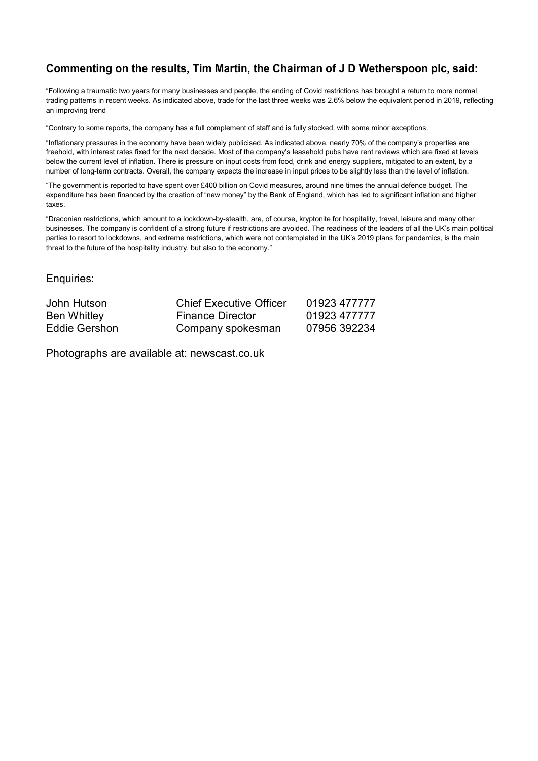### Commenting on the results, Tim Martin, the Chairman of J D Wetherspoon plc, said:

"Following a traumatic two years for many businesses and people, the ending of Covid restrictions has brought a return to more normal trading patterns in recent weeks. As indicated above, trade for the last three weeks was 2.6% below the equivalent period in 2019, reflecting an improving trend

"Contrary to some reports, the company has a full complement of staff and is fully stocked, with some minor exceptions.

"Inflationary pressures in the economy have been widely publicised. As indicated above, nearly 70% of the company's properties are freehold, with interest rates fixed for the next decade. Most of the company's leasehold pubs have rent reviews which are fixed at levels below the current level of inflation. There is pressure on input costs from food, drink and energy suppliers, mitigated to an extent, by a number of long-term contracts. Overall, the company expects the increase in input prices to be slightly less than the level of inflation.

"The government is reported to have spent over £400 billion on Covid measures, around nine times the annual defence budget. The expenditure has been financed by the creation of "new money" by the Bank of England, which has led to significant inflation and higher taxes.

"Draconian restrictions, which amount to a lockdown-by-stealth, are, of course, kryptonite for hospitality, travel, leisure and many other businesses. The company is confident of a strong future if restrictions are avoided. The readiness of the leaders of all the UK's main political parties to resort to lockdowns, and extreme restrictions, which were not contemplated in the UK's 2019 plans for pandemics, is the main threat to the future of the hospitality industry, but also to the economy."

Enquiries:

| John Hutson   | <b>Chief Executive Officer</b> | 01923 477777 |
|---------------|--------------------------------|--------------|
| Ben Whitley   | <b>Finance Director</b>        | 01923 477777 |
| Eddie Gershon | Company spokesman              | 07956 392234 |

Photographs are available at: newscast.co.uk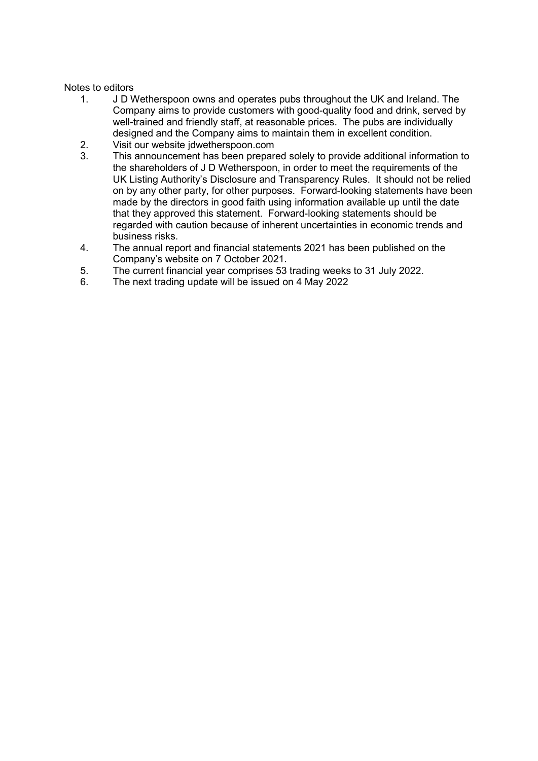### Notes to editors

- 1. J D Wetherspoon owns and operates pubs throughout the UK and Ireland. The Company aims to provide customers with good-quality food and drink, served by well-trained and friendly staff, at reasonable prices. The pubs are individually designed and the Company aims to maintain them in excellent condition.
- 2. Visit our website jdwetherspoon.com
- 3. This announcement has been prepared solely to provide additional information to the shareholders of J D Wetherspoon, in order to meet the requirements of the UK Listing Authority's Disclosure and Transparency Rules. It should not be relied on by any other party, for other purposes. Forward-looking statements have been made by the directors in good faith using information available up until the date that they approved this statement. Forward-looking statements should be regarded with caution because of inherent uncertainties in economic trends and business risks.
- 4. The annual report and financial statements 2021 has been published on the Company's website on 7 October 2021.
- 5. The current financial year comprises 53 trading weeks to 31 July 2022.
- 6. The next trading update will be issued on 4 May 2022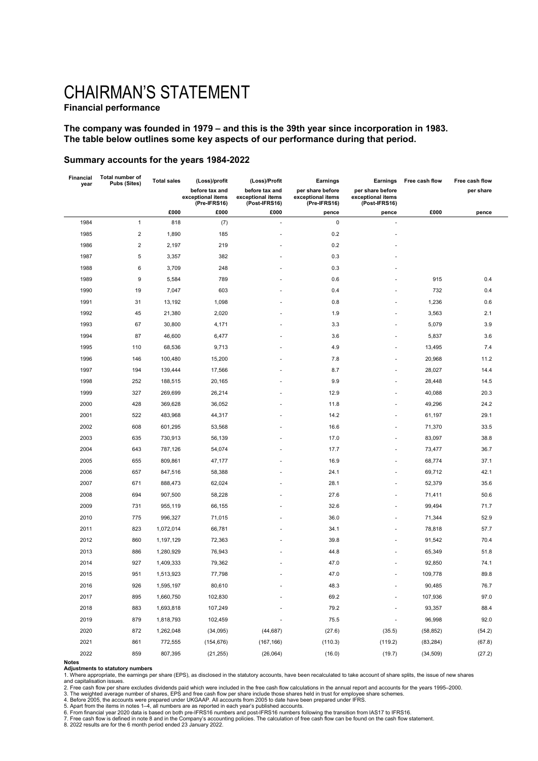# CHAIRMAN'S STATEMENT

### Financial performance

#### The company was founded in 1979 – and this is the 39th year since incorporation in 1983. The table below outlines some key aspects of our performance during that period.

#### Summary accounts for the years 1984-2022

|      | Total number of<br><b>Pubs (Sites)</b> | <b>Total sales</b> | (Loss)/profit                                       | (Loss)/Profit<br>Earnings                            |                                                       | Earnings                                               | Free cash flow | Free cash flow |  |
|------|----------------------------------------|--------------------|-----------------------------------------------------|------------------------------------------------------|-------------------------------------------------------|--------------------------------------------------------|----------------|----------------|--|
| year |                                        |                    | before tax and<br>exceptional items<br>(Pre-IFRS16) | before tax and<br>exceptional items<br>(Post-IFRS16) | per share before<br>exceptional items<br>(Pre-IFRS16) | per share before<br>exceptional items<br>(Post-IFRS16) |                | per share      |  |
|      |                                        | £000               | £000                                                | £000                                                 | pence                                                 | pence                                                  | £000           | pence          |  |
| 1984 | $\mathbf{1}$                           | 818                | (7)                                                 | ÷,                                                   | $\pmb{0}$                                             | ä,                                                     |                |                |  |
| 1985 | $\sqrt{2}$                             | 1,890              | 185                                                 | ÷,                                                   | 0.2                                                   | ä,                                                     |                |                |  |
| 1986 | $\sqrt{2}$                             | 2,197              | 219                                                 |                                                      | 0.2                                                   |                                                        |                |                |  |
| 1987 | $\,$ 5 $\,$                            | 3,357              | 382                                                 |                                                      | 0.3                                                   |                                                        |                |                |  |
| 1988 | 6                                      | 3,709              | 248                                                 |                                                      | 0.3                                                   |                                                        |                |                |  |
| 1989 | 9                                      | 5,584              | 789                                                 |                                                      | 0.6                                                   |                                                        | 915            | 0.4            |  |
| 1990 | 19                                     | 7,047              | 603                                                 |                                                      | 0.4                                                   |                                                        | 732            | 0.4            |  |
| 1991 | 31                                     | 13,192             | 1,098                                               |                                                      | 0.8                                                   |                                                        | 1,236          | 0.6            |  |
| 1992 | 45                                     | 21,380             | 2,020                                               |                                                      | 1.9                                                   |                                                        | 3,563          | 2.1            |  |
| 1993 | 67                                     | 30,800             | 4,171                                               |                                                      | 3.3                                                   |                                                        | 5,079          | 3.9            |  |
| 1994 | 87                                     | 46,600             | 6,477                                               |                                                      | 3.6                                                   |                                                        | 5,837          | 3.6            |  |
| 1995 | 110                                    | 68,536             | 9,713                                               |                                                      | 4.9                                                   | ä,                                                     | 13,495         | 7.4            |  |
| 1996 | 146                                    | 100,480            | 15,200                                              |                                                      | 7.8                                                   |                                                        | 20,968         | 11.2           |  |
| 1997 | 194                                    | 139,444            | 17,566                                              |                                                      | 8.7                                                   | ä,                                                     | 28,027         | 14.4           |  |
| 1998 | 252                                    | 188,515            | 20,165                                              |                                                      | 9.9                                                   | ä,                                                     | 28,448         | 14.5           |  |
| 1999 | 327                                    | 269,699            | 26,214                                              |                                                      | 12.9                                                  |                                                        | 40,088         | 20.3           |  |
| 2000 | 428                                    | 369,628            | 36,052                                              |                                                      | 11.8                                                  | ä,                                                     | 49,296         | 24.2           |  |
| 2001 | 522                                    | 483,968            | 44,317                                              |                                                      | 14.2                                                  | ä,                                                     | 61,197         | 29.1           |  |
| 2002 | 608                                    | 601,295            | 53,568                                              |                                                      | 16.6                                                  |                                                        | 71,370         | 33.5           |  |
| 2003 | 635                                    | 730,913            | 56,139                                              |                                                      | 17.0                                                  |                                                        | 83,097         | 38.8           |  |
| 2004 | 643                                    | 787,126            | 54,074                                              |                                                      | 17.7                                                  |                                                        | 73,477         | 36.7           |  |
| 2005 | 655                                    | 809,861            | 47,177                                              |                                                      | 16.9                                                  |                                                        | 68,774         | 37.1           |  |
| 2006 | 657                                    | 847,516            | 58,388                                              |                                                      | 24.1                                                  |                                                        | 69,712         | 42.1           |  |
| 2007 | 671                                    | 888,473            | 62,024                                              |                                                      | 28.1                                                  |                                                        | 52,379         | 35.6           |  |
| 2008 | 694                                    | 907,500            | 58,228                                              |                                                      | 27.6                                                  | ä,                                                     | 71,411         | 50.6           |  |
| 2009 | 731                                    | 955,119            | 66,155                                              |                                                      | 32.6                                                  | ÷                                                      | 99,494         | 71.7           |  |
| 2010 | 775                                    | 996,327            | 71,015                                              |                                                      | 36.0                                                  |                                                        | 71,344         | 52.9           |  |
| 2011 | 823                                    | 1,072,014          | 66,781                                              |                                                      | 34.1                                                  | ä,                                                     | 78,818         | 57.7           |  |
| 2012 | 860                                    | 1,197,129          | 72,363                                              |                                                      | 39.8                                                  | ä,                                                     | 91,542         | 70.4           |  |
| 2013 | 886                                    | 1,280,929          | 76,943                                              |                                                      | 44.8                                                  |                                                        | 65,349         | 51.8           |  |
| 2014 | 927                                    | 1,409,333          | 79,362                                              |                                                      | 47.0                                                  |                                                        | 92,850         | 74.1           |  |
| 2015 | 951                                    | 1,513,923          | 77,798                                              |                                                      | 47.0                                                  |                                                        | 109,778        | 89.8           |  |
| 2016 | 926                                    | 1,595,197          | 80,610                                              |                                                      | 48.3                                                  | ٠                                                      | 90,485         | 76.7           |  |
| 2017 | 895                                    | 1,660,750          | 102,830                                             |                                                      | 69.2                                                  |                                                        | 107,936        | 97.0           |  |
| 2018 | 883                                    | 1,693,818          | 107,249                                             |                                                      | 79.2                                                  |                                                        | 93,357         | 88.4           |  |
| 2019 | 879                                    | 1,818,793          | 102,459                                             |                                                      | 75.5                                                  | ÷,                                                     | 96,998         | 92.0           |  |
| 2020 | 872                                    | 1,262,048          | (34, 095)                                           | (44, 687)                                            | (27.6)                                                | (35.5)                                                 | (58, 852)      | (54.2)         |  |
| 2021 | 861                                    | 772,555            | (154, 676)                                          | (167, 166)                                           | (110.3)                                               | (119.2)                                                | (83, 284)      | (67.8)         |  |
| 2022 | 859                                    | 807,395            | (21, 255)                                           | (26,064)                                             | (16.0)                                                | (19.7)                                                 | (34, 509)      | (27.2)         |  |

**Adjustments to statutory numbers**<br>1. Where appropriate, the earnings per share (EPS), as disclosed in the statutory accounts, have been recalculated to take account of share splits, the issue of new shares and capitalisation issues.

2. Free cash flow per share excludes dividends paid which were included in the free cash flow calculations in the annual report and accounts for the years 1995–2000.

3. The weighted average number of shares, EPS and free cash flow per share include those shares held in trust for employee share schemes.<br>4. Before 2005, the accounts were prepared under UKGAAP. All accounts from 2005 to d

8. 2022 results are for the 6 month period ended 23 January 2022.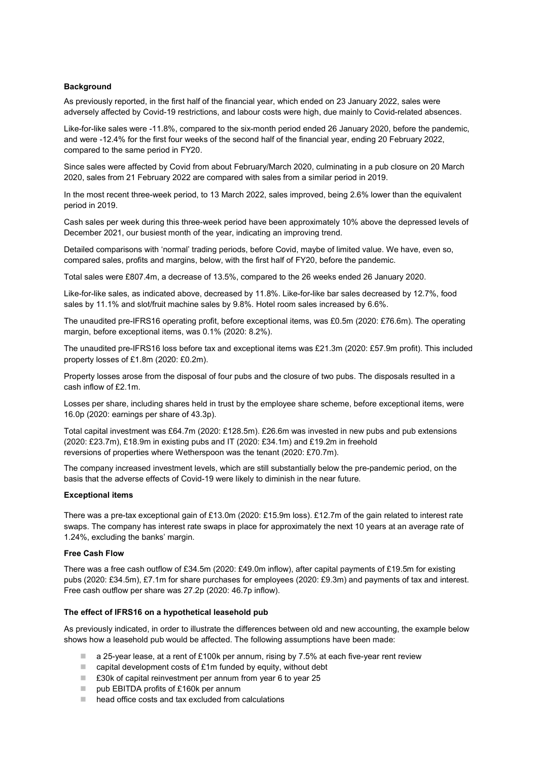#### **Background**

As previously reported, in the first half of the financial year, which ended on 23 January 2022, sales were adversely affected by Covid-19 restrictions, and labour costs were high, due mainly to Covid-related absences.

Like-for-like sales were -11.8%, compared to the six-month period ended 26 January 2020, before the pandemic, and were -12.4% for the first four weeks of the second half of the financial year, ending 20 February 2022, compared to the same period in FY20.

Since sales were affected by Covid from about February/March 2020, culminating in a pub closure on 20 March 2020, sales from 21 February 2022 are compared with sales from a similar period in 2019.

In the most recent three-week period, to 13 March 2022, sales improved, being 2.6% lower than the equivalent period in 2019.

Cash sales per week during this three-week period have been approximately 10% above the depressed levels of December 2021, our busiest month of the year, indicating an improving trend.

Detailed comparisons with 'normal' trading periods, before Covid, maybe of limited value. We have, even so, compared sales, profits and margins, below, with the first half of FY20, before the pandemic.

Total sales were £807.4m, a decrease of 13.5%, compared to the 26 weeks ended 26 January 2020.

Like-for-like sales, as indicated above, decreased by 11.8%. Like-for-like bar sales decreased by 12.7%, food sales by 11.1% and slot/fruit machine sales by 9.8%. Hotel room sales increased by 6.6%.

The unaudited pre-IFRS16 operating profit, before exceptional items, was £0.5m (2020: £76.6m). The operating margin, before exceptional items, was 0.1% (2020: 8.2%).

The unaudited pre-IFRS16 loss before tax and exceptional items was £21.3m (2020: £57.9m profit). This included property losses of £1.8m (2020: £0.2m).

Property losses arose from the disposal of four pubs and the closure of two pubs. The disposals resulted in a cash inflow of £2.1m.

Losses per share, including shares held in trust by the employee share scheme, before exceptional items, were 16.0p (2020: earnings per share of 43.3p).

Total capital investment was £64.7m (2020: £128.5m). £26.6m was invested in new pubs and pub extensions (2020: £23.7m), £18.9m in existing pubs and IT (2020: £34.1m) and £19.2m in freehold reversions of properties where Wetherspoon was the tenant (2020: £70.7m).

The company increased investment levels, which are still substantially below the pre-pandemic period, on the basis that the adverse effects of Covid-19 were likely to diminish in the near future.

#### Exceptional items

There was a pre-tax exceptional gain of £13.0m (2020: £15.9m loss). £12.7m of the gain related to interest rate swaps. The company has interest rate swaps in place for approximately the next 10 years at an average rate of 1.24%, excluding the banks' margin.

#### Free Cash Flow

There was a free cash outflow of £34.5m (2020: £49.0m inflow), after capital payments of £19.5m for existing pubs (2020: £34.5m), £7.1m for share purchases for employees (2020: £9.3m) and payments of tax and interest. Free cash outflow per share was 27.2p (2020: 46.7p inflow).

#### The effect of IFRS16 on a hypothetical leasehold pub

As previously indicated, in order to illustrate the differences between old and new accounting, the example below shows how a leasehold pub would be affected. The following assumptions have been made:

- **a** 25-year lease, at a rent of £100k per annum, rising by 7.5% at each five-year rent review
- $\Box$  capital development costs of £1m funded by equity, without debt
- £30k of capital reinvestment per annum from year 6 to year 25
- pub EBITDA profits of £160k per annum
- head office costs and tax excluded from calculations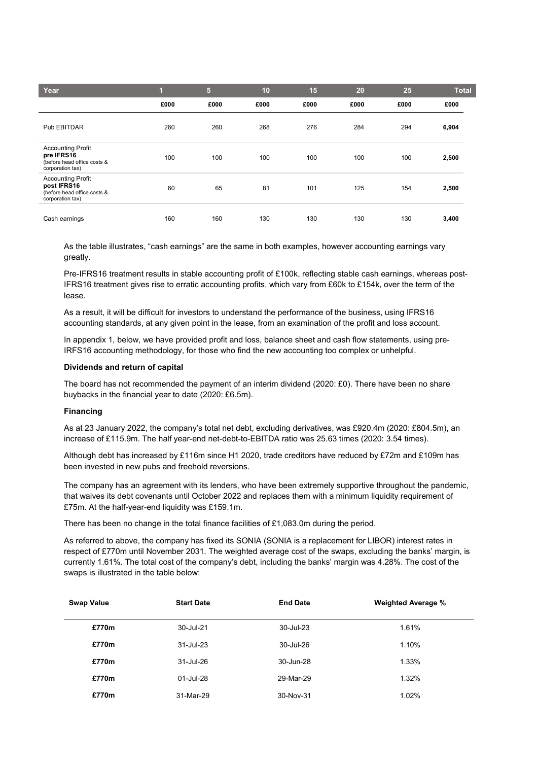| Year                                                                                       |      | 5.   | 10   | 15   | 20   | 25   | <b>Total</b> |
|--------------------------------------------------------------------------------------------|------|------|------|------|------|------|--------------|
|                                                                                            | £000 | £000 | £000 | £000 | £000 | £000 | £000         |
| Pub EBITDAR                                                                                | 260  | 260  | 268  | 276  | 284  | 294  | 6,904        |
| <b>Accounting Profit</b><br>pre IFRS16<br>(before head office costs &<br>corporation tax)  | 100  | 100  | 100  | 100  | 100  | 100  | 2,500        |
| <b>Accounting Profit</b><br>post IFRS16<br>(before head office costs &<br>corporation tax) | 60   | 65   | 81   | 101  | 125  | 154  | 2,500        |
| Cash earnings                                                                              | 160  | 160  | 130  | 130  | 130  | 130  | 3,400        |

As the table illustrates, "cash earnings" are the same in both examples, however accounting earnings vary greatly.

Pre-IFRS16 treatment results in stable accounting profit of £100k, reflecting stable cash earnings, whereas post-IFRS16 treatment gives rise to erratic accounting profits, which vary from £60k to £154k, over the term of the lease.

As a result, it will be difficult for investors to understand the performance of the business, using IFRS16 accounting standards, at any given point in the lease, from an examination of the profit and loss account.

In appendix 1, below, we have provided profit and loss, balance sheet and cash flow statements, using pre-IRFS16 accounting methodology, for those who find the new accounting too complex or unhelpful.

#### Dividends and return of capital

The board has not recommended the payment of an interim dividend (2020: £0). There have been no share buybacks in the financial year to date (2020: £6.5m).

#### Financing

As at 23 January 2022, the company's total net debt, excluding derivatives, was £920.4m (2020: £804.5m), an increase of £115.9m. The half year-end net-debt-to-EBITDA ratio was 25.63 times (2020: 3.54 times).

Although debt has increased by £116m since H1 2020, trade creditors have reduced by £72m and £109m has been invested in new pubs and freehold reversions.

The company has an agreement with its lenders, who have been extremely supportive throughout the pandemic, that waives its debt covenants until October 2022 and replaces them with a minimum liquidity requirement of £75m. At the half-year-end liquidity was £159.1m.

There has been no change in the total finance facilities of £1,083.0m during the period.

As referred to above, the company has fixed its SONIA (SONIA is a replacement for LIBOR) interest rates in respect of £770m until November 2031. The weighted average cost of the swaps, excluding the banks' margin, is currently 1.61%. The total cost of the company's debt, including the banks' margin was 4.28%. The cost of the swaps is illustrated in the table below:

| <b>Swap Value</b> | <b>Start Date</b> | <b>End Date</b> | <b>Weighted Average %</b> |
|-------------------|-------------------|-----------------|---------------------------|
| £770m             | 30-Jul-21         | 30-Jul-23       | 1.61%                     |
| £770m             | $31 -$ Jul-23     | 30-Jul-26       | 1.10%                     |
| £770m             | 31-Jul-26         | 30-Jun-28       | 1.33%                     |
| £770m             | 01-Jul-28         | 29-Mar-29       | 1.32%                     |
| £770m             | 31-Mar-29         | 30-Nov-31       | 1.02%                     |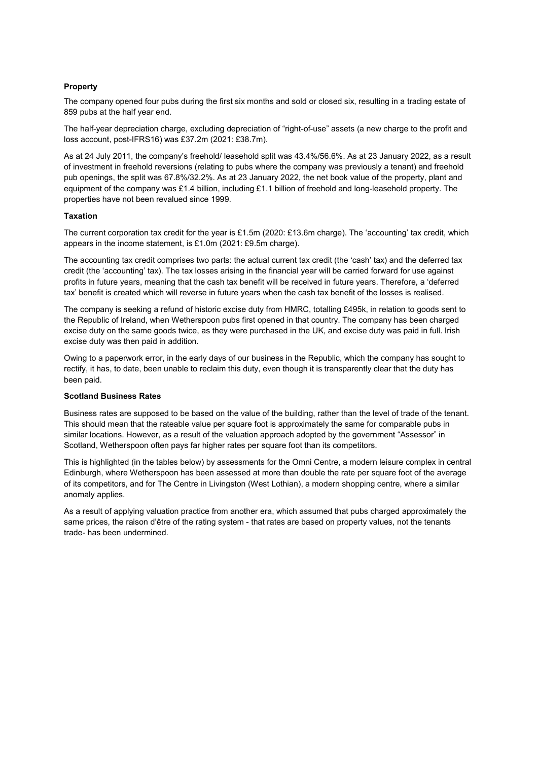#### **Property**

The company opened four pubs during the first six months and sold or closed six, resulting in a trading estate of 859 pubs at the half year end.

The half-year depreciation charge, excluding depreciation of "right-of-use" assets (a new charge to the profit and loss account, post-IFRS16) was £37.2m (2021: £38.7m).

As at 24 July 2011, the company's freehold/ leasehold split was 43.4%/56.6%. As at 23 January 2022, as a result of investment in freehold reversions (relating to pubs where the company was previously a tenant) and freehold pub openings, the split was 67.8%/32.2%. As at 23 January 2022, the net book value of the property, plant and equipment of the company was £1.4 billion, including £1.1 billion of freehold and long-leasehold property. The properties have not been revalued since 1999.

#### Taxation

The current corporation tax credit for the year is £1.5m (2020: £13.6m charge). The 'accounting' tax credit, which appears in the income statement, is £1.0m (2021: £9.5m charge).

The accounting tax credit comprises two parts: the actual current tax credit (the 'cash' tax) and the deferred tax credit (the 'accounting' tax). The tax losses arising in the financial year will be carried forward for use against profits in future years, meaning that the cash tax benefit will be received in future years. Therefore, a 'deferred tax' benefit is created which will reverse in future years when the cash tax benefit of the losses is realised.

The company is seeking a refund of historic excise duty from HMRC, totalling £495k, in relation to goods sent to the Republic of Ireland, when Wetherspoon pubs first opened in that country. The company has been charged excise duty on the same goods twice, as they were purchased in the UK, and excise duty was paid in full. Irish excise duty was then paid in addition.

Owing to a paperwork error, in the early days of our business in the Republic, which the company has sought to rectify, it has, to date, been unable to reclaim this duty, even though it is transparently clear that the duty has been paid.

#### Scotland Business Rates

Business rates are supposed to be based on the value of the building, rather than the level of trade of the tenant. This should mean that the rateable value per square foot is approximately the same for comparable pubs in similar locations. However, as a result of the valuation approach adopted by the government "Assessor" in Scotland, Wetherspoon often pays far higher rates per square foot than its competitors.

This is highlighted (in the tables below) by assessments for the Omni Centre, a modern leisure complex in central Edinburgh, where Wetherspoon has been assessed at more than double the rate per square foot of the average of its competitors, and for The Centre in Livingston (West Lothian), a modern shopping centre, where a similar anomaly applies.

As a result of applying valuation practice from another era, which assumed that pubs charged approximately the same prices, the raison d'être of the rating system - that rates are based on property values, not the tenants trade- has been undermined.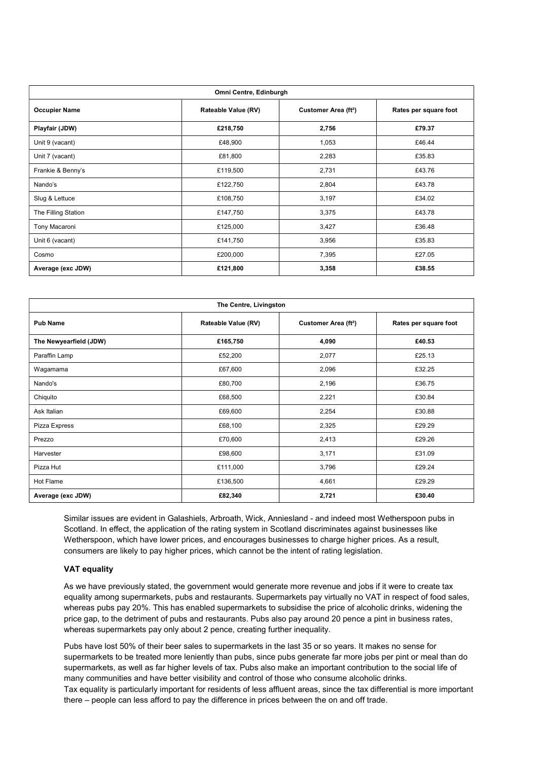| Omni Centre, Edinburgh |                     |                                  |                       |  |  |
|------------------------|---------------------|----------------------------------|-----------------------|--|--|
| <b>Occupier Name</b>   | Rateable Value (RV) | Customer Area (ft <sup>2</sup> ) | Rates per square foot |  |  |
| Playfair (JDW)         | £218,750            | 2,756                            | £79.37                |  |  |
| Unit 9 (vacant)        | £48,900             | 1,053                            | £46.44                |  |  |
| Unit 7 (vacant)        | £81,800             | 2,283                            | £35.83                |  |  |
| Frankie & Benny's      | £119,500            | 2,731                            | £43.76                |  |  |
| Nando's                | £122,750            | 2,804                            | £43.78                |  |  |
| Slug & Lettuce         | £108,750            | 3,197                            | £34.02                |  |  |
| The Filling Station    | £147,750            | 3,375                            | £43.78                |  |  |
| Tony Macaroni          | £125,000            | 3,427                            | £36.48                |  |  |
| Unit 6 (vacant)        | £141,750            | 3,956                            | £35.83                |  |  |
| Cosmo                  | £200,000            | 7,395                            | £27.05                |  |  |
| Average (exc JDW)      | £121,800            | 3,358                            | £38.55                |  |  |

| The Centre, Livingston |                     |                                  |                       |  |  |
|------------------------|---------------------|----------------------------------|-----------------------|--|--|
| <b>Pub Name</b>        | Rateable Value (RV) | Customer Area (ft <sup>2</sup> ) | Rates per square foot |  |  |
| The Newyearfield (JDW) | £165,750            | 4,090                            | £40.53                |  |  |
| Paraffin Lamp          | £52,200             | 2,077                            | £25.13                |  |  |
| Wagamama               | £67,600             | 2,096                            | £32.25                |  |  |
| Nando's                | £80,700             | 2,196                            | £36.75                |  |  |
| Chiquito               | £68,500             | 2,221                            | £30.84                |  |  |
| Ask Italian            | £69,600             | 2,254                            | £30.88                |  |  |
| Pizza Express          | £68,100             | 2,325                            | £29.29                |  |  |
| Prezzo                 | £70,600             | 2,413                            | £29.26                |  |  |
| Harvester              | £98,600             | 3,171                            | £31.09                |  |  |
| Pizza Hut              | £111,000            | 3,796                            | £29.24                |  |  |
| Hot Flame              | £136,500            | 4,661                            | £29.29                |  |  |
| Average (exc JDW)      | £82,340             | 2,721                            | £30.40                |  |  |

Similar issues are evident in Galashiels, Arbroath, Wick, Anniesland - and indeed most Wetherspoon pubs in Scotland. In effect, the application of the rating system in Scotland discriminates against businesses like Wetherspoon, which have lower prices, and encourages businesses to charge higher prices. As a result, consumers are likely to pay higher prices, which cannot be the intent of rating legislation.

#### **VAT equality**

As we have previously stated, the government would generate more revenue and jobs if it were to create tax equality among supermarkets, pubs and restaurants. Supermarkets pay virtually no VAT in respect of food sales, whereas pubs pay 20%. This has enabled supermarkets to subsidise the price of alcoholic drinks, widening the price gap, to the detriment of pubs and restaurants. Pubs also pay around 20 pence a pint in business rates, whereas supermarkets pay only about 2 pence, creating further inequality.

Pubs have lost 50% of their beer sales to supermarkets in the last 35 or so years. It makes no sense for supermarkets to be treated more leniently than pubs, since pubs generate far more jobs per pint or meal than do supermarkets, as well as far higher levels of tax. Pubs also make an important contribution to the social life of many communities and have better visibility and control of those who consume alcoholic drinks. Tax equality is particularly important for residents of less affluent areas, since the tax differential is more important there – people can less afford to pay the difference in prices between the on and off trade.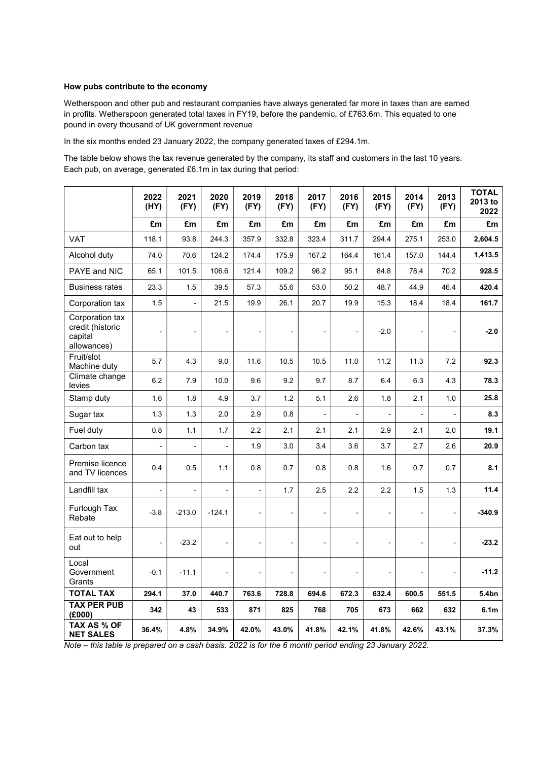#### How pubs contribute to the economy

Wetherspoon and other pub and restaurant companies have always generated far more in taxes than are earned in profits. Wetherspoon generated total taxes in FY19, before the pandemic, of £763.6m. This equated to one pound in every thousand of UK government revenue

In the six months ended 23 January 2022, the company generated taxes of £294.1m.

The table below shows the tax revenue generated by the company, its staff and customers in the last 10 years. Each pub, on average, generated £6.1m in tax during that period:

|                                                               | 2022<br>(HY)             | 2021<br>(FY)             | 2020<br>(FY)             | 2019<br>(FY)             | 2018<br>(FY) | 2017<br>(FY)   | 2016<br>(FY)             | 2015<br>(FY) | 2014<br>(FY)  | 2013<br>(FY)             | <b>TOTAL</b><br>2013 to<br>2022 |
|---------------------------------------------------------------|--------------------------|--------------------------|--------------------------|--------------------------|--------------|----------------|--------------------------|--------------|---------------|--------------------------|---------------------------------|
|                                                               | £m                       | £m                       | £m                       | £m                       | £m           | £m             | £m                       | £m           | £m            | £m                       | £m                              |
| VAT                                                           | 118.1                    | 93.8                     | 244.3                    | 357.9                    | 332.8        | 323.4          | 311.7                    | 294.4        | 275.1         | 253.0                    | 2,604.5                         |
| Alcohol duty                                                  | 74.0                     | 70.6                     | 124.2                    | 174.4                    | 175.9        | 167.2          | 164.4                    | 161.4        | 157.0         | 144.4                    | 1,413.5                         |
| PAYE and NIC                                                  | 65.1                     | 101.5                    | 106.6                    | 121.4                    | 109.2        | 96.2           | 95.1                     | 84.8         | 78.4          | 70.2                     | 928.5                           |
| <b>Business rates</b>                                         | 23.3                     | 1.5                      | 39.5                     | 57.3                     | 55.6         | 53.0           | 50.2                     | 48.7         | 44.9          | 46.4                     | 420.4                           |
| Corporation tax                                               | 1.5                      | $\blacksquare$           | 21.5                     | 19.9                     | 26.1         | 20.7           | 19.9                     | 15.3         | 18.4          | 18.4                     | 161.7                           |
| Corporation tax<br>credit (historic<br>capital<br>allowances) | $\blacksquare$           | $\overline{a}$           |                          |                          |              | $\overline{a}$ | Ĭ.                       | $-2.0$       |               | $\blacksquare$           | $-2.0$                          |
| Fruit/slot<br>Machine duty                                    | 5.7                      | 4.3                      | 9.0                      | 11.6                     | 10.5         | 10.5           | 11.0                     | 11.2         | 11.3          | 7.2                      | 92.3                            |
| Climate change<br>levies                                      | 6.2                      | 7.9                      | 10.0                     | 9.6                      | 9.2          | 9.7            | 8.7                      | 6.4          | 6.3           | 4.3                      | 78.3                            |
| Stamp duty                                                    | 1.6                      | 1.8                      | 4.9                      | 3.7                      | 1.2          | 5.1            | 2.6                      | 1.8          | 2.1           | 1.0                      | 25.8                            |
| Sugar tax                                                     | 1.3                      | 1.3                      | 2.0                      | 2.9                      | 0.8          | $\blacksquare$ | $\overline{\phantom{0}}$ |              | $\frac{1}{2}$ | $\overline{\phantom{a}}$ | 8.3                             |
| Fuel duty                                                     | 0.8                      | 1.1                      | 1.7                      | 2.2                      | 2.1          | 2.1            | 2.1                      | 2.9          | 2.1           | 2.0                      | 19.1                            |
| Carbon tax                                                    |                          |                          | $\overline{\phantom{0}}$ | 1.9                      | 3.0          | 3.4            | 3.6                      | 3.7          | 2.7           | 2.6                      | 20.9                            |
| Premise licence<br>and TV licences                            | 0.4                      | $0.5\,$                  | 1.1                      | 0.8                      | 0.7          | 0.8            | 0.8                      | 1.6          | 0.7           | 0.7                      | 8.1                             |
| Landfill tax                                                  | $\overline{\phantom{a}}$ | $\overline{\phantom{0}}$ | $\overline{\phantom{a}}$ | $\blacksquare$           | 1.7          | 2.5            | 2.2                      | 2.2          | 1.5           | 1.3                      | 11.4                            |
| Furlough Tax<br>Rebate                                        | $-3.8$                   | $-213.0$                 | $-124.1$                 | $\overline{\phantom{0}}$ |              | $\overline{a}$ |                          |              |               | $\blacksquare$           | $-340.9$                        |
| Eat out to help<br>out                                        | $\blacksquare$           | $-23.2$                  |                          | $\blacksquare$           |              | $\overline{a}$ | $\overline{a}$           |              |               |                          | $-23.2$                         |
| Local<br>Government<br>Grants                                 | $-0.1$                   | $-11.1$                  |                          |                          |              |                |                          |              |               |                          | $-11.2$                         |
| <b>TOTAL TAX</b>                                              | 294.1                    | 37.0                     | 440.7                    | 763.6                    | 728.8        | 694.6          | 672.3                    | 632.4        | 600.5         | 551.5                    | 5.4bn                           |
| <b>TAX PER PUB</b><br>(E000)                                  | 342                      | 43                       | 533                      | 871                      | 825          | 768            | 705                      | 673          | 662           | 632                      | 6.1 <sub>m</sub>                |
| TAX AS % OF<br><b>NET SALES</b>                               | 36.4%                    | 4.8%                     | 34.9%                    | 42.0%                    | 43.0%        | 41.8%          | 42.1%                    | 41.8%        | 42.6%         | 43.1%                    | 37.3%                           |

Note – this table is prepared on a cash basis. 2022 is for the 6 month period ending 23 January 2022.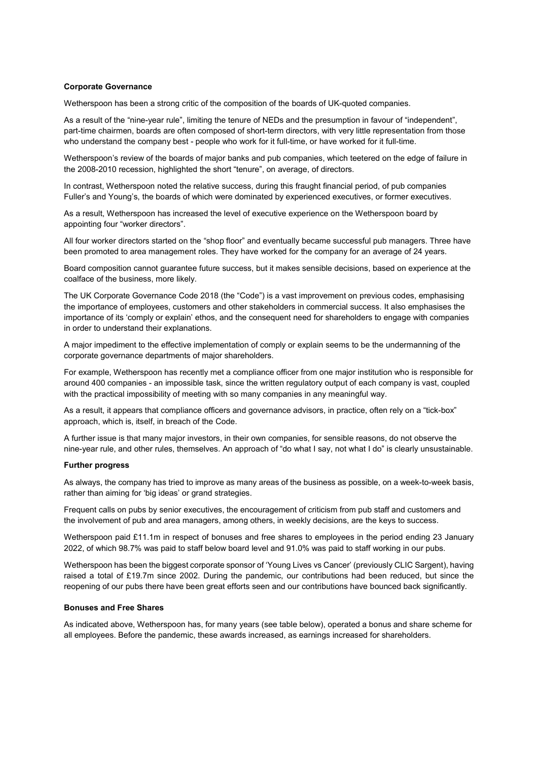#### Corporate Governance

Wetherspoon has been a strong critic of the composition of the boards of UK-quoted companies.

As a result of the "nine-year rule", limiting the tenure of NEDs and the presumption in favour of "independent", part-time chairmen, boards are often composed of short-term directors, with very little representation from those who understand the company best - people who work for it full-time, or have worked for it full-time.

Wetherspoon's review of the boards of major banks and pub companies, which teetered on the edge of failure in the 2008-2010 recession, highlighted the short "tenure", on average, of directors.

In contrast, Wetherspoon noted the relative success, during this fraught financial period, of pub companies Fuller's and Young's, the boards of which were dominated by experienced executives, or former executives.

As a result, Wetherspoon has increased the level of executive experience on the Wetherspoon board by appointing four "worker directors".

All four worker directors started on the "shop floor" and eventually became successful pub managers. Three have been promoted to area management roles. They have worked for the company for an average of 24 years.

Board composition cannot guarantee future success, but it makes sensible decisions, based on experience at the coalface of the business, more likely.

The UK Corporate Governance Code 2018 (the "Code") is a vast improvement on previous codes, emphasising the importance of employees, customers and other stakeholders in commercial success. It also emphasises the importance of its 'comply or explain' ethos, and the consequent need for shareholders to engage with companies in order to understand their explanations.

A major impediment to the effective implementation of comply or explain seems to be the undermanning of the corporate governance departments of major shareholders.

For example, Wetherspoon has recently met a compliance officer from one major institution who is responsible for around 400 companies - an impossible task, since the written regulatory output of each company is vast, coupled with the practical impossibility of meeting with so many companies in any meaningful way.

As a result, it appears that compliance officers and governance advisors, in practice, often rely on a "tick-box" approach, which is, itself, in breach of the Code.

A further issue is that many major investors, in their own companies, for sensible reasons, do not observe the nine-year rule, and other rules, themselves. An approach of "do what I say, not what I do" is clearly unsustainable.

#### Further progress

As always, the company has tried to improve as many areas of the business as possible, on a week-to-week basis, rather than aiming for 'big ideas' or grand strategies.

Frequent calls on pubs by senior executives, the encouragement of criticism from pub staff and customers and the involvement of pub and area managers, among others, in weekly decisions, are the keys to success.

Wetherspoon paid £11.1m in respect of bonuses and free shares to employees in the period ending 23 January 2022, of which 98.7% was paid to staff below board level and 91.0% was paid to staff working in our pubs.

Wetherspoon has been the biggest corporate sponsor of 'Young Lives vs Cancer' (previously CLIC Sargent), having raised a total of £19.7m since 2002. During the pandemic, our contributions had been reduced, but since the reopening of our pubs there have been great efforts seen and our contributions have bounced back significantly.

#### Bonuses and Free Shares

As indicated above, Wetherspoon has, for many years (see table below), operated a bonus and share scheme for all employees. Before the pandemic, these awards increased, as earnings increased for shareholders.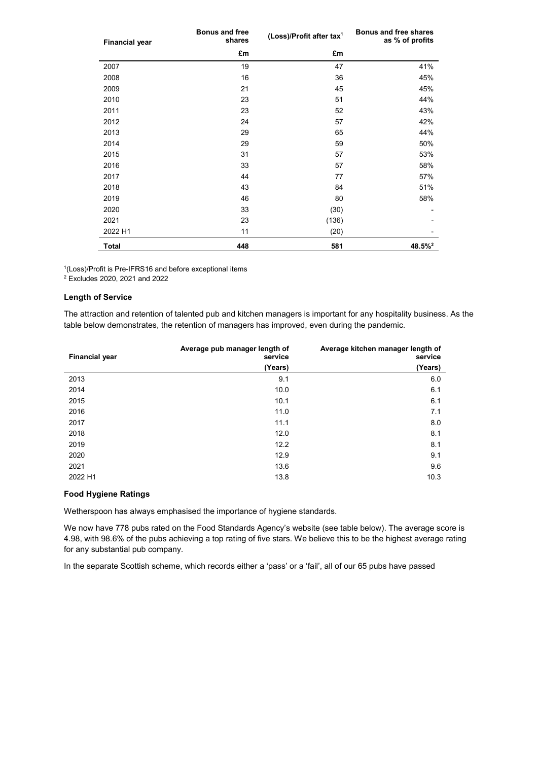| <b>Financial year</b> | <b>Bonus and free</b><br>shares | (Loss)/Profit after tax <sup>1</sup> | Bonus and free shares<br>as % of profits |
|-----------------------|---------------------------------|--------------------------------------|------------------------------------------|
|                       | £m                              | £m                                   |                                          |
| 2007                  | 19                              | 47                                   | 41%                                      |
| 2008                  | 16                              | 36                                   | 45%                                      |
| 2009                  | 21                              | 45                                   | 45%                                      |
| 2010                  | 23                              | 51                                   | 44%                                      |
| 2011                  | 23                              | 52                                   | 43%                                      |
| 2012                  | 24                              | 57                                   | 42%                                      |
| 2013                  | 29                              | 65                                   | 44%                                      |
| 2014                  | 29                              | 59                                   | 50%                                      |
| 2015                  | 31                              | 57                                   | 53%                                      |
| 2016                  | 33                              | 57                                   | 58%                                      |
| 2017                  | 44                              | 77                                   | 57%                                      |
| 2018                  | 43                              | 84                                   | 51%                                      |
| 2019                  | 46                              | 80                                   | 58%                                      |
| 2020                  | 33                              | (30)                                 |                                          |
| 2021                  | 23                              | (136)                                |                                          |
| 2022 H1               | 11                              | (20)                                 |                                          |
| <b>Total</b>          | 448                             | 581                                  | $48.5\%$ <sup>2</sup>                    |

<sup>1</sup>(Loss)/Profit is Pre-IFRS16 and before exceptional items

2 Excludes 2020, 2021 and 2022

#### Length of Service

The attraction and retention of talented pub and kitchen managers is important for any hospitality business. As the table below demonstrates, the retention of managers has improved, even during the pandemic.

| <b>Financial year</b> | Average pub manager length of<br>service | Average kitchen manager length of<br>service |
|-----------------------|------------------------------------------|----------------------------------------------|
|                       | (Years)                                  | (Years)                                      |
| 2013                  | 9.1                                      | 6.0                                          |
| 2014                  | 10.0                                     | 6.1                                          |
| 2015                  | 10.1                                     | 6.1                                          |
| 2016                  | 11.0                                     | 7.1                                          |
| 2017                  | 11.1                                     | 8.0                                          |
| 2018                  | 12.0                                     | 8.1                                          |
| 2019                  | 12.2                                     | 8.1                                          |
| 2020                  | 12.9                                     | 9.1                                          |
| 2021                  | 13.6                                     | 9.6                                          |
| 2022 H1               | 13.8                                     | 10.3                                         |

#### Food Hygiene Ratings

Wetherspoon has always emphasised the importance of hygiene standards.

We now have 778 pubs rated on the Food Standards Agency's website (see table below). The average score is 4.98, with 98.6% of the pubs achieving a top rating of five stars. We believe this to be the highest average rating for any substantial pub company.

In the separate Scottish scheme, which records either a 'pass' or a 'fail', all of our 65 pubs have passed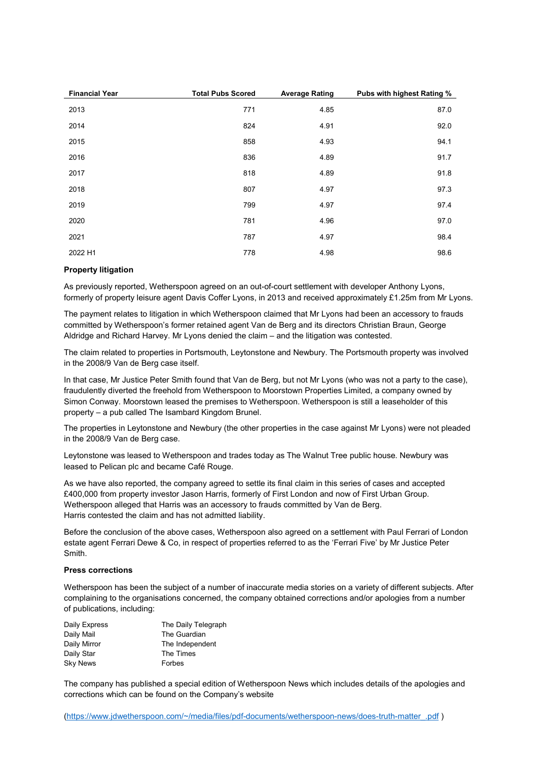| <b>Financial Year</b> | <b>Total Pubs Scored</b> | <b>Average Rating</b> | Pubs with highest Rating % |
|-----------------------|--------------------------|-----------------------|----------------------------|
| 2013                  | 771                      | 4.85                  | 87.0                       |
| 2014                  | 824                      | 4.91                  | 92.0                       |
| 2015                  | 858                      | 4.93                  | 94.1                       |
| 2016                  | 836                      | 4.89                  | 91.7                       |
| 2017                  | 818                      | 4.89                  | 91.8                       |
| 2018                  | 807                      | 4.97                  | 97.3                       |
| 2019                  | 799                      | 4.97                  | 97.4                       |
| 2020                  | 781                      | 4.96                  | 97.0                       |
| 2021                  | 787                      | 4.97                  | 98.4                       |
| 2022 H1               | 778                      | 4.98                  | 98.6                       |

#### Property litigation

As previously reported, Wetherspoon agreed on an out-of-court settlement with developer Anthony Lyons, formerly of property leisure agent Davis Coffer Lyons, in 2013 and received approximately £1.25m from Mr Lyons.

The payment relates to litigation in which Wetherspoon claimed that Mr Lyons had been an accessory to frauds committed by Wetherspoon's former retained agent Van de Berg and its directors Christian Braun, George Aldridge and Richard Harvey. Mr Lyons denied the claim – and the litigation was contested.

The claim related to properties in Portsmouth, Leytonstone and Newbury. The Portsmouth property was involved in the 2008/9 Van de Berg case itself.

In that case, Mr Justice Peter Smith found that Van de Berg, but not Mr Lyons (who was not a party to the case), fraudulently diverted the freehold from Wetherspoon to Moorstown Properties Limited, a company owned by Simon Conway. Moorstown leased the premises to Wetherspoon. Wetherspoon is still a leaseholder of this property – a pub called The Isambard Kingdom Brunel.

The properties in Leytonstone and Newbury (the other properties in the case against Mr Lyons) were not pleaded in the 2008/9 Van de Berg case.

Leytonstone was leased to Wetherspoon and trades today as The Walnut Tree public house. Newbury was leased to Pelican plc and became Café Rouge.

As we have also reported, the company agreed to settle its final claim in this series of cases and accepted £400,000 from property investor Jason Harris, formerly of First London and now of First Urban Group. Wetherspoon alleged that Harris was an accessory to frauds committed by Van de Berg. Harris contested the claim and has not admitted liability.

Before the conclusion of the above cases, Wetherspoon also agreed on a settlement with Paul Ferrari of London estate agent Ferrari Dewe & Co, in respect of properties referred to as the 'Ferrari Five' by Mr Justice Peter Smith.

#### Press corrections

Wetherspoon has been the subject of a number of inaccurate media stories on a variety of different subjects. After complaining to the organisations concerned, the company obtained corrections and/or apologies from a number of publications, including:

| Daily Express   | The Daily Telegraph |
|-----------------|---------------------|
| Daily Mail      | The Guardian        |
| Daily Mirror    | The Independent     |
| Daily Star      | The Times           |
| <b>Sky News</b> | Forbes              |

The company has published a special edition of Wetherspoon News which includes details of the apologies and corrections which can be found on the Company's website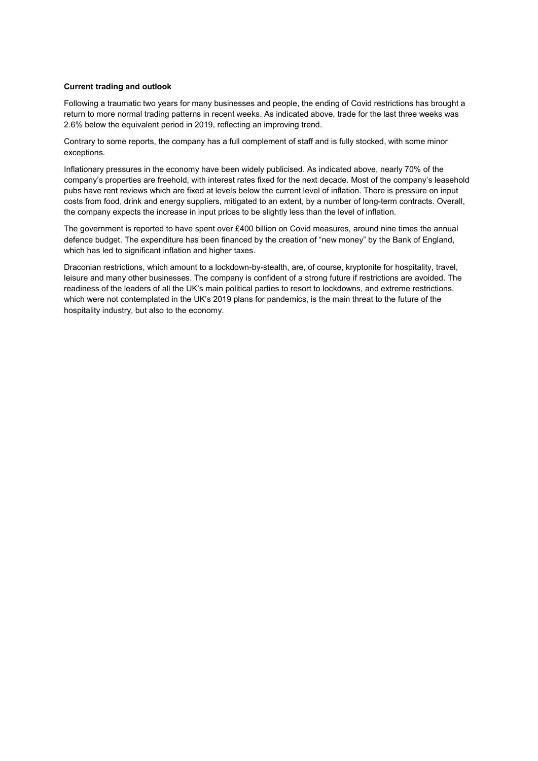#### Current trading and outlook

Following a traumatic two years for many businesses and people, the ending of Covid restrictions has brought a return to more normal trading patterns in recent weeks. As indicated above, trade for the last three weeks was 2.6% below the equivalent period in 2019, reflecting an improving trend.

Contrary to some reports, the company has a full complement of staff and is fully stocked, with some minor exceptions.

Inflationary pressures in the economy have been widely publicised. As indicated above, nearly 70% of the company's properties are freehold, with interest rates fixed for the next decade. Most of the company's leasehold pubs have rent reviews which are fixed at levels below the current level of inflation. There is pressure on input costs from food, drink and energy suppliers, mitigated to an extent, by a number of long-term contracts. Overall, the company expects the increase in input prices to be slightly less than the level of inflation.

The government is reported to have spent over £400 billion on Covid measures, around nine times the annual defence budget. The expenditure has been financed by the creation of "new money" by the Bank of England, which has led to significant inflation and higher taxes.

Draconian restrictions, which amount to a lockdown-by-stealth, are, of course, kryptonite for hospitality, travel, leisure and many other businesses. The company is confident of a strong future if restrictions are avoided. The readiness of the leaders of all the UK's main political parties to resort to lockdowns, and extreme restrictions, which were not contemplated in the UK's 2019 plans for pandemics, is the main threat to the future of the hospitality industry, but also to the economy.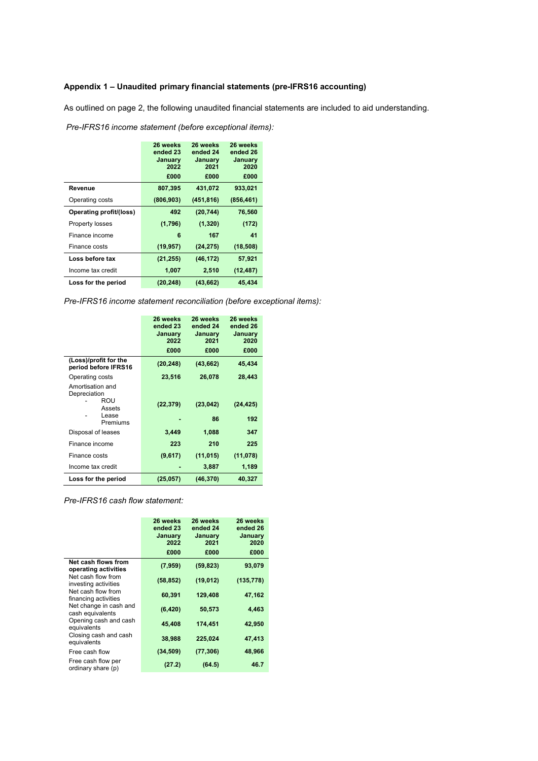### Appendix 1 – Unaudited primary financial statements (pre-IFRS16 accounting)

As outlined on page 2, the following unaudited financial statements are included to aid understanding.

|                         | 26 weeks<br>ended 23<br>January<br>2022<br>£000 | 26 weeks<br>ended 24<br>January<br>2021<br>£000 | 26 weeks<br>ended 26<br>January<br>2020<br>£000 |
|-------------------------|-------------------------------------------------|-------------------------------------------------|-------------------------------------------------|
| Revenue                 | 807,395                                         | 431,072                                         | 933,021                                         |
|                         |                                                 |                                                 |                                                 |
| Operating costs         | (806, 903)                                      | (451, 816)                                      | (856, 461)                                      |
| Operating profit/(loss) | 492                                             | (20, 744)                                       | 76,560                                          |
| Property losses         | (1,796)                                         | (1, 320)                                        | (172)                                           |
| Finance income          | 6                                               | 167                                             | 41                                              |
| Finance costs           | (19, 957)                                       | (24, 275)                                       | (18,508)                                        |
| Loss before tax         | (21, 255)                                       | (46, 172)                                       | 57,921                                          |
| Income tax credit       | 1,007                                           | 2,510                                           | (12, 487)                                       |
| Loss for the period     | (20, 248)                                       | (43, 662)                                       | 45,434                                          |

Pre-IFRS16 income statement (before exceptional items):

Pre-IFRS16 income statement reconciliation (before exceptional items):

|                                                                        | 26 weeks<br>ended 23<br>January<br>2022 | 26 weeks<br>ended 24<br>January<br>2021 | 26 weeks<br>ended 26<br>January<br>2020 |
|------------------------------------------------------------------------|-----------------------------------------|-----------------------------------------|-----------------------------------------|
|                                                                        | £000                                    | £000                                    | £000                                    |
| (Loss)/profit for the<br>period before IFRS16                          | (20, 248)                               | (43, 662)                               | 45,434                                  |
| Operating costs                                                        | 23,516                                  | 26,078                                  | 28,443                                  |
| Amortisation and<br>Depreciation<br>ROU<br>Assets<br>Lease<br>Premiums | (22, 379)                               | (23, 042)<br>86                         | (24, 425)<br>192                        |
| Disposal of leases                                                     | 3,449                                   | 1,088                                   | 347                                     |
| Finance income                                                         | 223                                     | 210                                     | 225                                     |
| Finance costs                                                          | (9,617)                                 | (11, 015)                               | (11,078)                                |
| Income tax credit                                                      |                                         | 3,887                                   | 1,189                                   |
| Loss for the period                                                    | (25, 057)                               | (46, 370)                               | 40,327                                  |

Pre-IFRS16 cash flow statement:

|                                             | 26 weeks<br>ended 23<br>January<br>2022<br>£000 | 26 weeks<br>ended 24<br>January<br>2021<br>£000 | 26 weeks<br>ended 26<br>January<br>2020<br>£000 |
|---------------------------------------------|-------------------------------------------------|-------------------------------------------------|-------------------------------------------------|
| Net cash flows from<br>operating activities | (7,959)                                         | (59, 823)                                       | 93,079                                          |
| Net cash flow from<br>investing activities  | (58, 852)                                       | (19, 012)                                       | (135, 778)                                      |
| Net cash flow from<br>financing activities  | 60,391                                          | 129,408                                         | 47,162                                          |
| Net change in cash and<br>cash equivalents  | (6, 420)                                        | 50,573                                          | 4,463                                           |
| Opening cash and cash<br>equivalents        | 45,408                                          | 174,451                                         | 42,950                                          |
| Closing cash and cash<br>equivalents        | 38,988                                          | 225,024                                         | 47,413                                          |
| Free cash flow                              | (34, 509)                                       | (77, 306)                                       | 48,966                                          |
| Free cash flow per<br>ordinary share (p)    | (27.2)                                          | (64.5)                                          | 46.7                                            |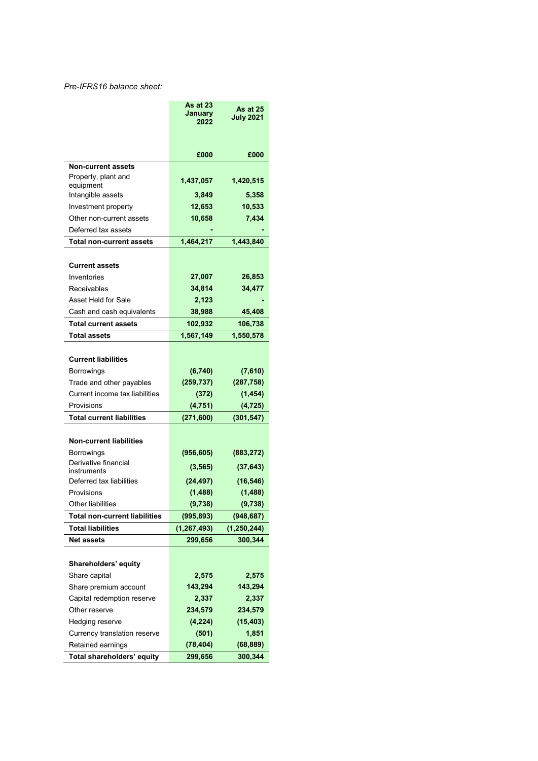### Pre-IFRS16 balance sheet:

|                                      | <b>As at 23</b><br>January | As at 25         |
|--------------------------------------|----------------------------|------------------|
|                                      | 2022                       | <b>July 2021</b> |
|                                      |                            |                  |
|                                      | £000                       | £000             |
| <b>Non-current assets</b>            |                            |                  |
| Property, plant and<br>equipment     | 1,437,057                  | 1,420,515        |
| Intangible assets                    | 3,849                      | 5,358            |
| Investment property                  | 12,653                     | 10,533           |
| Other non-current assets             | 10,658                     | 7,434            |
| Deferred tax assets                  |                            |                  |
| <b>Total non-current assets</b>      | 1,464,217                  | 1,443,840        |
|                                      |                            |                  |
| <b>Current assets</b>                |                            |                  |
| Inventories                          | 27,007                     | 26,853           |
| Receivables                          | 34,814                     | 34,477           |
| Asset Held for Sale                  | 2,123                      |                  |
| Cash and cash equivalents            | 38,988                     | 45,408           |
| <b>Total current assets</b>          | 102,932                    | 106,738          |
| <b>Total assets</b>                  | 1,567,149                  | 1,550,578        |
|                                      |                            |                  |
| <b>Current liabilities</b>           |                            |                  |
| Borrowings                           | (6,740)                    | (7,610)          |
| Trade and other payables             | (259, 737)                 | (287, 758)       |
| Current income tax liabilities       | (372)                      | (1, 454)         |
| Provisions                           | (4, 751)                   | (4, 725)         |
| <b>Total current liabilities</b>     | (271, 600)                 | (301, 547)       |
| <b>Non-current liabilities</b>       |                            |                  |
| Borrowings                           | (956, 605)                 | (883, 272)       |
| Derivative financial                 |                            |                  |
| instruments                          | (3, 565)                   | (37, 643)        |
| Deferred tax liabilities             | (24, 497)                  | (16, 546)        |
| Provisions                           | (1, 488)                   | (1, 488)         |
| Other liabilities                    | (9,738)                    | (9,738)          |
| <b>Total non-current liabilities</b> | (995, 893)                 | (948, 687)       |
| <b>Total liabilities</b>             | (1, 267, 493)              | (1, 250, 244)    |
| <b>Net assets</b>                    | 299,656                    | 300,344          |
| Shareholders' equity                 |                            |                  |
| Share capital                        | 2,575                      | 2,575            |
| Share premium account                | 143,294                    | 143,294          |
| Capital redemption reserve           | 2,337                      | 2,337            |
| Other reserve                        | 234,579                    | 234,579          |
| Hedging reserve                      | (4, 224)                   | (15, 403)        |
| Currency translation reserve         | (501)                      | 1,851            |
| Retained earnings                    | (78, 404)                  | (68, 889)        |
| Total shareholders' equity           | 299,656                    | 300,344          |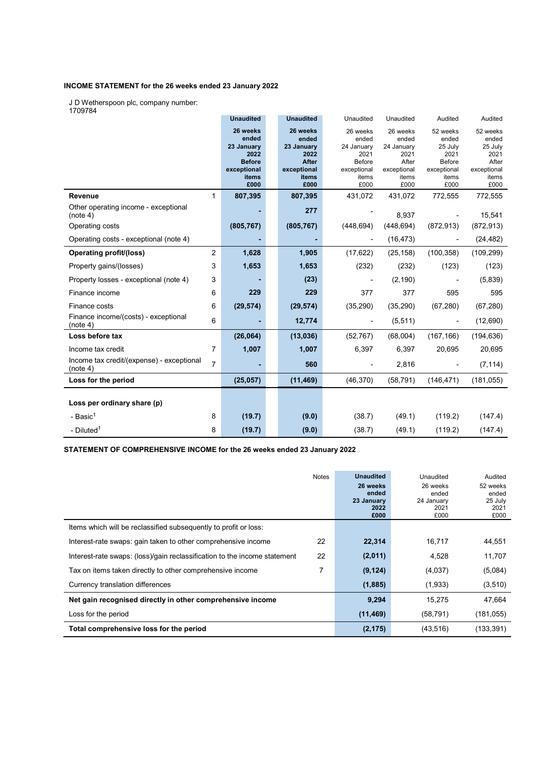### INCOME STATEMENT for the 26 weeks ended 23 January 2022

J D Wetherspoon plc, company number:

1709784

| 1709784                                                                 | <b>Unaudited</b> | <b>Unaudited</b> | Unaudited     | Unaudited   | Audited                  | Audited     |
|-------------------------------------------------------------------------|------------------|------------------|---------------|-------------|--------------------------|-------------|
|                                                                         | 26 weeks         | 26 weeks         | 26 weeks      | 26 weeks    | 52 weeks                 | 52 weeks    |
|                                                                         | ended            | ended            | ended         | ended       | ended                    | ended       |
|                                                                         | 23 January       | 23 January       | 24 January    | 24 January  | 25 July                  | 25 July     |
|                                                                         | 2022             | 2022             | 2021          | 2021        | 2021                     | 2021        |
|                                                                         | <b>Before</b>    | <b>After</b>     | <b>Before</b> | After       | Before                   | After       |
|                                                                         | exceptional      | exceptional      | exceptional   | exceptional | exceptional              | exceptional |
|                                                                         | items            | items            | items         | items       | items                    | items       |
|                                                                         | £000             | £000             | £000          | £000        | £000                     | £000        |
| <b>Revenue</b><br>$\mathbf{1}$                                          | 807,395          | 807,395          | 431,072       | 431,072     | 772,555                  | 772,555     |
| Other operating income - exceptional<br>(note 4)                        |                  | 277              |               | 8,937       |                          | 15,541      |
| Operating costs                                                         | (805, 767)       | (805, 767)       | (448, 694)    | (448, 694)  | (872, 913)               | (872, 913)  |
| Operating costs - exceptional (note 4)                                  |                  |                  |               | (16, 473)   |                          | (24, 482)   |
| $\overline{2}$<br><b>Operating profit/(loss)</b>                        | 1,628            | 1,905            | (17, 622)     | (25, 158)   | (100, 358)               | (109, 299)  |
| 3<br>Property gains/(losses)                                            | 1,653            | 1,653            | (232)         | (232)       | (123)                    | (123)       |
| 3<br>Property losses - exceptional (note 4)                             |                  | (23)             |               | (2, 190)    |                          | (5,839)     |
| 6<br>Finance income                                                     | 229              | 229              | 377           | 377         | 595                      | 595         |
| 6<br>Finance costs                                                      | (29, 574)        | (29, 574)        | (35, 290)     | (35, 290)   | (67, 280)                | (67, 280)   |
| Finance income/(costs) - exceptional<br>6<br>(note 4)                   |                  | 12,774           |               | (5, 511)    | $\overline{\phantom{a}}$ | (12, 690)   |
| Loss before tax                                                         | (26,064)         | (13,036)         | (52, 767)     | (68,004)    | (167, 166)               | (194, 636)  |
| 7<br>Income tax credit                                                  | 1,007            | 1,007            | 6,397         | 6,397       | 20,695                   | 20,695      |
| Income tax credit/(expense) - exceptional<br>$\overline{7}$<br>(note 4) |                  | 560              |               | 2,816       |                          | (7, 114)    |
| Loss for the period                                                     | (25, 057)        | (11, 469)        | (46, 370)     | (58, 791)   | (146, 471)               | (181, 055)  |
|                                                                         |                  |                  |               |             |                          |             |
| Loss per ordinary share (p)                                             |                  |                  |               |             |                          |             |
| 8<br>- Basic <sup>1</sup>                                               | (19.7)           | (9.0)            | (38.7)        | (49.1)      | (119.2)                  | (147.4)     |
| - Diluted <sup>1</sup><br>8                                             | (19.7)           | (9.0)            | (38.7)        | (49.1)      | (119.2)                  | (147.4)     |

STATEMENT OF COMPREHENSIVE INCOME for the 26 weeks ended 23 January 2022

|                                                                           | <b>Notes</b> | <b>Unaudited</b><br>26 weeks<br>ended<br>23 January<br>2022<br>£000 | Unaudited<br>26 weeks<br>ended<br>24 January<br>2021<br>£000 | Audited<br>52 weeks<br>ended<br>25 July<br>2021<br>£000 |
|---------------------------------------------------------------------------|--------------|---------------------------------------------------------------------|--------------------------------------------------------------|---------------------------------------------------------|
| Items which will be reclassified subsequently to profit or loss:          |              |                                                                     |                                                              |                                                         |
| Interest-rate swaps: gain taken to other comprehensive income             | 22           | 22,314                                                              | 16,717                                                       | 44,551                                                  |
| Interest-rate swaps: (loss)/gain reclassification to the income statement | 22           | (2,011)                                                             | 4,528                                                        | 11,707                                                  |
| Tax on items taken directly to other comprehensive income                 |              | (9, 124)                                                            | (4,037)                                                      | (5,084)                                                 |
| Currency translation differences                                          |              | (1,885)                                                             | (1,933)                                                      | (3,510)                                                 |
| Net gain recognised directly in other comprehensive income                |              | 9,294                                                               | 15.275                                                       | 47,664                                                  |
| Loss for the period                                                       |              | (11, 469)                                                           | (58, 791)                                                    | (181, 055)                                              |
| Total comprehensive loss for the period                                   |              | (2, 175)                                                            | (43, 516)                                                    | (133, 391)                                              |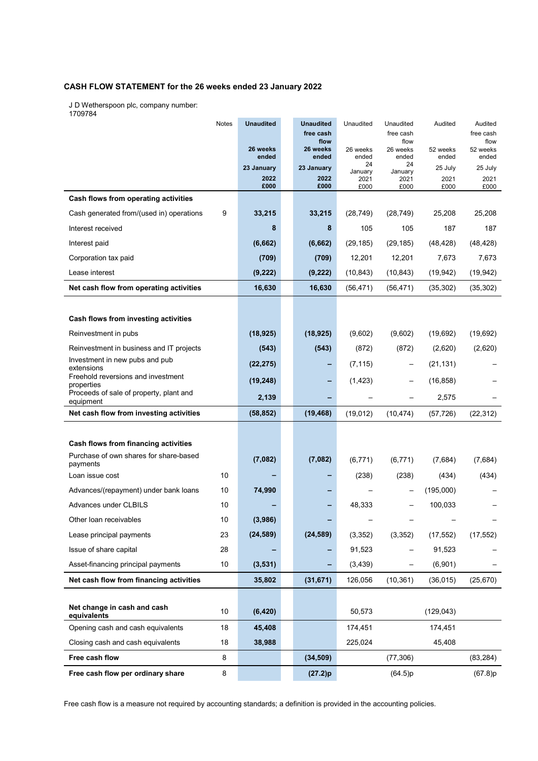### CASH FLOW STATEMENT for the 26 weeks ended 23 January 2022

J D Wetherspoon plc, company number:

1709784

|                                                      | Notes | <b>Unaudited</b>  | <b>Unaudited</b><br>free cash | Unaudited         | Unaudited<br>free cash | Audited           | Audited<br>free cash |
|------------------------------------------------------|-------|-------------------|-------------------------------|-------------------|------------------------|-------------------|----------------------|
|                                                      |       |                   | flow                          |                   | flow                   |                   | flow                 |
|                                                      |       | 26 weeks<br>ended | 26 weeks<br>ended             | 26 weeks<br>ended | 26 weeks<br>ended      | 52 weeks<br>ended | 52 weeks<br>ended    |
|                                                      |       | 23 January        | 23 January                    | 24<br>January     | 24<br>January          | 25 July           | 25 July              |
|                                                      |       | 2022<br>£000      | 2022<br>£000                  | 2021<br>£000      | 2021<br>£000           | 2021<br>£000      | 2021<br>£000         |
| Cash flows from operating activities                 |       |                   |                               |                   |                        |                   |                      |
| Cash generated from/(used in) operations             | 9     | 33,215            | 33,215                        | (28, 749)         | (28, 749)              | 25,208            | 25,208               |
| Interest received                                    |       | 8                 | 8                             | 105               | 105                    | 187               | 187                  |
| Interest paid                                        |       | (6,662)           | (6,662)                       | (29, 185)         | (29, 185)              | (48, 428)         | (48, 428)            |
| Corporation tax paid                                 |       | (709)             | (709)                         | 12,201            | 12,201                 | 7,673             | 7,673                |
| Lease interest                                       |       | (9, 222)          | (9, 222)                      | (10, 843)         | (10, 843)              | (19, 942)         | (19, 942)            |
| Net cash flow from operating activities              |       | 16,630            | 16,630                        | (56, 471)         | (56, 471)              | (35, 302)         | (35, 302)            |
|                                                      |       |                   |                               |                   |                        |                   |                      |
| Cash flows from investing activities                 |       |                   |                               |                   |                        |                   |                      |
| Reinvestment in pubs                                 |       | (18, 925)         | (18, 925)                     | (9,602)           | (9,602)                | (19,692)          | (19,692)             |
| Reinvestment in business and IT projects             |       | (543)             | (543)                         | (872)             | (872)                  | (2,620)           | (2,620)              |
| Investment in new pubs and pub<br>extensions         |       | (22, 275)         |                               | (7, 115)          |                        | (21, 131)         |                      |
| Freehold reversions and investment<br>properties     |       | (19, 248)         |                               | (1, 423)          |                        | (16, 858)         |                      |
| Proceeds of sale of property, plant and<br>equipment |       | 2,139             |                               |                   |                        | 2,575             |                      |
| Net cash flow from investing activities              |       | (58, 852)         | (19, 468)                     | (19,012)          | (10, 474)              | (57, 726)         | (22, 312)            |
|                                                      |       |                   |                               |                   |                        |                   |                      |
| Cash flows from financing activities                 |       |                   |                               |                   |                        |                   |                      |
| Purchase of own shares for share-based<br>payments   |       | (7,082)           | (7,082)                       | (6, 771)          | (6, 771)               | (7,684)           | (7,684)              |
| Loan issue cost                                      | 10    |                   |                               | (238)             | (238)                  | (434)             | (434)                |
| Advances/(repayment) under bank loans                | 10    | 74,990            |                               |                   |                        | (195,000)         |                      |
| Advances under CLBILS                                | 10    |                   |                               | 48,333            |                        | 100,033           |                      |
| Other loan receivables                               | 10    | (3,986)           |                               |                   |                        |                   |                      |
| Lease principal payments                             | 23    | (24, 589)         | (24, 589)                     | (3, 352)          | (3, 352)               | (17, 552)         | (17, 552)            |
| Issue of share capital                               | 28    |                   |                               | 91,523            |                        | 91,523            |                      |
| Asset-financing principal payments                   | 10    | (3,531)           |                               | (3, 439)          |                        | (6,901)           |                      |
| Net cash flow from financing activities              |       | 35,802            | (31, 671)                     | 126,056           | (10, 361)              | (36, 015)         | (25, 670)            |
|                                                      |       |                   |                               |                   |                        |                   |                      |
| Net change in cash and cash<br>equivalents           | 10    | (6, 420)          |                               | 50,573            |                        | (129, 043)        |                      |
| Opening cash and cash equivalents                    | 18    | 45,408            |                               | 174,451           |                        | 174,451           |                      |
| Closing cash and cash equivalents                    | 18    | 38,988            |                               | 225,024           |                        | 45,408            |                      |
| Free cash flow                                       | 8     |                   | (34, 509)                     |                   | (77, 306)              |                   | (83, 284)            |
| Free cash flow per ordinary share                    | 8     |                   | (27.2)p                       |                   | (64.5)p                |                   | (67.8)p              |

Free cash flow is a measure not required by accounting standards; a definition is provided in the accounting policies.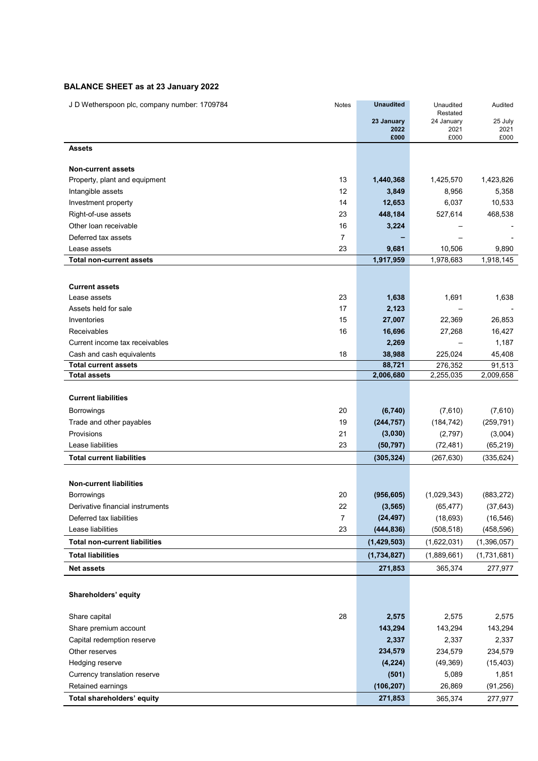### BALANCE SHEET as at 23 January 2022

| J D Wetherspoon plc, company number: 1709784 | Notes          | <b>Unaudited</b> | Unaudited              | Audited     |
|----------------------------------------------|----------------|------------------|------------------------|-------------|
|                                              |                | 23 January       | Restated<br>24 January | 25 July     |
|                                              |                | 2022             | 2021                   | 2021        |
|                                              |                | £000             | £000                   | £000        |
| <b>Assets</b>                                |                |                  |                        |             |
| <b>Non-current assets</b>                    |                |                  |                        |             |
| Property, plant and equipment                | 13             | 1,440,368        | 1,425,570              | 1,423,826   |
| Intangible assets                            | 12             | 3,849            | 8,956                  | 5,358       |
| Investment property                          | 14             | 12,653           | 6,037                  | 10,533      |
| Right-of-use assets                          | 23             | 448,184          | 527,614                | 468,538     |
| Other loan receivable                        | 16             | 3,224            |                        |             |
| Deferred tax assets                          | $\overline{7}$ |                  |                        |             |
| Lease assets                                 | 23             | 9,681            | 10,506                 | 9,890       |
| <b>Total non-current assets</b>              |                | 1,917,959        | 1,978,683              | 1,918,145   |
|                                              |                |                  |                        |             |
| <b>Current assets</b>                        |                |                  |                        |             |
| Lease assets                                 | 23             | 1,638            | 1,691                  | 1,638       |
| Assets held for sale                         | 17             | 2,123            |                        |             |
| Inventories                                  | 15             | 27,007           | 22,369                 | 26,853      |
| Receivables                                  | 16             | 16,696           | 27,268                 | 16,427      |
| Current income tax receivables               |                | 2,269            |                        | 1,187       |
| Cash and cash equivalents                    | 18             | 38,988           | 225,024                | 45,408      |
| <b>Total current assets</b>                  |                | 88,721           | 276,352                | 91,513      |
| Total assets                                 |                | 2,006,680        | 2,255,035              | 2,009,658   |
| <b>Current liabilities</b>                   |                |                  |                        |             |
| Borrowings                                   | 20             | (6,740)          | (7,610)                | (7,610)     |
| Trade and other payables                     | 19             | (244, 757)       | (184, 742)             | (259, 791)  |
| Provisions                                   | 21             | (3,030)          | (2,797)                | (3,004)     |
| Lease liabilities                            | 23             | (50, 797)        | (72, 481)              | (65, 219)   |
| <b>Total current liabilities</b>             |                | (305, 324)       | (267, 630)             | (335, 624)  |
|                                              |                |                  |                        |             |
| <b>Non-current liabilities</b>               |                |                  |                        |             |
| <b>Borrowings</b>                            | 20             | (956, 605)       | (1,029,343)            | (883, 272)  |
| Derivative financial instruments             | 22             | (3, 565)         | (65, 477)              | (37, 643)   |
| Deferred tax liabilities                     | 7              | (24, 497)        | (18, 693)              | (16, 546)   |
| Lease liabilities                            | 23             | (444, 836)       | (508, 518)             | (458, 596)  |
| <b>Total non-current liabilities</b>         |                | (1,429,503)      | (1,622,031)            | (1,396,057) |
| <b>Total liabilities</b>                     |                | (1,734,827)      | (1,889,661)            | (1,731,681) |
| <b>Net assets</b>                            |                | 271,853          | 365,374                | 277,977     |
|                                              |                |                  |                        |             |
| Shareholders' equity                         |                |                  |                        |             |
|                                              |                |                  |                        |             |
| Share capital                                | 28             | 2,575            | 2,575                  | 2,575       |
| Share premium account                        |                | 143,294          | 143,294                | 143,294     |
| Capital redemption reserve                   |                | 2,337            | 2,337                  | 2,337       |
| Other reserves                               |                | 234,579          | 234,579                | 234,579     |
| Hedging reserve                              |                | (4, 224)         | (49, 369)              | (15, 403)   |
| Currency translation reserve                 |                | (501)            | 5,089                  | 1,851       |
| Retained earnings                            |                | (106, 207)       | 26,869                 | (91, 256)   |
| Total shareholders' equity                   |                | 271,853          | 365,374                | 277,977     |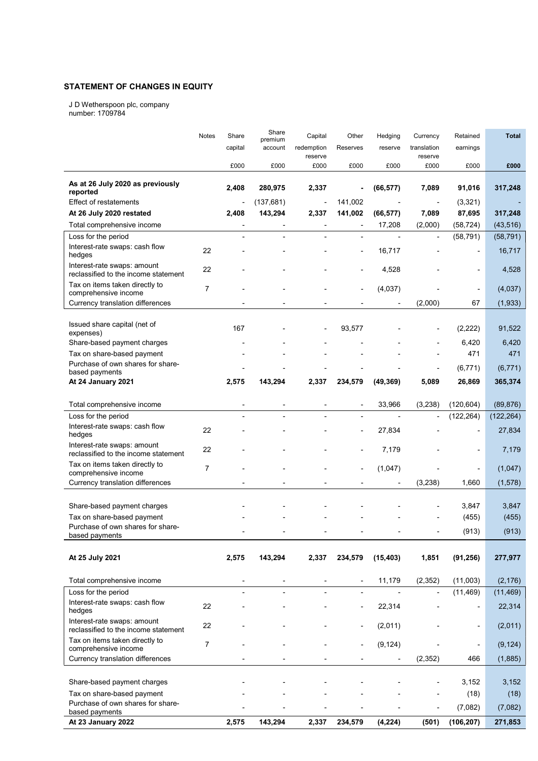### STATEMENT OF CHANGES IN EQUITY

J D Wetherspoon plc, company number: 1709784

|                                                                     | Notes          | Share                    | Share                    | Capital        | Other                    | Hedging                      | Currency                 | Retained                 | <b>Total</b> |
|---------------------------------------------------------------------|----------------|--------------------------|--------------------------|----------------|--------------------------|------------------------------|--------------------------|--------------------------|--------------|
|                                                                     |                | capital                  | premium<br>account       | redemption     | Reserves                 | reserve                      | translation              | earnings                 |              |
|                                                                     |                |                          |                          | reserve        |                          |                              | reserve                  |                          |              |
|                                                                     |                | £000                     | £000                     | £000           | £000                     | £000                         | £000                     | £000                     | £000         |
|                                                                     |                |                          |                          |                |                          |                              |                          |                          |              |
| As at 26 July 2020 as previously<br>reported                        |                | 2,408                    | 280,975                  | 2,337          |                          | (66, 577)                    | 7,089                    | 91,016                   | 317,248      |
| <b>Effect of restatements</b>                                       |                | $\overline{\phantom{a}}$ | (137, 681)               | Ĭ.             | 141,002                  |                              |                          | (3,321)                  |              |
| At 26 July 2020 restated                                            |                | 2,408                    | 143,294                  | 2,337          | 141,002                  | (66, 577)                    | 7,089                    | 87,695                   | 317,248      |
| Total comprehensive income                                          |                |                          |                          |                |                          | 17,208                       | (2,000)                  | (58, 724)                | (43, 516)    |
| Loss for the period                                                 |                |                          |                          |                |                          |                              | $\overline{a}$           |                          |              |
| Interest-rate swaps: cash flow                                      |                |                          |                          |                |                          |                              |                          | (58, 791)                | (58, 791)    |
| hedges                                                              | 22             |                          |                          |                | $\overline{\phantom{a}}$ | 16,717                       |                          | $\overline{\phantom{a}}$ | 16,717       |
| Interest-rate swaps: amount                                         | 22             |                          |                          |                |                          |                              |                          |                          |              |
| reclassified to the income statement                                |                |                          |                          |                |                          | 4,528                        |                          | $\overline{\phantom{0}}$ | 4,528        |
| Tax on items taken directly to                                      | $\overline{7}$ |                          |                          |                |                          | (4,037)                      |                          | $\overline{\phantom{a}}$ | (4,037)      |
| comprehensive income                                                |                |                          |                          |                |                          |                              |                          |                          |              |
| Currency translation differences                                    |                |                          |                          |                |                          |                              | (2,000)                  | 67                       | (1, 933)     |
|                                                                     |                |                          |                          |                |                          |                              |                          |                          |              |
| Issued share capital (net of<br>expenses)                           |                | 167                      |                          |                | 93,577                   |                              |                          | (2, 222)                 | 91,522       |
| Share-based payment charges                                         |                |                          |                          |                |                          |                              |                          | 6,420                    | 6,420        |
| Tax on share-based payment                                          |                |                          |                          |                |                          |                              |                          | 471                      | 471          |
| Purchase of own shares for share-                                   |                |                          |                          |                |                          |                              |                          |                          |              |
| based payments                                                      |                |                          |                          |                |                          |                              |                          | (6, 771)                 | (6, 771)     |
| At 24 January 2021                                                  |                | 2,575                    | 143,294                  | 2,337          | 234,579                  | (49, 369)                    | 5,089                    | 26,869                   | 365,374      |
|                                                                     |                |                          |                          |                |                          |                              |                          |                          |              |
| Total comprehensive income                                          |                | $\blacksquare$           |                          |                | $\overline{\phantom{a}}$ | 33,966                       | (3,238)                  | (120, 604)               | (89, 876)    |
| Loss for the period                                                 |                |                          |                          |                |                          |                              |                          | (122, 264)               | (122, 264)   |
| Interest-rate swaps: cash flow<br>hedges                            | 22             |                          |                          |                |                          | 27,834                       |                          |                          | 27,834       |
| Interest-rate swaps: amount<br>reclassified to the income statement | 22             |                          |                          |                |                          | 7,179                        |                          |                          | 7,179        |
| Tax on items taken directly to                                      | $\overline{7}$ |                          |                          |                |                          |                              |                          |                          |              |
| comprehensive income                                                |                |                          |                          |                |                          | (1,047)                      |                          | $\overline{\phantom{a}}$ | (1,047)      |
| Currency translation differences                                    |                |                          |                          |                |                          |                              | (3, 238)                 | 1,660                    | (1, 578)     |
|                                                                     |                |                          |                          |                |                          |                              |                          |                          |              |
| Share-based payment charges                                         |                |                          |                          |                |                          |                              |                          | 3,847                    | 3,847        |
| Tax on share-based payment                                          |                |                          |                          |                |                          |                              |                          | (455)                    | (455)        |
| Purchase of own shares for share-                                   |                |                          |                          |                |                          |                              |                          | (913)                    | (913)        |
| based payments                                                      |                |                          |                          |                |                          |                              |                          |                          |              |
| At 25 July 2021                                                     |                | 2,575                    | 143,294                  | 2,337          | 234,579                  | (15, 403)                    | 1,851                    | (91, 256)                | 277,977      |
|                                                                     |                |                          |                          |                |                          |                              |                          |                          |              |
| Total comprehensive income                                          |                | $\overline{\phantom{a}}$ | $\overline{\phantom{a}}$ | $\overline{a}$ | $\overline{\phantom{a}}$ | 11,179                       | (2, 352)                 | (11,003)                 | (2, 176)     |
| Loss for the period                                                 |                | $\overline{\phantom{a}}$ | $\overline{\phantom{a}}$ |                | $\overline{\phantom{a}}$ | $\overline{\phantom{a}}$     | $\overline{\phantom{a}}$ | (11, 469)                | (11, 469)    |
| Interest-rate swaps: cash flow                                      |                |                          |                          |                |                          |                              |                          |                          |              |
| hedges                                                              | 22             |                          |                          |                |                          | 22,314                       |                          | $\overline{\phantom{0}}$ | 22,314       |
| Interest-rate swaps: amount<br>reclassified to the income statement | 22             |                          |                          |                |                          | (2,011)                      |                          | $\blacksquare$           | (2,011)      |
| Tax on items taken directly to<br>comprehensive income              | $\overline{7}$ |                          |                          |                |                          | (9, 124)                     |                          | $\frac{1}{2}$            | (9, 124)     |
| Currency translation differences                                    |                |                          |                          |                |                          | $\qquad \qquad \blacksquare$ | (2, 352)                 | 466                      | (1,885)      |
|                                                                     |                |                          |                          |                |                          |                              |                          |                          |              |
| Share-based payment charges                                         |                |                          |                          |                |                          |                              |                          | 3,152                    | 3,152        |
| Tax on share-based payment                                          |                |                          |                          |                |                          |                              |                          | (18)                     | (18)         |
| Purchase of own shares for share-                                   |                |                          |                          |                |                          |                              |                          |                          |              |
| based payments                                                      |                |                          |                          |                |                          |                              |                          | (7,082)                  | (7,082)      |
| At 23 January 2022                                                  |                | 2,575                    | 143,294                  | 2,337          | 234,579                  | (4, 224)                     | (501)                    | (106, 207)               | 271,853      |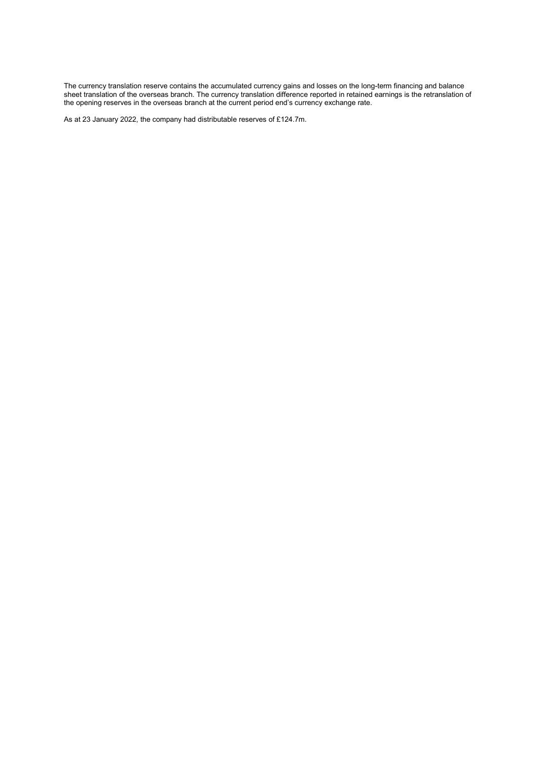The currency translation reserve contains the accumulated currency gains and losses on the long-term financing and balance sheet translation of the overseas branch. The currency translation difference reported in retained earnings is the retranslation of the opening reserves in the overseas branch at the current period end's currency exchange rate.

As at 23 January 2022, the company had distributable reserves of £124.7m.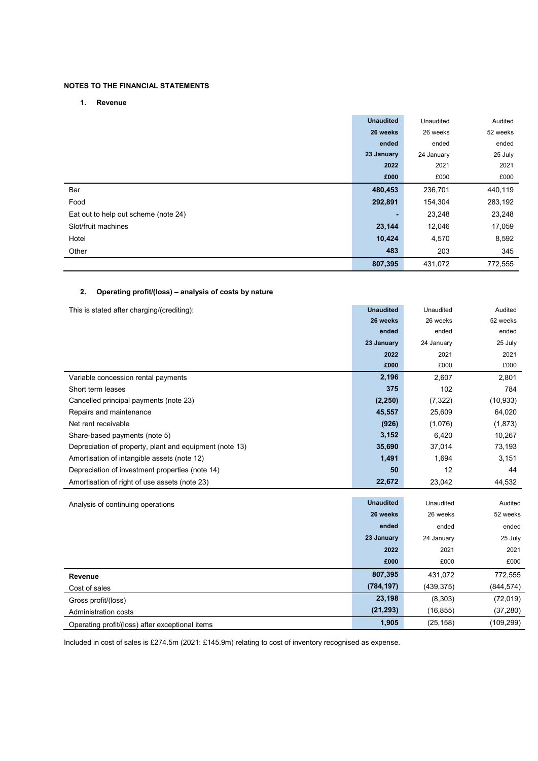### NOTES TO THE FINANCIAL STATEMENTS

#### 1. Revenue

|                                      | <b>Unaudited</b> | Unaudited  | Audited  |
|--------------------------------------|------------------|------------|----------|
|                                      | 26 weeks         | 26 weeks   | 52 weeks |
|                                      | ended            | ended      | ended    |
|                                      | 23 January       | 24 January | 25 July  |
|                                      | 2022             | 2021       | 2021     |
|                                      | £000             | £000       | £000     |
| Bar                                  | 480,453          | 236,701    | 440,119  |
| Food                                 | 292,891          | 154,304    | 283,192  |
| Eat out to help out scheme (note 24) |                  | 23,248     | 23,248   |
| Slot/fruit machines                  | 23,144           | 12,046     | 17,059   |
| Hotel                                | 10,424           | 4,570      | 8,592    |
| Other                                | 483              | 203        | 345      |
|                                      | 807,395          | 431,072    | 772,555  |

### 2. Operating profit/(loss) – analysis of costs by nature

| This is stated after charging/(crediting):              | <b>Unaudited</b> | Unaudited  | Audited    |
|---------------------------------------------------------|------------------|------------|------------|
|                                                         | 26 weeks         | 26 weeks   | 52 weeks   |
|                                                         | ended            | ended      | ended      |
|                                                         | 23 January       | 24 January | 25 July    |
|                                                         | 2022             | 2021       | 2021       |
|                                                         | £000             | £000       | £000       |
| Variable concession rental payments                     | 2,196            | 2,607      | 2,801      |
| Short term leases                                       | 375              | 102        | 784        |
| Cancelled principal payments (note 23)                  | (2, 250)         | (7, 322)   | (10, 933)  |
| Repairs and maintenance                                 | 45,557           | 25,609     | 64,020     |
| Net rent receivable                                     | (926)            | (1,076)    | (1, 873)   |
| Share-based payments (note 5)                           | 3,152            | 6,420      | 10,267     |
| Depreciation of property, plant and equipment (note 13) | 35,690           | 37,014     | 73,193     |
| Amortisation of intangible assets (note 12)             | 1,491            | 1,694      | 3,151      |
| Depreciation of investment properties (note 14)         | 50               | 12         | 44         |
| Amortisation of right of use assets (note 23)           | 22,672           | 23,042     | 44,532     |
|                                                         | <b>Unaudited</b> | Unaudited  | Audited    |
| Analysis of continuing operations                       | 26 weeks         | 26 weeks   | 52 weeks   |
|                                                         | ended            | ended      | ended      |
|                                                         | 23 January       | 24 January | 25 July    |
|                                                         | 2022             | 2021       | 2021       |
|                                                         | £000             | £000       | £000       |
| Revenue                                                 | 807,395          | 431.072    | 772,555    |
| Cost of sales                                           | (784, 197)       | (439, 375) | (844, 574) |
| Gross profit/(loss)                                     | 23,198           | (8,303)    | (72, 019)  |
| Administration costs                                    | (21, 293)        | (16, 855)  | (37, 280)  |
| Operating profit/(loss) after exceptional items         | 1,905            | (25, 158)  | (109, 299) |

Included in cost of sales is £274.5m (2021: £145.9m) relating to cost of inventory recognised as expense.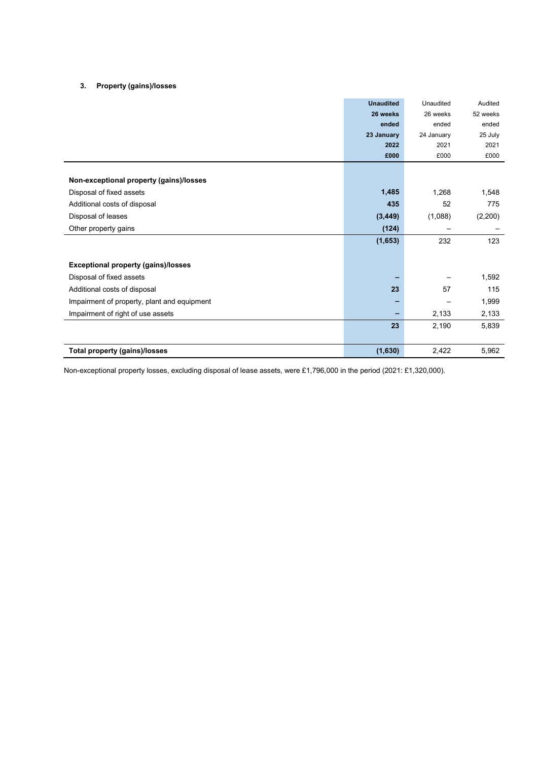#### 3. Property (gains)/losses

|                                             | <b>Unaudited</b> | Unaudited  | Audited  |
|---------------------------------------------|------------------|------------|----------|
|                                             | 26 weeks         | 26 weeks   | 52 weeks |
|                                             | ended            | ended      | ended    |
|                                             | 23 January       | 24 January | 25 July  |
|                                             | 2022             | 2021       | 2021     |
|                                             | £000             | £000       | £000     |
|                                             |                  |            |          |
| Non-exceptional property (gains)/losses     |                  |            |          |
| Disposal of fixed assets                    | 1,485            | 1,268      | 1,548    |
| Additional costs of disposal                | 435              | 52         | 775      |
| Disposal of leases                          | (3, 449)         | (1,088)    | (2,200)  |
| Other property gains                        | (124)            |            |          |
|                                             | (1,653)          | 232        | 123      |
|                                             |                  |            |          |
| <b>Exceptional property (gains)/losses</b>  |                  |            |          |
| Disposal of fixed assets                    |                  |            | 1,592    |
| Additional costs of disposal                | 23               | 57         | 115      |
| Impairment of property, plant and equipment |                  |            | 1,999    |
| Impairment of right of use assets           | -                | 2,133      | 2,133    |
|                                             | 23               | 2,190      | 5,839    |
|                                             |                  |            |          |
| <b>Total property (gains)/losses</b>        | (1,630)          | 2,422      | 5,962    |

Non-exceptional property losses, excluding disposal of lease assets, were £1,796,000 in the period (2021: £1,320,000).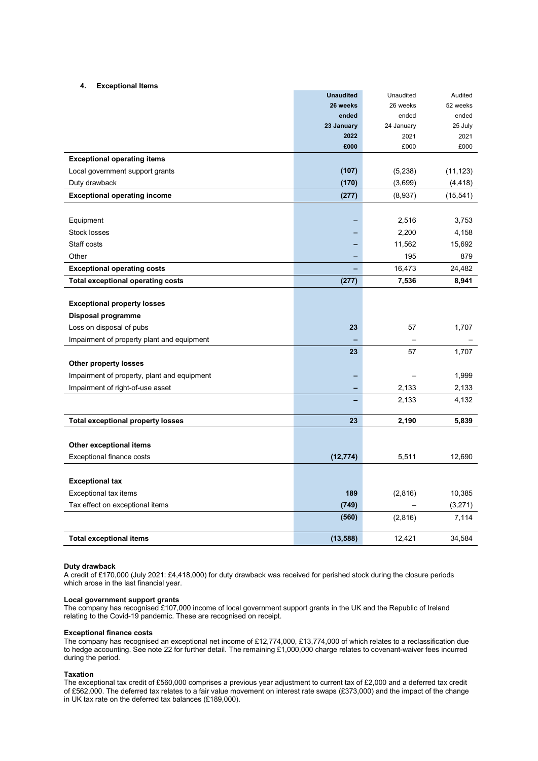#### 4. Exceptional Items

|                                             | <b>Unaudited</b> | Unaudited  | Audited   |
|---------------------------------------------|------------------|------------|-----------|
|                                             | 26 weeks         | 26 weeks   | 52 weeks  |
|                                             | ended            | ended      | ended     |
|                                             | 23 January       | 24 January | 25 July   |
|                                             | 2022             | 2021       | 2021      |
|                                             | £000             | £000       | £000      |
| <b>Exceptional operating items</b>          |                  |            |           |
| Local government support grants             | (107)            | (5,238)    | (11, 123) |
| Duty drawback                               | (170)            | (3,699)    | (4, 418)  |
| <b>Exceptional operating income</b>         | (277)            | (8,937)    | (15,541)  |
|                                             |                  |            |           |
| Equipment                                   |                  | 2,516      | 3,753     |
| Stock losses                                |                  | 2,200      | 4,158     |
| Staff costs                                 |                  | 11,562     | 15,692    |
| Other                                       |                  | 195        | 879       |
| <b>Exceptional operating costs</b>          |                  | 16,473     | 24,482    |
| <b>Total exceptional operating costs</b>    | (277)            | 7,536      | 8,941     |
|                                             |                  |            |           |
| <b>Exceptional property losses</b>          |                  |            |           |
| Disposal programme                          |                  |            |           |
| Loss on disposal of pubs                    | 23               | 57         | 1,707     |
| Impairment of property plant and equipment  |                  |            |           |
|                                             | 23               | 57         | 1,707     |
| Other property losses                       |                  |            |           |
| Impairment of property, plant and equipment |                  |            | 1,999     |
| Impairment of right-of-use asset            |                  | 2,133      | 2,133     |
|                                             |                  | 2,133      | 4,132     |
| <b>Total exceptional property losses</b>    | 23               | 2,190      | 5,839     |
|                                             |                  |            |           |
| Other exceptional items                     |                  |            |           |
| Exceptional finance costs                   | (12, 774)        | 5,511      | 12,690    |
|                                             |                  |            |           |
| <b>Exceptional tax</b>                      |                  |            |           |
| Exceptional tax items                       | 189              | (2,816)    | 10,385    |
| Tax effect on exceptional items             | (749)            |            | (3,271)   |
|                                             | (560)            | (2,816)    | 7,114     |
| <b>Total exceptional items</b>              | (13, 588)        | 12,421     | 34,584    |

#### Duty drawback

A credit of £170,000 (July 2021: £4,418,000) for duty drawback was received for perished stock during the closure periods which arose in the last financial year.

#### Local government support grants

The company has recognised £107,000 income of local government support grants in the UK and the Republic of Ireland relating to the Covid-19 pandemic. These are recognised on receipt.

#### Exceptional finance costs

The company has recognised an exceptional net income of £12,774,000, £13,774,000 of which relates to a reclassification due to hedge accounting. See note 22 for further detail. The remaining £1,000,000 charge relates to covenant-waiver fees incurred during the period.

#### Taxation

The exceptional tax credit of £560,000 comprises a previous year adjustment to current tax of £2,000 and a deferred tax credit of £562,000. The deferred tax relates to a fair value movement on interest rate swaps (£373,000) and the impact of the change in UK tax rate on the deferred tax balances (£189,000).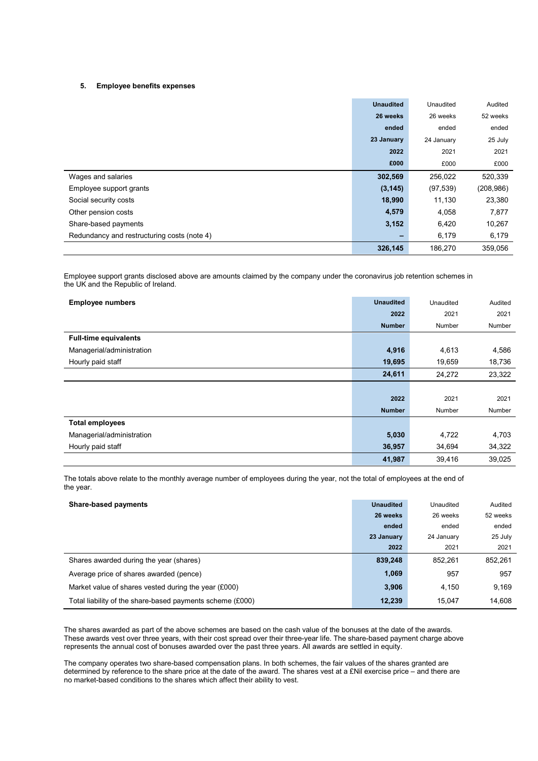#### 5. Employee benefits expenses

|                                             | <b>Unaudited</b> | Unaudited  | Audited    |
|---------------------------------------------|------------------|------------|------------|
|                                             | 26 weeks         | 26 weeks   | 52 weeks   |
|                                             | ended            | ended      | ended      |
|                                             | 23 January       | 24 January | 25 July    |
|                                             | 2022             | 2021       | 2021       |
|                                             | £000             | £000       | £000       |
| Wages and salaries                          | 302,569          | 256,022    | 520,339    |
| Employee support grants                     | (3, 145)         | (97, 539)  | (208, 986) |
| Social security costs                       | 18,990           | 11,130     | 23,380     |
| Other pension costs                         | 4,579            | 4,058      | 7,877      |
| Share-based payments                        | 3,152            | 6,420      | 10,267     |
| Redundancy and restructuring costs (note 4) | -                | 6,179      | 6,179      |
|                                             | 326,145          | 186.270    | 359,056    |

Employee support grants disclosed above are amounts claimed by the company under the coronavirus job retention schemes in the UK and the Republic of Ireland.

| <b>Employee numbers</b>      | <b>Unaudited</b> | Unaudited | Audited |
|------------------------------|------------------|-----------|---------|
|                              | 2022             | 2021      | 2021    |
|                              | <b>Number</b>    | Number    | Number  |
| <b>Full-time equivalents</b> |                  |           |         |
| Managerial/administration    | 4,916            | 4,613     | 4,586   |
| Hourly paid staff            | 19,695           | 19,659    | 18,736  |
|                              | 24,611           | 24,272    | 23,322  |
|                              |                  |           |         |
|                              | 2022             | 2021      | 2021    |
|                              | <b>Number</b>    | Number    | Number  |
| <b>Total employees</b>       |                  |           |         |
| Managerial/administration    | 5,030            | 4,722     | 4,703   |
| Hourly paid staff            | 36,957           | 34,694    | 34,322  |
|                              | 41,987           | 39,416    | 39,025  |

The totals above relate to the monthly average number of employees during the year, not the total of employees at the end of the year.

| <b>Share-based payments</b>                               | <b>Unaudited</b> | Unaudited  | Audited  |
|-----------------------------------------------------------|------------------|------------|----------|
|                                                           | 26 weeks         | 26 weeks   | 52 weeks |
|                                                           | ended            | ended      | ended    |
|                                                           | 23 January       | 24 January | 25 July  |
|                                                           | 2022             | 2021       | 2021     |
| Shares awarded during the year (shares)                   | 839,248          | 852.261    | 852,261  |
| Average price of shares awarded (pence)                   | 1,069            | 957        | 957      |
| Market value of shares vested during the year (£000)      | 3.906            | 4.150      | 9.169    |
| Total liability of the share-based payments scheme (£000) | 12,239           | 15.047     | 14.608   |

The shares awarded as part of the above schemes are based on the cash value of the bonuses at the date of the awards. These awards vest over three years, with their cost spread over their three-year life. The share-based payment charge above represents the annual cost of bonuses awarded over the past three years. All awards are settled in equity.

The company operates two share-based compensation plans. In both schemes, the fair values of the shares granted are determined by reference to the share price at the date of the award. The shares vest at a £Nil exercise price – and there are no market-based conditions to the shares which affect their ability to vest.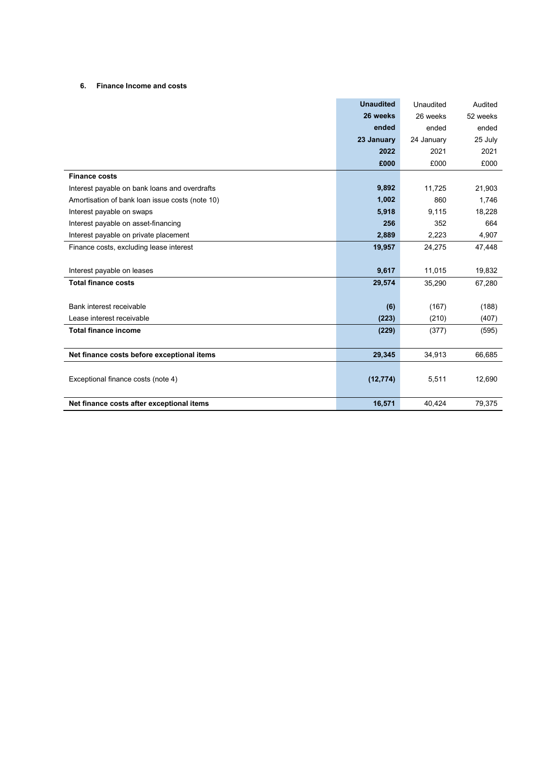### 6. Finance Income and costs

|                                                 | <b>Unaudited</b> | Unaudited  | Audited  |
|-------------------------------------------------|------------------|------------|----------|
|                                                 | 26 weeks         | 26 weeks   | 52 weeks |
|                                                 | ended            | ended      | ended    |
|                                                 | 23 January       | 24 January | 25 July  |
|                                                 | 2022             | 2021       | 2021     |
|                                                 | £000             | £000       | £000     |
| <b>Finance costs</b>                            |                  |            |          |
| Interest payable on bank loans and overdrafts   | 9,892            | 11,725     | 21,903   |
| Amortisation of bank loan issue costs (note 10) | 1,002            | 860        | 1,746    |
| Interest payable on swaps                       | 5,918            | 9,115      | 18,228   |
| Interest payable on asset-financing             | 256              | 352        | 664      |
| Interest payable on private placement           | 2,889            | 2,223      | 4,907    |
| Finance costs, excluding lease interest         | 19,957           | 24,275     | 47,448   |
|                                                 |                  |            |          |
| Interest payable on leases                      | 9,617            | 11,015     | 19,832   |
| <b>Total finance costs</b>                      | 29,574           | 35,290     | 67,280   |
|                                                 |                  |            |          |
| Bank interest receivable                        | (6)              | (167)      | (188)    |
| Lease interest receivable                       | (223)            | (210)      | (407)    |
| <b>Total finance income</b>                     | (229)            | (377)      | (595)    |
|                                                 |                  |            |          |
| Net finance costs before exceptional items      | 29,345           | 34,913     | 66,685   |
|                                                 |                  |            |          |
| Exceptional finance costs (note 4)              | (12, 774)        | 5,511      | 12,690   |
|                                                 |                  |            |          |
| Net finance costs after exceptional items       | 16,571           | 40.424     | 79,375   |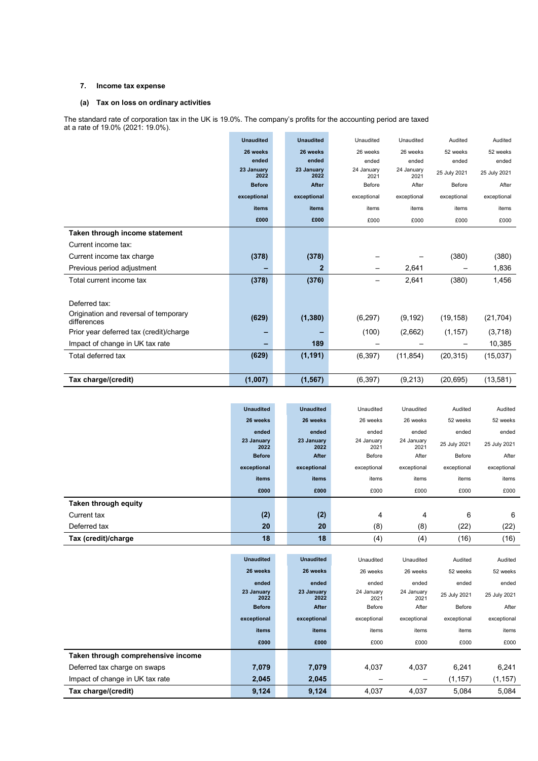#### 7. Income tax expense

### (a) Tax on loss on ordinary activities

The standard rate of corporation tax in the UK is 19.0%. The company's profits for the accounting period are taxed at a rate of 19.0% (2021: 19.0%).

|                                                      | <b>Unaudited</b>   | <b>Unaudited</b>   | Unaudited          | Unaudited          | Audited      | Audited      |
|------------------------------------------------------|--------------------|--------------------|--------------------|--------------------|--------------|--------------|
|                                                      | 26 weeks           | 26 weeks           | 26 weeks           | 26 weeks           | 52 weeks     | 52 weeks     |
|                                                      | ended              | ended              | ended              | ended              | ended        | ended        |
|                                                      | 23 January<br>2022 | 23 January<br>2022 | 24 January<br>2021 | 24 January<br>2021 | 25 July 2021 | 25 July 2021 |
|                                                      | <b>Before</b>      | After              | Before             | After              | Before       | After        |
|                                                      | exceptional        | exceptional        | exceptional        | exceptional        | exceptional  | exceptional  |
|                                                      | <b>items</b>       | items              | items              | items              | items        | items        |
|                                                      | £000               | £000               | £000               | £000               | £000         | £000         |
| Taken through income statement                       |                    |                    |                    |                    |              |              |
| Current income tax:                                  |                    |                    |                    |                    |              |              |
| Current income tax charge                            | (378)              | (378)              |                    |                    | (380)        | (380)        |
| Previous period adjustment                           |                    | $\overline{2}$     |                    | 2,641              |              | 1,836        |
| Total current income tax                             | (378)              | (376)              |                    | 2,641              | (380)        | 1,456        |
|                                                      |                    |                    |                    |                    |              |              |
| Deferred tax:                                        |                    |                    |                    |                    |              |              |
| Origination and reversal of temporary<br>differences | (629)              | (1, 380)           | (6, 297)           | (9, 192)           | (19, 158)    | (21, 704)    |
| Prior year deferred tax (credit)/charge              |                    |                    | (100)              | (2,662)            | (1, 157)     | (3,718)      |
| Impact of change in UK tax rate                      |                    | 189                |                    |                    |              | 10,385       |
| Total deferred tax                                   | (629)              | (1, 191)           | (6, 397)           | (11, 854)          | (20, 315)    | (15,037)     |
|                                                      |                    |                    |                    |                    |              |              |
| Tax charge/(credit)                                  | (1,007)            | (1, 567)           | (6, 397)           | (9,213)            | (20, 695)    | (13,581)     |

|                                    | <b>Unaudited</b>   | <b>Unaudited</b>   | Unaudited          | Unaudited          | Audited      | Audited      |
|------------------------------------|--------------------|--------------------|--------------------|--------------------|--------------|--------------|
|                                    | 26 weeks           | 26 weeks           | 26 weeks           | 26 weeks           | 52 weeks     | 52 weeks     |
|                                    | ended              | ended              | ended              | ended              | ended        | ended        |
|                                    | 23 January<br>2022 | 23 January<br>2022 | 24 January<br>2021 | 24 January<br>2021 | 25 July 2021 | 25 July 2021 |
|                                    | <b>Before</b>      | After              | Before             | After              | Before       | After        |
|                                    | exceptional        | exceptional        | exceptional        | exceptional        | exceptional  | exceptional  |
|                                    | items              | items              | items              | items              | items        | items        |
|                                    | £000               | £000               | £000               | £000               | £000         | £000         |
| Taken through equity               |                    |                    |                    |                    |              |              |
| Current tax                        | (2)                | (2)                | 4                  | 4                  | 6            | 6            |
| Deferred tax                       | 20                 | 20                 | (8)                | (8)                | (22)         | (22)         |
| Tax (credit)/charge                | 18                 | 18                 | (4)                | (4)                | (16)         | (16)         |
|                                    |                    |                    |                    |                    |              |              |
|                                    | <b>Unaudited</b>   | <b>Unaudited</b>   | Unaudited          | Unaudited          | Audited      | Audited      |
|                                    | 26 weeks           | 26 weeks           | 26 weeks           | 26 weeks           | 52 weeks     | 52 weeks     |
|                                    | ended              | ended              | ended              | ended              | ended        | ended        |
|                                    | 23 January<br>2022 | 23 January<br>2022 | 24 January<br>2021 | 24 January<br>2021 | 25 July 2021 | 25 July 2021 |
|                                    | <b>Before</b>      | After              | Before             | After              | Before       | After        |
|                                    | exceptional        | exceptional        | exceptional        | exceptional        | exceptional  | exceptional  |
|                                    | items              | <b>items</b>       | items              | items              | items        | items        |
|                                    | £000               | £000               | £000               | £000               | £000         | £000         |
| Taken through comprehensive income |                    |                    |                    |                    |              |              |
| Deferred tax charge on swaps       | 7,079              | 7,079              | 4,037              | 4,037              | 6,241        | 6,241        |
| Impact of change in UK tax rate    | 2,045              | 2,045              |                    |                    | (1, 157)     | (1, 157)     |
| Tax charge/(credit)                | 9,124              | 9,124              | 4,037              | 4,037              | 5,084        | 5,084        |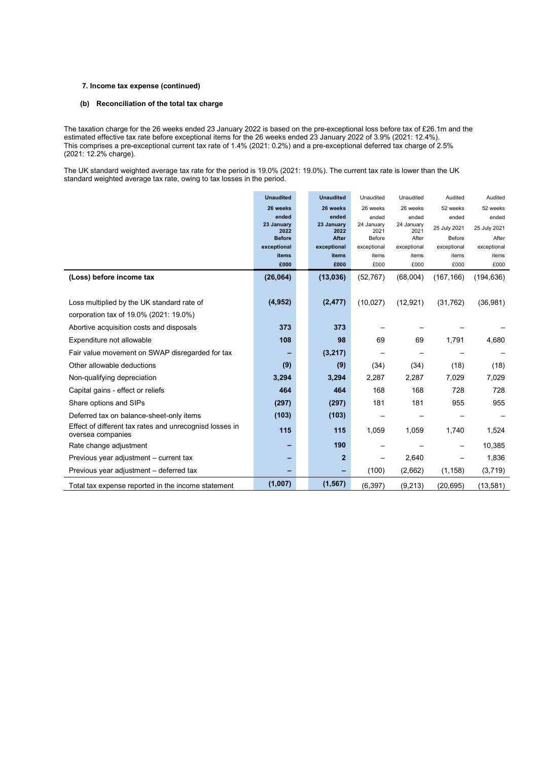#### 7. Income tax expense (continued)

#### (b) Reconciliation of the total tax charge

The taxation charge for the 26 weeks ended 23 January 2022 is based on the pre-exceptional loss before tax of £26.1m and the estimated effective tax rate before exceptional items for the 26 weeks ended 23 January 2022 of 3.9% (2021: 12.4%). This comprises a pre-exceptional current tax rate of 1.4% (2021: 0.2%) and a pre-exceptional deferred tax charge of 2.5% (2021: 12.2% charge).

The UK standard weighted average tax rate for the period is 19.0% (2021: 19.0%). The current tax rate is lower than the UK standard weighted average tax rate, owing to tax losses in the period.

|                                                                              | <b>Unaudited</b>   | <b>Unaudited</b>   | Unaudited                | Unaudited          | Audited      | Audited      |
|------------------------------------------------------------------------------|--------------------|--------------------|--------------------------|--------------------|--------------|--------------|
|                                                                              | 26 weeks           | 26 weeks           | 26 weeks                 | 26 weeks           | 52 weeks     | 52 weeks     |
|                                                                              | ended              | ended              | ended                    | ended              | ended        | ended        |
|                                                                              | 23 January<br>2022 | 23 January<br>2022 | 24 January<br>2021       | 24 January<br>2021 | 25 July 2021 | 25 July 2021 |
|                                                                              | <b>Before</b>      | After              | Before                   | After              | Before       | After        |
|                                                                              | exceptional        | exceptional        | exceptional              | exceptional        | exceptional  | exceptional  |
|                                                                              | items              | items              | items                    | items              | items        | items        |
|                                                                              | £000               | £000               | £000                     | £000               | £000         | £000         |
| (Loss) before income tax                                                     | (26,064)           | (13,036)           | (52, 767)                | (68,004)           | (167, 166)   | (194, 636)   |
|                                                                              |                    |                    |                          |                    |              |              |
| Loss multiplied by the UK standard rate of                                   | (4, 952)           | (2, 477)           | (10,027)                 | (12, 921)          | (31, 762)    | (36, 981)    |
| corporation tax of 19.0% (2021: 19.0%)                                       |                    |                    |                          |                    |              |              |
| Abortive acquisition costs and disposals                                     | 373                | 373                |                          |                    |              |              |
| Expenditure not allowable                                                    | 108                | 98                 | 69                       | 69                 | 1,791        | 4,680        |
| Fair value movement on SWAP disregarded for tax                              |                    | (3,217)            | $\overline{\phantom{0}}$ |                    |              |              |
| Other allowable deductions                                                   | (9)                | (9)                | (34)                     | (34)               | (18)         | (18)         |
| Non-qualifying depreciation                                                  | 3,294              | 3,294              | 2,287                    | 2,287              | 7,029        | 7,029        |
| Capital gains - effect or reliefs                                            | 464                | 464                | 168                      | 168                | 728          | 728          |
| Share options and SIPs                                                       | (297)              | (297)              | 181                      | 181                | 955          | 955          |
| Deferred tax on balance-sheet-only items                                     | (103)              | (103)              |                          |                    |              |              |
| Effect of different tax rates and unrecognisd losses in<br>oversea companies | 115                | 115                | 1,059                    | 1,059              | 1,740        | 1,524        |
| Rate change adjustment                                                       |                    | 190                |                          |                    |              | 10,385       |
| Previous year adjustment – current tax                                       |                    | $\mathbf{2}$       |                          | 2,640              |              | 1,836        |
| Previous year adjustment – deferred tax                                      |                    |                    | (100)                    | (2,662)            | (1, 158)     | (3,719)      |
| Total tax expense reported in the income statement                           | (1,007)            | (1, 567)           | (6, 397)                 | (9,213)            | (20,695)     | (13, 581)    |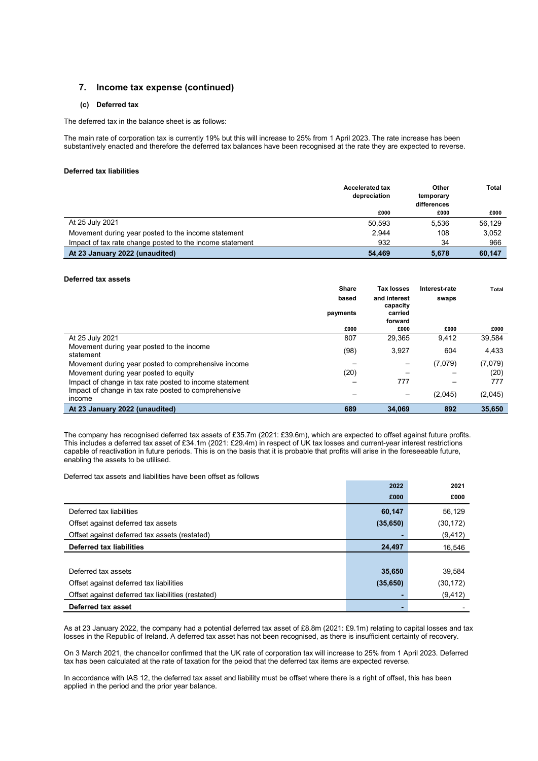### 7. Income tax expense (continued)

#### (c) Deferred tax

The deferred tax in the balance sheet is as follows:

The main rate of corporation tax is currently 19% but this will increase to 25% from 1 April 2023. The rate increase has been substantively enacted and therefore the deferred tax balances have been recognised at the rate they are expected to reverse.

#### Deferred tax liabilities

|                                                          | <b>Accelerated tax</b><br>depreciation | Other<br>temporary<br>differences | <b>Total</b> |
|----------------------------------------------------------|----------------------------------------|-----------------------------------|--------------|
|                                                          | £000                                   | £000                              | £000         |
| At 25 July 2021                                          | 50.593                                 | 5,536                             | 56.129       |
| Movement during year posted to the income statement      | 2.944                                  | 108                               | 3,052        |
| Impact of tax rate change posted to the income statement | 932                                    | 34                                | 966          |
| At 23 January 2022 (unaudited)                           | 54.469                                 | 5.678                             | 60.147       |

#### Deferred tax assets

|                                                         | <b>Share</b> | Tax losses          | Interest-rate | <b>Total</b> |
|---------------------------------------------------------|--------------|---------------------|---------------|--------------|
|                                                         | based        | and interest        | swaps         |              |
|                                                         | payments     | capacity<br>carried |               |              |
|                                                         |              | forward             |               |              |
|                                                         | £000         | £000                | £000          | £000         |
| At 25 July 2021                                         | 807          | 29,365              | 9,412         | 39,584       |
| Movement during year posted to the income               | (98)         | 3,927               | 604           | 4,433        |
| statement                                               |              |                     |               |              |
| Movement during year posted to comprehensive income     |              |                     | (7,079)       | (7,079)      |
| Movement during year posted to equity                   | (20)         |                     |               | (20)         |
| Impact of change in tax rate posted to income statement |              | 777                 |               | 777          |
| Impact of change in tax rate posted to comprehensive    |              |                     | (2,045)       | (2,045)      |
| income                                                  |              |                     |               |              |
| At 23 January 2022 (unaudited)                          | 689          | 34.069              | 892           | 35,650       |

The company has recognised deferred tax assets of £35.7m (2021: £39.6m), which are expected to offset against future profits. This includes a deferred tax asset of £34.1m (2021: £29.4m) in respect of UK tax losses and current-year interest restrictions capable of reactivation in future periods. This is on the basis that it is probable that profits will arise in the foreseeable future, enabling the assets to be utilised.

Deferred tax assets and liabilities have been offset as follows

|                                                    | 2022      | 2021      |
|----------------------------------------------------|-----------|-----------|
|                                                    | £000      | £000      |
| Deferred tax liabilities                           | 60,147    | 56,129    |
| Offset against deferred tax assets                 | (35, 650) | (30, 172) |
| Offset against deferred tax assets (restated)      |           | (9, 412)  |
| <b>Deferred tax liabilities</b>                    | 24,497    | 16,546    |
|                                                    |           |           |
| Deferred tax assets                                | 35,650    | 39,584    |
| Offset against deferred tax liabilities            | (35, 650) | (30, 172) |
| Offset against deferred tax liabilities (restated) |           | (9, 412)  |
| Deferred tax asset                                 |           |           |

As at 23 January 2022, the company had a potential deferred tax asset of £8.8m (2021: £9.1m) relating to capital losses and tax losses in the Republic of Ireland. A deferred tax asset has not been recognised, as there is insufficient certainty of recovery.

On 3 March 2021, the chancellor confirmed that the UK rate of corporation tax will increase to 25% from 1 April 2023. Deferred tax has been calculated at the rate of taxation for the peiod that the deferred tax items are expected reverse.

In accordance with IAS 12, the deferred tax asset and liability must be offset where there is a right of offset, this has been applied in the period and the prior year balance.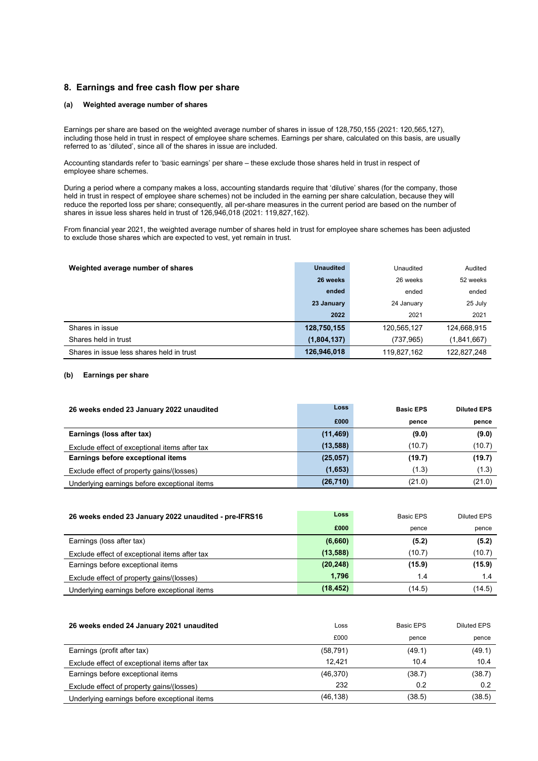#### 8. Earnings and free cash flow per share

#### (a) Weighted average number of shares

Earnings per share are based on the weighted average number of shares in issue of 128,750,155 (2021: 120,565,127), including those held in trust in respect of employee share schemes. Earnings per share, calculated on this basis, are usually referred to as 'diluted', since all of the shares in issue are included.

Accounting standards refer to 'basic earnings' per share – these exclude those shares held in trust in respect of employee share schemes.

During a period where a company makes a loss, accounting standards require that 'dilutive' shares (for the company, those held in trust in respect of employee share schemes) not be included in the earning per share calculation, because they will reduce the reported loss per share; consequently, all per-share measures in the current period are based on the number of shares in issue less shares held in trust of 126,946,018 (2021: 119,827,162).

From financial year 2021, the weighted average number of shares held in trust for employee share schemes has been adjusted to exclude those shares which are expected to vest, yet remain in trust.

| Weighted average number of shares         | <b>Unaudited</b> | Unaudited   | Audited     |
|-------------------------------------------|------------------|-------------|-------------|
|                                           | 26 weeks         | 26 weeks    | 52 weeks    |
|                                           | ended            | ended       | ended       |
|                                           | 23 January       | 24 January  | 25 July     |
|                                           | 2022             | 2021        | 2021        |
| Shares in issue                           | 128,750,155      | 120,565,127 | 124,668,915 |
| Shares held in trust                      | (1,804,137)      | (737, 965)  | (1,841,667) |
| Shares in issue less shares held in trust | 126,946,018      | 119,827,162 | 122,827,248 |

#### (b) Earnings per share

| 26 weeks ended 23 January 2022 unaudited      | Loss      | <b>Basic EPS</b> | <b>Diluted EPS</b> |
|-----------------------------------------------|-----------|------------------|--------------------|
|                                               | £000      | pence            | pence              |
| Earnings (loss after tax)                     | (11, 469) | (9.0)            | (9.0)              |
| Exclude effect of exceptional items after tax | (13,588)  | (10.7)           | (10.7)             |
| Earnings before exceptional items             | (25,057)  | (19.7)           | (19.7)             |
| Exclude effect of property gains/(losses)     | (1,653)   | (1.3)            | (1.3)              |
| Underlying earnings before exceptional items  | (26, 710) | (21.0)           | (21.0)             |

| 26 weeks ended 23 January 2022 unaudited - pre-IFRS16 | Loss      | Basic EPS | Diluted EPS |
|-------------------------------------------------------|-----------|-----------|-------------|
|                                                       | £000      | pence     | pence       |
| Earnings (loss after tax)                             | (6,660)   | (5.2)     | (5.2)       |
| Exclude effect of exceptional items after tax         | (13, 588) | (10.7)    | (10.7)      |
| Earnings before exceptional items                     | (20, 248) | (15.9)    | (15.9)      |
| Exclude effect of property gains/(losses)             | 1.796     | 1.4       | 1.4         |
| Underlying earnings before exceptional items          | (18, 452) | (14.5)    | (14.5)      |

| 26 weeks ended 24 January 2021 unaudited      | Loss      | Basic EPS | Diluted EPS |
|-----------------------------------------------|-----------|-----------|-------------|
|                                               | £000      | pence     | pence       |
| Earnings (profit after tax)                   | (58, 791) | (49.1)    | (49.1)      |
| Exclude effect of exceptional items after tax | 12.421    | 10.4      | 10.4        |
| Earnings before exceptional items             | (46,370)  | (38.7)    | (38.7)      |
| Exclude effect of property gains/(losses)     | 232       | 0.2       | 0.2         |
| Underlying earnings before exceptional items  | (46, 138) | (38.5)    | (38.5)      |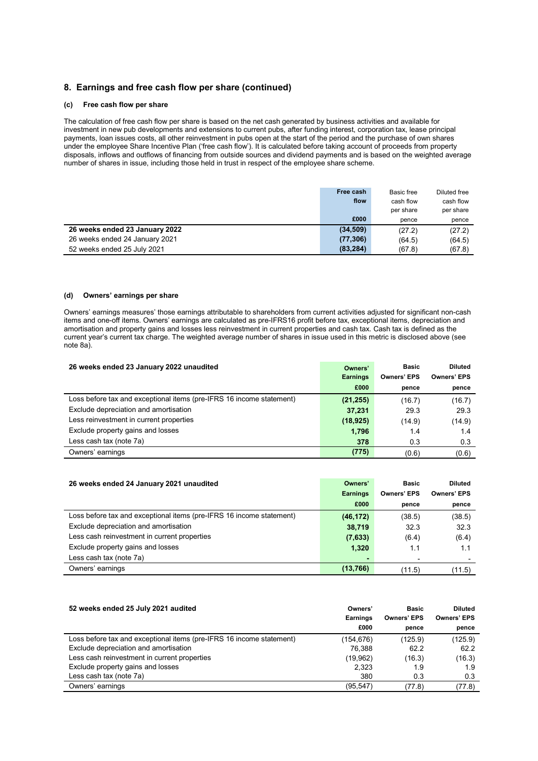### 8. Earnings and free cash flow per share (continued)

#### (c) Free cash flow per share

The calculation of free cash flow per share is based on the net cash generated by business activities and available for investment in new pub developments and extensions to current pubs, after funding interest, corporation tax, lease principal payments, loan issues costs, all other reinvestment in pubs open at the start of the period and the purchase of own shares under the employee Share Incentive Plan ('free cash flow'). It is calculated before taking account of proceeds from property disposals, inflows and outflows of financing from outside sources and dividend payments and is based on the weighted average number of shares in issue, including those held in trust in respect of the employee share scheme.

|                                | Free cash | Basic free | Diluted free |
|--------------------------------|-----------|------------|--------------|
|                                | flow      | cash flow  | cash flow    |
|                                |           | per share  | per share    |
|                                | £000      | pence      | pence        |
| 26 weeks ended 23 January 2022 | (34, 509) | (27.2)     | (27.2)       |
| 26 weeks ended 24 January 2021 | (77, 306) | (64.5)     | (64.5)       |
| 52 weeks ended 25 July 2021    | (83, 284) | (67.8)     | (67.8)       |

#### (d) Owners' earnings per share

Owners' earnings measures' those earnings attributable to shareholders from current activities adjusted for significant non-cash items and one-off items. Owners' earnings are calculated as pre-IFRS16 profit before tax, exceptional items, depreciation and amortisation and property gains and losses less reinvestment in current properties and cash tax. Cash tax is defined as the current year's current tax charge. The weighted average number of shares in issue used in this metric is disclosed above (see note 8a).

| 26 weeks ended 23 January 2022 unaudited                             | Owners'<br><b>Earnings</b> | <b>Basic</b><br><b>Owners' EPS</b> | <b>Diluted</b><br><b>Owners' EPS</b> |
|----------------------------------------------------------------------|----------------------------|------------------------------------|--------------------------------------|
|                                                                      | £000                       | pence                              | pence                                |
| Loss before tax and exceptional items (pre-IFRS 16 income statement) | (21, 255)                  | (16.7)                             | (16.7)                               |
| Exclude depreciation and amortisation                                | 37,231                     | 29.3                               | 29.3                                 |
| Less reinvestment in current properties                              | (18, 925)                  | (14.9)                             | (14.9)                               |
| Exclude property gains and losses                                    | 1,796                      | 1.4                                | 1.4                                  |
| Less cash tax (note 7a)                                              | 378                        | 0.3                                | 0.3                                  |
| Owners' earnings                                                     | (775)                      | (0.6)                              | (0.6)                                |

| 26 weeks ended 24 January 2021 unaudited                             | Owners'         | <b>Basic</b>       | <b>Diluted</b>     |
|----------------------------------------------------------------------|-----------------|--------------------|--------------------|
|                                                                      | <b>Earnings</b> | <b>Owners' EPS</b> | <b>Owners' EPS</b> |
|                                                                      | £000            | pence              | pence              |
| Loss before tax and exceptional items (pre-IFRS 16 income statement) | (46, 172)       | (38.5)             | (38.5)             |
| Exclude depreciation and amortisation                                | 38,719          | 32.3               | 32.3               |
| Less cash reinvestment in current properties                         | (7,633)         | (6.4)              | (6.4)              |
| Exclude property gains and losses                                    | 1,320           | 1.1                | 1.1                |
| Less cash tax (note 7a)                                              |                 | ۰                  |                    |
| Owners' earnings                                                     | (13,766)        | (11.5)             | (11.5)             |

| 52 weeks ended 25 July 2021 audited                                  | Owners'<br><b>Earnings</b> | Basic<br><b>Owners' EPS</b> | <b>Diluted</b><br><b>Owners' EPS</b> |
|----------------------------------------------------------------------|----------------------------|-----------------------------|--------------------------------------|
|                                                                      | £000                       | pence                       | pence                                |
| Loss before tax and exceptional items (pre-IFRS 16 income statement) | (154,676)                  | (125.9)                     | (125.9)                              |
| Exclude depreciation and amortisation                                | 76.388                     | 62.2                        | 62.2                                 |
| Less cash reinvestment in current properties                         | (19,962)                   | (16.3)                      | (16.3)                               |
| Exclude property gains and losses                                    | 2,323                      | 1.9                         | 1.9                                  |
| Less cash tax (note 7a)                                              | 380                        | 0.3                         | 0.3                                  |
| Owners' earnings                                                     | (95, 547)                  | (77.8)                      | (77.8)                               |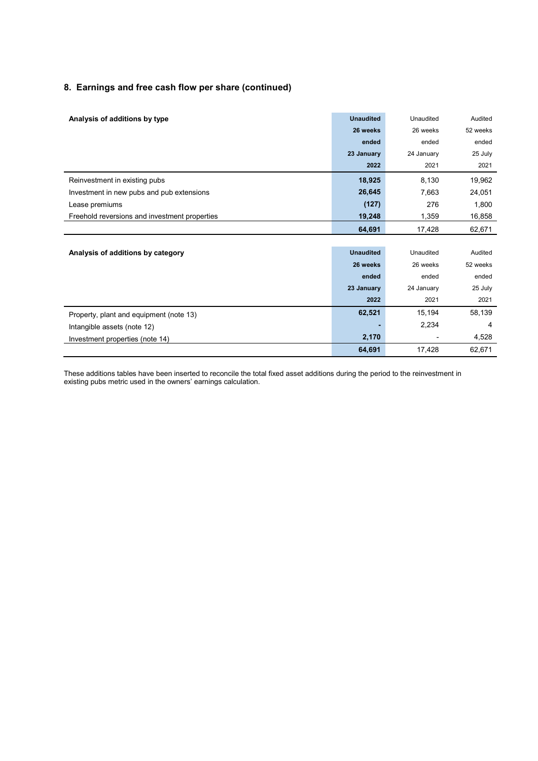### 8. Earnings and free cash flow per share (continued)

| Analysis of additions by type                 | <b>Unaudited</b> | Unaudited  | Audited  |
|-----------------------------------------------|------------------|------------|----------|
|                                               | 26 weeks         | 26 weeks   | 52 weeks |
|                                               | ended            | ended      | ended    |
|                                               | 23 January       | 24 January | 25 July  |
|                                               | 2022             | 2021       | 2021     |
| Reinvestment in existing pubs                 | 18,925           | 8,130      | 19,962   |
| Investment in new pubs and pub extensions     | 26,645           | 7,663      | 24,051   |
| Lease premiums                                | (127)            | 276        | 1,800    |
| Freehold reversions and investment properties | 19,248           | 1,359      | 16,858   |
|                                               | 64,691           | 17,428     | 62,671   |
|                                               |                  |            |          |
| Analysis of additions by category             | <b>Unaudited</b> | Unaudited  | Audited  |
|                                               | 26 weeks         | 26 weeks   | 52 weeks |
|                                               | ended            | ended      | ended    |
|                                               | 23 January       | 24 January | 25 July  |
|                                               | 2022             | 2021       | 2021     |
| Property, plant and equipment (note 13)       | 62,521           | 15,194     | 58,139   |
| Intangible assets (note 12)                   |                  | 2,234      | 4        |
| Investment properties (note 14)               | 2,170            |            | 4,528    |
|                                               | 64,691           | 17,428     | 62,671   |

These additions tables have been inserted to reconcile the total fixed asset additions during the period to the reinvestment in existing pubs metric used in the owners' earnings calculation.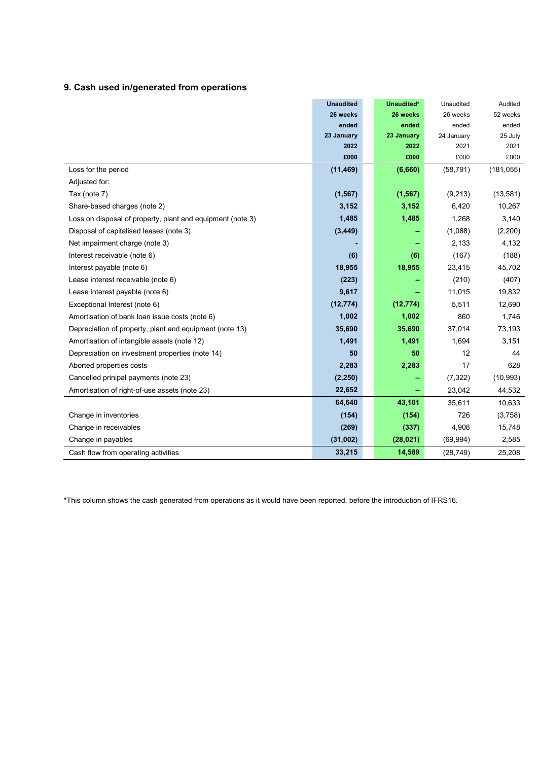### 9. Cash used in/generated from operations

|                                                            | <b>Unaudited</b> | Unaudited* | Unaudited  | Audited    |
|------------------------------------------------------------|------------------|------------|------------|------------|
|                                                            | 26 weeks         | 26 weeks   | 26 weeks   | 52 weeks   |
|                                                            | ended            | ended      | ended      | ended      |
|                                                            | 23 January       | 23 January | 24 January | 25 July    |
|                                                            | 2022             | 2022       | 2021       | 2021       |
|                                                            | £000             | £000       | £000       | £000       |
| Loss for the period                                        | (11, 469)        | (6,660)    | (58, 791)  | (181, 055) |
| Adjusted for:                                              |                  |            |            |            |
| Tax (note 7)                                               | (1, 567)         | (1, 567)   | (9,213)    | (13, 581)  |
| Share-based charges (note 2)                               | 3,152            | 3,152      | 6.420      | 10,267     |
| Loss on disposal of property, plant and equipment (note 3) | 1,485            | 1,485      | 1,268      | 3,140      |
| Disposal of capitalised leases (note 3)                    | (3, 449)         |            | (1,088)    | (2,200)    |
| Net impairment charge (note 3)                             |                  |            | 2,133      | 4,132      |
| Interest receivable (note 6)                               | (6)              | (6)        | (167)      | (188)      |
| Interest payable (note 6)                                  | 18,955           | 18,955     | 23,415     | 45,702     |
| Lease interest receivable (note 6)                         | (223)            |            | (210)      | (407)      |
| Lease interest payable (note 6)                            | 9,617            |            | 11,015     | 19,832     |
| Exceptional Interest (note 6)                              | (12, 774)        | (12, 774)  | 5,511      | 12,690     |
| Amortisation of bank loan issue costs (note 6)             | 1,002            | 1,002      | 860        | 1,746      |
| Depreciation of property, plant and equipment (note 13)    | 35,690           | 35,690     | 37,014     | 73,193     |
| Amortisation of intangible assets (note 12)                | 1,491            | 1,491      | 1,694      | 3,151      |
| Depreciation on investment properties (note 14)            | 50               | 50         | 12         | 44         |
| Aborted properties costs                                   | 2,283            | 2,283      | 17         | 628        |
| Cancelled prinipal payments (note 23)                      | (2, 250)         |            | (7, 322)   | (10, 993)  |
| Amortisation of right-of-use assets (note 23)              | 22,652           |            | 23,042     | 44,532     |
|                                                            | 64,640           | 43,101     | 35,611     | 10,633     |
| Change in inventories                                      | (154)            | (154)      | 726        | (3,758)    |
| Change in receivables                                      | (269)            | (337)      | 4,908      | 15,748     |
| Change in payables                                         | (31,002)         | (28, 021)  | (69, 994)  | 2,585      |
| Cash flow from operating activities                        | 33,215           | 14,589     | (28, 749)  | 25,208     |

\*This column shows the cash generated from operations as it would have been reported, before the introduction of IFRS16.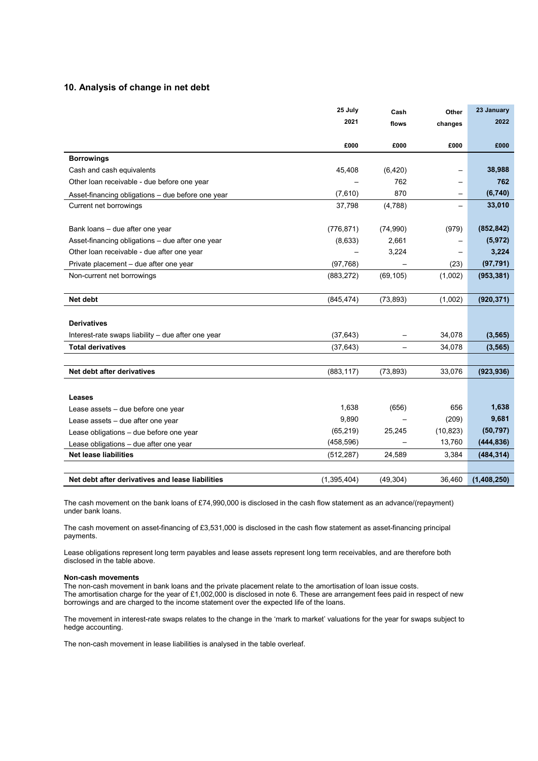### 10. Analysis of change in net debt

|                                                    | 25 July       | Cash              | Other     | 23 January  |
|----------------------------------------------------|---------------|-------------------|-----------|-------------|
|                                                    | 2021          | flows             | changes   | 2022        |
|                                                    |               |                   |           |             |
|                                                    | £000          | £000              | £000      | £000        |
| <b>Borrowings</b>                                  |               |                   |           |             |
| Cash and cash equivalents                          | 45,408        | (6, 420)          |           | 38,988      |
| Other loan receivable - due before one year        |               | 762               |           | 762         |
| Asset-financing obligations - due before one year  | (7,610)       | 870               |           | (6,740)     |
| Current net borrowings                             | 37,798        | (4,788)           |           | 33,010      |
|                                                    |               |                   |           |             |
| Bank loans - due after one year                    | (776, 871)    | (74,990)          | (979)     | (852, 842)  |
| Asset-financing obligations - due after one year   | (8,633)       | 2,661             |           | (5, 972)    |
| Other loan receivable - due after one year         |               | 3,224             | —         | 3,224       |
| Private placement - due after one year             | (97, 768)     |                   | (23)      | (97, 791)   |
| Non-current net borrowings                         | (883, 272)    | (69, 105)         | (1,002)   | (953, 381)  |
|                                                    |               |                   |           |             |
| Net debt                                           | (845, 474)    | (73, 893)         | (1,002)   | (920, 371)  |
|                                                    |               |                   |           |             |
| <b>Derivatives</b>                                 |               |                   |           |             |
| Interest-rate swaps liability - due after one year | (37, 643)     | $\qquad \qquad -$ | 34,078    | (3, 565)    |
| <b>Total derivatives</b>                           | (37, 643)     | $\qquad \qquad -$ | 34,078    | (3, 565)    |
|                                                    |               |                   |           |             |
| Net debt after derivatives                         | (883, 117)    | (73, 893)         | 33,076    | (923, 936)  |
|                                                    |               |                   |           |             |
| Leases                                             |               |                   |           |             |
| Lease assets - due before one year                 | 1,638         | (656)             | 656       | 1,638       |
| Lease assets - due after one year                  | 9,890         |                   | (209)     | 9,681       |
| Lease obligations - due before one year            | (65, 219)     | 25,245            | (10, 823) | (50, 797)   |
| Lease obligations - due after one year             | (458, 596)    |                   | 13,760    | (444, 836)  |
| <b>Net lease liabilities</b>                       | (512, 287)    | 24,589            | 3,384     | (484, 314)  |
|                                                    |               |                   |           |             |
| Net debt after derivatives and lease liabilities   | (1, 395, 404) | (49, 304)         | 36,460    | (1,408,250) |

The cash movement on the bank loans of £74,990,000 is disclosed in the cash flow statement as an advance/(repayment) under bank loans.

The cash movement on asset-financing of £3,531,000 is disclosed in the cash flow statement as asset-financing principal payments.

Lease obligations represent long term payables and lease assets represent long term receivables, and are therefore both disclosed in the table above.

#### Non-cash movements

The non-cash movement in bank loans and the private placement relate to the amortisation of loan issue costs. The amortisation charge for the year of £1,002,000 is disclosed in note 6. These are arrangement fees paid in respect of new borrowings and are charged to the income statement over the expected life of the loans.

The movement in interest-rate swaps relates to the change in the 'mark to market' valuations for the year for swaps subject to hedge accounting.

The non-cash movement in lease liabilities is analysed in the table overleaf.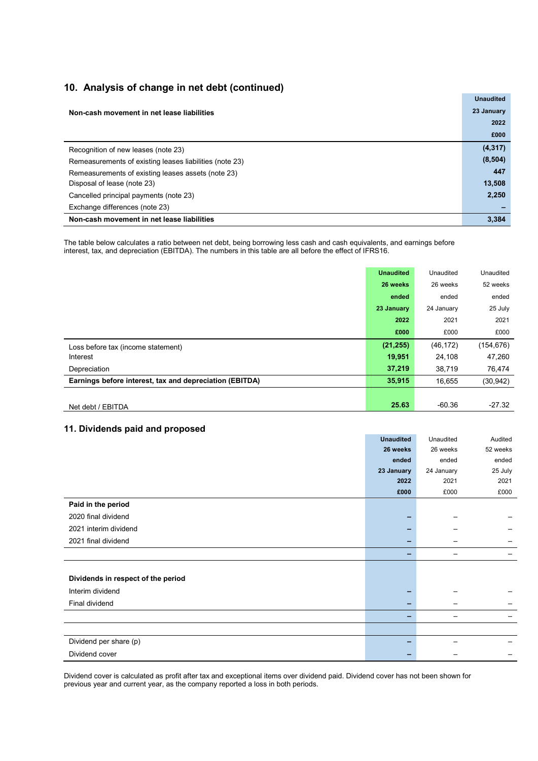### 10. Analysis of change in net debt (continued)

|                                                         | <b>Unaudited</b> |
|---------------------------------------------------------|------------------|
| Non-cash movement in net lease liabilities              | 23 January       |
|                                                         | 2022             |
|                                                         | £000             |
| Recognition of new leases (note 23)                     | (4, 317)         |
| Remeasurements of existing leases liabilities (note 23) | (8, 504)         |
| Remeasurements of existing leases assets (note 23)      | 447              |
| Disposal of lease (note 23)                             | 13,508           |
| Cancelled principal payments (note 23)                  | 2,250            |
| Exchange differences (note 23)                          |                  |
| Non-cash movement in net lease liabilities              | 3.384            |

The table below calculates a ratio between net debt, being borrowing less cash and cash equivalents, and earnings before interest, tax, and depreciation (EBITDA). The numbers in this table are all before the effect of IFRS16.

|                                                         | <b>Unaudited</b> | Unaudited  | Unaudited  |
|---------------------------------------------------------|------------------|------------|------------|
|                                                         | 26 weeks         | 26 weeks   | 52 weeks   |
|                                                         | ended            | ended      | ended      |
|                                                         | 23 January       | 24 January | 25 July    |
|                                                         | 2022             | 2021       | 2021       |
|                                                         | £000             | £000       | £000       |
| Loss before tax (income statement)                      | (21, 255)        | (46, 172)  | (154, 676) |
| Interest                                                | 19,951           | 24,108     | 47,260     |
| Depreciation                                            | 37,219           | 38,719     | 76,474     |
| Earnings before interest, tax and depreciation (EBITDA) | 35,915           | 16,655     | (30, 942)  |
|                                                         |                  |            |            |
| Net debt / EBITDA                                       | 25.63            | $-60.36$   | $-27.32$   |

### 11. Dividends paid and proposed

|                                    | <b>Unaudited</b> | Unaudited  | Audited  |
|------------------------------------|------------------|------------|----------|
|                                    | 26 weeks         | 26 weeks   | 52 weeks |
|                                    | ended            | ended      | ended    |
|                                    | 23 January       | 24 January | 25 July  |
|                                    | 2022             | 2021       | 2021     |
|                                    | £000             | £000       | £000     |
| Paid in the period                 |                  |            |          |
| 2020 final dividend                |                  |            |          |
| 2021 interim dividend              |                  |            |          |
| 2021 final dividend                |                  |            |          |
|                                    |                  |            |          |
|                                    |                  |            |          |
| Dividends in respect of the period |                  |            |          |
| Interim dividend                   |                  |            |          |
| Final dividend                     |                  |            |          |
|                                    |                  |            |          |
|                                    |                  |            |          |
| Dividend per share (p)             |                  |            |          |
| Dividend cover                     |                  |            |          |

Dividend cover is calculated as profit after tax and exceptional items over dividend paid. Dividend cover has not been shown for previous year and current year, as the company reported a loss in both periods.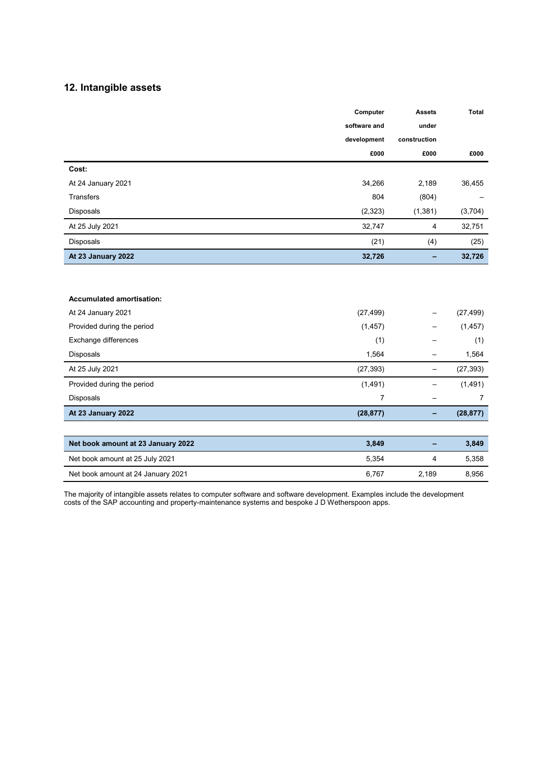### 12. Intangible assets

|                                    | Computer       | <b>Assets</b>            | <b>Total</b>   |
|------------------------------------|----------------|--------------------------|----------------|
|                                    | software and   | under                    |                |
|                                    | development    | construction             |                |
|                                    | £000           | £000                     | £000           |
| Cost:                              |                |                          |                |
| At 24 January 2021                 | 34,266         | 2,189                    | 36,455         |
| <b>Transfers</b>                   | 804            | (804)                    |                |
| Disposals                          | (2, 323)       | (1, 381)                 | (3,704)        |
| At 25 July 2021                    | 32,747         | $\overline{4}$           | 32,751         |
| Disposals                          | (21)           | (4)                      | (25)           |
| At 23 January 2022                 | 32,726         | -                        | 32,726         |
|                                    |                |                          |                |
|                                    |                |                          |                |
| <b>Accumulated amortisation:</b>   |                |                          |                |
| At 24 January 2021                 | (27, 499)      |                          | (27, 499)      |
| Provided during the period         | (1, 457)       |                          | (1, 457)       |
| Exchange differences               | (1)            |                          | (1)            |
| Disposals                          | 1,564          | $\overline{\phantom{0}}$ | 1,564          |
| At 25 July 2021                    | (27, 393)      | $\overline{\phantom{0}}$ | (27, 393)      |
| Provided during the period         | (1, 491)       | $\overline{\phantom{0}}$ | (1,491)        |
| Disposals                          | $\overline{7}$ | $\qquad \qquad -$        | $\overline{7}$ |
| At 23 January 2022                 | (28, 877)      | -                        | (28, 877)      |
|                                    |                |                          |                |
| Net book amount at 23 January 2022 | 3,849          | -                        | 3,849          |
| Net book amount at 25 July 2021    | 5,354          | 4                        | 5,358          |
| Net book amount at 24 January 2021 | 6,767          | 2,189                    | 8,956          |

The majority of intangible assets relates to computer software and software development. Examples include the development costs of the SAP accounting and property-maintenance systems and bespoke J D Wetherspoon apps.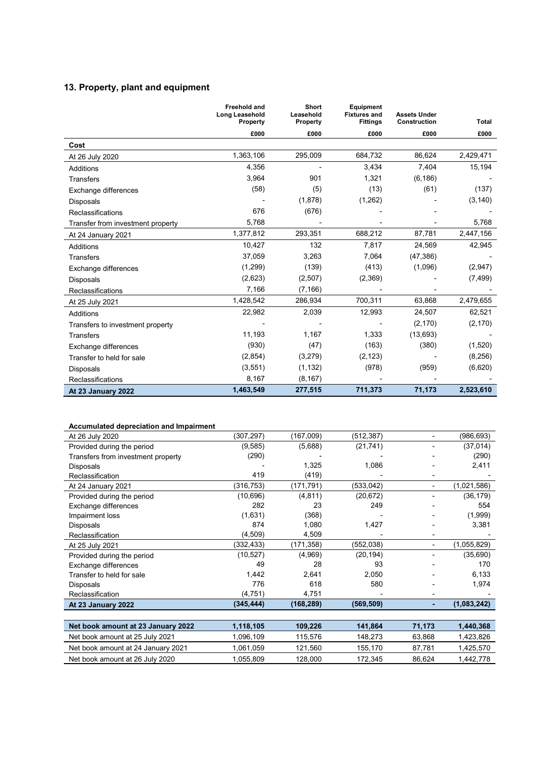### 13. Property, plant and equipment

|                                   | <b>Freehold and</b><br><b>Long Leasehold</b><br>Property | <b>Short</b><br>Leasehold<br>Property | <b>Equipment</b><br><b>Fixtures and</b><br><b>Fittings</b> | <b>Assets Under</b><br>Construction | <b>Total</b> |
|-----------------------------------|----------------------------------------------------------|---------------------------------------|------------------------------------------------------------|-------------------------------------|--------------|
|                                   | £000                                                     | £000                                  | £000                                                       | £000                                | £000         |
| Cost                              |                                                          |                                       |                                                            |                                     |              |
| At 26 July 2020                   | 1,363,106                                                | 295,009                               | 684,732                                                    | 86,624                              | 2,429,471    |
| Additions                         | 4,356                                                    |                                       | 3,434                                                      | 7,404                               | 15,194       |
| <b>Transfers</b>                  | 3,964                                                    | 901                                   | 1,321                                                      | (6, 186)                            |              |
| Exchange differences              | (58)                                                     | (5)                                   | (13)                                                       | (61)                                | (137)        |
| Disposals                         |                                                          | (1,878)                               | (1,262)                                                    |                                     | (3, 140)     |
| Reclassifications                 | 676                                                      | (676)                                 |                                                            |                                     |              |
| Transfer from investment property | 5,768                                                    |                                       |                                                            |                                     | 5,768        |
| At 24 January 2021                | 1,377,812                                                | 293,351                               | 688,212                                                    | 87,781                              | 2,447,156    |
| Additions                         | 10,427                                                   | 132                                   | 7,817                                                      | 24,569                              | 42,945       |
| <b>Transfers</b>                  | 37,059                                                   | 3,263                                 | 7,064                                                      | (47, 386)                           |              |
| Exchange differences              | (1,299)                                                  | (139)                                 | (413)                                                      | (1,096)                             | (2,947)      |
| <b>Disposals</b>                  | (2,623)                                                  | (2,507)                               | (2,369)                                                    |                                     | (7, 499)     |
| Reclassifications                 | 7,166                                                    | (7, 166)                              |                                                            |                                     |              |
| At 25 July 2021                   | 1,428,542                                                | 286,934                               | 700,311                                                    | 63,868                              | 2,479,655    |
| Additions                         | 22,982                                                   | 2,039                                 | 12,993                                                     | 24,507                              | 62,521       |
| Transfers to investment property  |                                                          |                                       |                                                            | (2, 170)                            | (2, 170)     |
| <b>Transfers</b>                  | 11,193                                                   | 1,167                                 | 1,333                                                      | (13,693)                            |              |
| Exchange differences              | (930)                                                    | (47)                                  | (163)                                                      | (380)                               | (1,520)      |
| Transfer to held for sale         | (2,854)                                                  | (3,279)                               | (2, 123)                                                   |                                     | (8,256)      |
| Disposals                         | (3,551)                                                  | (1, 132)                              | (978)                                                      | (959)                               | (6,620)      |
| Reclassifications                 | 8,167                                                    | (8, 167)                              |                                                            |                                     |              |
| At 23 January 2022                | 1,463,549                                                | 277,515                               | 711,373                                                    | 71,173                              | 2,523,610    |

#### Accumulated depreciation and Impairment

| At 26 July 2020                    | (307,297)  | (167,009)  | (512, 387) | $\blacksquare$ | (986,693)   |
|------------------------------------|------------|------------|------------|----------------|-------------|
| Provided during the period         | (9,585)    | (5,688)    | (21, 741)  |                | (37, 014)   |
| Transfers from investment property | (290)      |            |            |                | (290)       |
| Disposals                          |            | 1,325      | 1,086      |                | 2,411       |
| Reclassification                   | 419        | (419)      |            |                |             |
| At 24 January 2021                 | (316,753)  | (171,791)  | (533,042)  |                | (1,021,586) |
| Provided during the period         | (10,696)   | (4, 811)   | (20, 672)  |                | (36, 179)   |
| Exchange differences               | 282        | 23         | 249        |                | 554         |
| Impairment loss                    | (1,631)    | (368)      |            |                | (1,999)     |
| Disposals                          | 874        | 1,080      | 1,427      |                | 3,381       |
| Reclassification                   | (4,509)    | 4,509      |            |                |             |
| At 25 July 2021                    | (332,433)  | (171,358)  | (552,038)  |                | (1,055,829) |
| Provided during the period         | (10, 527)  | (4,969)    | (20, 194)  |                | (35,690)    |
| Exchange differences               | 49         | 28         | 93         |                | 170         |
| Transfer to held for sale          | 1,442      | 2,641      | 2,050      |                | 6,133       |
| Disposals                          | 776        | 618        | 580        |                | 1,974       |
| Reclassification                   | (4,751)    | 4,751      |            |                |             |
| At 23 January 2022                 | (345, 444) | (168, 289) | (569, 509) |                | (1,083,242) |
|                                    |            |            |            |                |             |
| Net book amount at 23 January 2022 | 1,118,105  | 109,226    | 141,864    | 71,173         | 1,440,368   |
| Net book amount at 25 July 2021    | 1,096,109  | 115,576    | 148,273    | 63,868         | 1,423,826   |
| Net book amount at 24 January 2021 | 1,061,059  | 121,560    | 155,170    | 87,781         | 1,425,570   |

Net book amount at 26 July 2020 1,055,809 128,000 172,345 86,624 1,442,778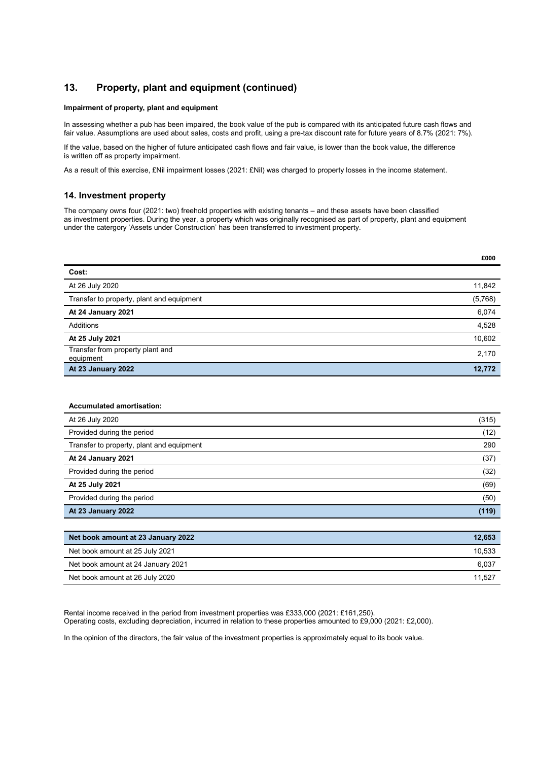### 13. Property, plant and equipment (continued)

#### Impairment of property, plant and equipment

In assessing whether a pub has been impaired, the book value of the pub is compared with its anticipated future cash flows and fair value. Assumptions are used about sales, costs and profit, using a pre-tax discount rate for future years of 8.7% (2021: 7%).

If the value, based on the higher of future anticipated cash flows and fair value, is lower than the book value, the difference is written off as property impairment.

As a result of this exercise, £Nil impairment losses (2021: £Nil) was charged to property losses in the income statement.

#### 14. Investment property

The company owns four (2021: two) freehold properties with existing tenants – and these assets have been classified as investment properties. During the year, a property which was originally recognised as part of property, plant and equipment under the catergory 'Assets under Construction' has been transferred to investment property.

|                                               | £000    |
|-----------------------------------------------|---------|
| Cost:                                         |         |
| At 26 July 2020                               | 11,842  |
| Transfer to property, plant and equipment     | (5,768) |
| At 24 January 2021                            | 6,074   |
| Additions                                     | 4,528   |
| At 25 July 2021                               | 10,602  |
| Transfer from property plant and<br>equipment | 2,170   |
| At 23 January 2022                            | 12,772  |

| <b>Accumulated amortisation:</b>          |        |
|-------------------------------------------|--------|
| At 26 July 2020                           | (315)  |
| Provided during the period                | (12)   |
| Transfer to property, plant and equipment | 290    |
| At 24 January 2021                        | (37)   |
| Provided during the period                | (32)   |
| At 25 July 2021                           | (69)   |
| Provided during the period                | (50)   |
| At 23 January 2022                        | (119)  |
|                                           |        |
| Net book amount at 23 January 2022        | 12,653 |
| Net book amount at 25 July 2021           | 10,533 |

| 10.533 |
|--------|
| 6.037  |
| 11.527 |
|        |

Rental income received in the period from investment properties was £333,000 (2021: £161,250). Operating costs, excluding depreciation, incurred in relation to these properties amounted to £9,000 (2021: £2,000).

In the opinion of the directors, the fair value of the investment properties is approximately equal to its book value.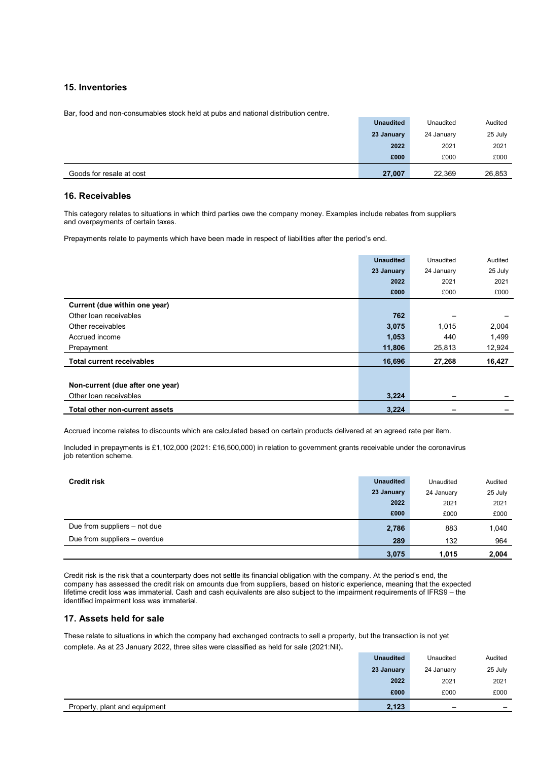#### 15. Inventories

Bar, food and non-consumables stock held at pubs and national distribution centre.

|                          | <b>Unaudited</b> | Unaudited  | Audited |
|--------------------------|------------------|------------|---------|
|                          | 23 January       | 24 January | 25 July |
|                          | 2022             | 2021       | 2021    |
|                          | £000             | £000       | £000    |
| Goods for resale at cost | 27,007           | 22,369     | 26,853  |

#### 16. Receivables

This category relates to situations in which third parties owe the company money. Examples include rebates from suppliers and overpayments of certain taxes.

Prepayments relate to payments which have been made in respect of liabilities after the period's end.

|                                  | <b>Unaudited</b> | Unaudited  | Audited |
|----------------------------------|------------------|------------|---------|
|                                  | 23 January       | 24 January | 25 July |
|                                  | 2022             | 2021       | 2021    |
|                                  | £000             | £000       | £000    |
| Current (due within one year)    |                  |            |         |
| Other loan receivables           | 762              |            |         |
| Other receivables                | 3,075            | 1,015      | 2,004   |
| Accrued income                   | 1,053            | 440        | 1,499   |
| Prepayment                       | 11,806           | 25,813     | 12,924  |
| <b>Total current receivables</b> | 16,696           | 27,268     | 16,427  |
|                                  |                  |            |         |
| Non-current (due after one year) |                  |            |         |
| Other loan receivables           | 3,224            |            |         |
| Total other non-current assets   | 3,224            |            |         |

Accrued income relates to discounts which are calculated based on certain products delivered at an agreed rate per item.

Included in prepayments is £1,102,000 (2021: £16,500,000) in relation to government grants receivable under the coronavirus job retention scheme.

| <b>Credit risk</b>           | <b>Unaudited</b> | Unaudited  | Audited |
|------------------------------|------------------|------------|---------|
|                              | 23 January       | 24 January | 25 July |
|                              | 2022             | 2021       | 2021    |
|                              | £000             | £000       | £000    |
| Due from suppliers – not due | 2,786            | 883        | 1,040   |
| Due from suppliers - overdue | 289              | 132        | 964     |
|                              | 3,075            | 1.015      | 2.004   |

Credit risk is the risk that a counterparty does not settle its financial obligation with the company. At the period's end, the company has assessed the credit risk on amounts due from suppliers, based on historic experience, meaning that the expected lifetime credit loss was immaterial. Cash and cash equivalents are also subject to the impairment requirements of IFRS9 – the identified impairment loss was immaterial.

#### 17. Assets held for sale

These relate to situations in which the company had exchanged contracts to sell a property, but the transaction is not yet complete. As at 23 January 2022, three sites were classified as held for sale (2021:Nil).

| Property, plant and equipment | 2,123            | $\overline{\phantom{m}}$ | -       |
|-------------------------------|------------------|--------------------------|---------|
|                               | £000             | £000                     | £000    |
|                               | 2022             | 2021                     | 2021    |
|                               | 23 January       | 24 January               | 25 July |
|                               | <b>Unaudited</b> | Unaudited                | Audited |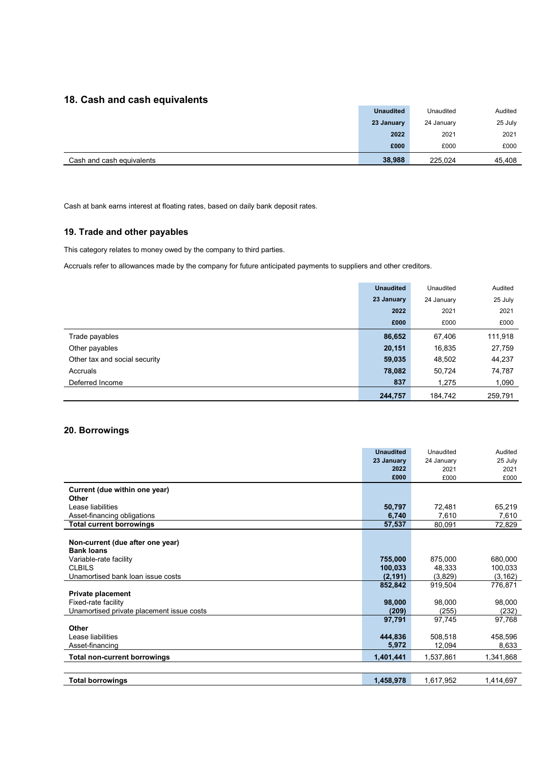### 18. Cash and cash equivalents

| <b>Unaudited</b> | Unaudited  | Audited |
|------------------|------------|---------|
| 23 January       | 24 January | 25 July |
| 2022             | 2021       | 2021    |
| £000             | £000       | £000    |
| 38,988           | 225.024    | 45,408  |
|                  |            |         |

Cash at bank earns interest at floating rates, based on daily bank deposit rates.

### 19. Trade and other payables

This category relates to money owed by the company to third parties.

Accruals refer to allowances made by the company for future anticipated payments to suppliers and other creditors.

|                               | <b>Unaudited</b> | Unaudited  | Audited |
|-------------------------------|------------------|------------|---------|
|                               | 23 January       | 24 January | 25 July |
|                               | 2022             | 2021       | 2021    |
|                               | £000             | £000       | £000    |
| Trade payables                | 86,652           | 67,406     | 111,918 |
| Other payables                | 20,151           | 16,835     | 27,759  |
| Other tax and social security | 59,035           | 48,502     | 44,237  |
| Accruals                      | 78,082           | 50,724     | 74,787  |
| Deferred Income               | 837              | 1,275      | 1,090   |
|                               | 244,757          | 184,742    | 259,791 |

### 20. Borrowings

|                                           | <b>Unaudited</b> | Unaudited  | Audited   |
|-------------------------------------------|------------------|------------|-----------|
|                                           | 23 January       | 24 January | 25 July   |
|                                           | 2022             | 2021       | 2021      |
|                                           | £000             | £000       | £000      |
| Current (due within one year)             |                  |            |           |
| Other                                     |                  |            |           |
| Lease liabilities                         | 50,797           | 72,481     | 65,219    |
| Asset-financing obligations               | 6,740            | 7,610      | 7,610     |
| <b>Total current borrowings</b>           | 57,537           | 80,091     | 72,829    |
|                                           |                  |            |           |
| Non-current (due after one year)          |                  |            |           |
| <b>Bank loans</b>                         |                  |            |           |
| Variable-rate facility                    | 755,000          | 875,000    | 680,000   |
| <b>CLBILS</b>                             | 100,033          | 48.333     | 100,033   |
| Unamortised bank loan issue costs         | (2, 191)         | (3,829)    | (3, 162)  |
|                                           | 852,842          | 919,504    | 776,871   |
| <b>Private placement</b>                  |                  |            |           |
| Fixed-rate facility                       | 98,000           | 98,000     | 98,000    |
| Unamortised private placement issue costs | (209)            | (255)      | (232)     |
|                                           | 97,791           | 97,745     | 97,768    |
| Other                                     |                  |            |           |
| Lease liabilities                         | 444,836          | 508,518    | 458,596   |
| Asset-financing                           | 5,972            | 12,094     | 8,633     |
| <b>Total non-current borrowings</b>       | 1,401,441        | 1,537,861  | 1,341,868 |
|                                           |                  |            |           |
| <b>Total borrowings</b>                   | 1,458,978        | 1,617,952  | 1,414,697 |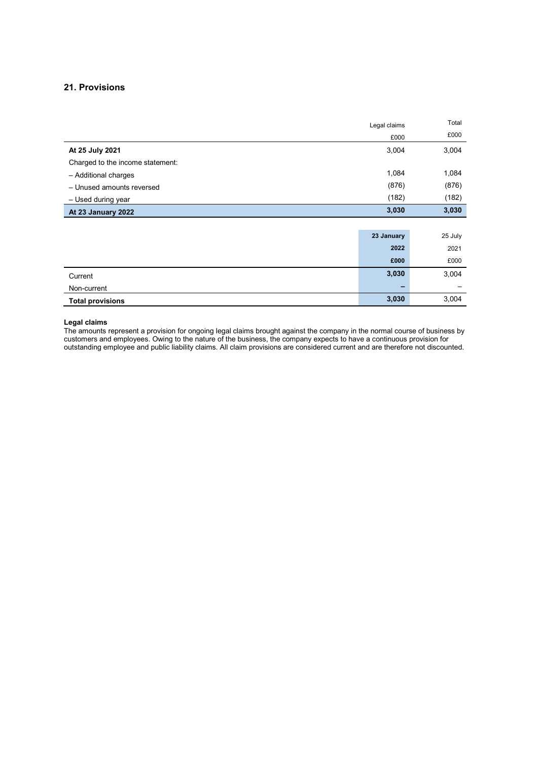### 21. Provisions

|                                  | Legal claims | Total   |
|----------------------------------|--------------|---------|
|                                  | £000         | £000    |
| At 25 July 2021                  | 3,004        | 3,004   |
| Charged to the income statement: |              |         |
| - Additional charges             | 1,084        | 1,084   |
| - Unused amounts reversed        | (876)        | (876)   |
| - Used during year               | (182)        | (182)   |
| At 23 January 2022               | 3,030        | 3,030   |
|                                  |              |         |
|                                  | 23 January   | 25 July |
|                                  | 2022         | 2021    |
|                                  | £000         | £000    |
| Current                          | 3,030        | 3,004   |
| Non-current                      |              |         |
| <b>Total provisions</b>          | 3,030        | 3,004   |

#### Legal claims

The amounts represent a provision for ongoing legal claims brought against the company in the normal course of business by customers and employees. Owing to the nature of the business, the company expects to have a continuous provision for outstanding employee and public liability claims. All claim provisions are considered current and are therefore not discounted.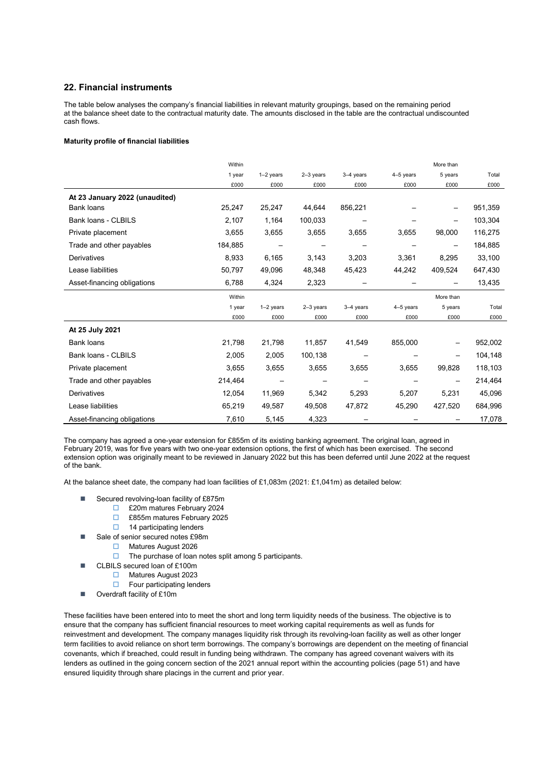#### 22. Financial instruments

The table below analyses the company's financial liabilities in relevant maturity groupings, based on the remaining period at the balance sheet date to the contractual maturity date. The amounts disclosed in the table are the contractual undiscounted cash flows.

#### Maturity profile of financial liabilities

|                                | Within  |             |             |             |             | More than                |         |
|--------------------------------|---------|-------------|-------------|-------------|-------------|--------------------------|---------|
|                                | 1 year  | $1-2$ years | $2-3$ years | $3-4$ years | $4-5$ years | 5 years                  | Total   |
|                                | £000    | £000        | £000        | £000        | £000        | £000                     | £000    |
| At 23 January 2022 (unaudited) |         |             |             |             |             |                          |         |
| <b>Bank loans</b>              | 25,247  | 25,247      | 44,644      | 856,221     |             | —                        | 951,359 |
| Bank loans - CLBILS            | 2,107   | 1,164       | 100,033     |             |             | $\overline{\phantom{m}}$ | 103,304 |
| Private placement              | 3,655   | 3,655       | 3,655       | 3,655       | 3,655       | 98,000                   | 116,275 |
| Trade and other payables       | 184,885 |             |             |             |             |                          | 184,885 |
| Derivatives                    | 8,933   | 6,165       | 3,143       | 3,203       | 3,361       | 8,295                    | 33,100  |
| Lease liabilities              | 50,797  | 49,096      | 48,348      | 45,423      | 44,242      | 409,524                  | 647,430 |
| Asset-financing obligations    | 6,788   | 4,324       | 2,323       |             |             |                          | 13,435  |
|                                | Within  |             |             |             |             | More than                |         |
|                                | 1 year  | $1-2$ years | $2-3$ years | 3-4 years   | $4-5$ years | 5 years                  | Total   |
|                                | £000    | £000        | £000        | £000        | £000        | £000                     | £000    |
| At 25 July 2021                |         |             |             |             |             |                          |         |
| <b>Bank loans</b>              | 21,798  | 21,798      | 11,857      | 41,549      | 855,000     |                          | 952,002 |
| Bank loans - CLBILS            | 2,005   | 2,005       | 100,138     |             |             |                          | 104,148 |
| Private placement              | 3,655   | 3,655       | 3,655       | 3,655       | 3,655       | 99,828                   | 118,103 |
| Trade and other payables       | 214,464 |             |             |             |             |                          | 214,464 |
| Derivatives                    | 12,054  | 11,969      | 5,342       | 5,293       | 5,207       | 5,231                    | 45,096  |
| Lease liabilities              | 65,219  | 49,587      | 49,508      | 47,872      | 45,290      | 427,520                  | 684,996 |
| Asset-financing obligations    | 7,610   | 5,145       | 4,323       |             |             |                          | 17,078  |

The company has agreed a one-year extension for £855m of its existing banking agreement. The original loan, agreed in February 2019, was for five years with two one-year extension options, the first of which has been exercised. The second extension option was originally meant to be reviewed in January 2022 but this has been deferred until June 2022 at the request of the bank.

At the balance sheet date, the company had loan facilities of £1,083m (2021: £1,041m) as detailed below:

- Secured revolving-loan facility of £875m
	- £20m matures February 2024
	- £855m matures February 2025
	- $\Box$  14 participating lenders
- Sale of senior secured notes £98m
	- Matures August 2026
	- $\Box$  The purchase of loan notes split among 5 participants.
	- CLBILS secured loan of £100m
		- Matures August 2023
	- $\Box$  Four participating lenders
- Overdraft facility of £10m

These facilities have been entered into to meet the short and long term liquidity needs of the business. The objective is to ensure that the company has sufficient financial resources to meet working capital requirements as well as funds for reinvestment and development. The company manages liquidity risk through its revolving-loan facility as well as other longer term facilities to avoid reliance on short term borrowings. The company's borrowings are dependent on the meeting of financial covenants, which if breached, could result in funding being withdrawn. The company has agreed covenant waivers with its lenders as outlined in the going concern section of the 2021 annual report within the accounting policies (page 51) and have ensured liquidity through share placings in the current and prior year.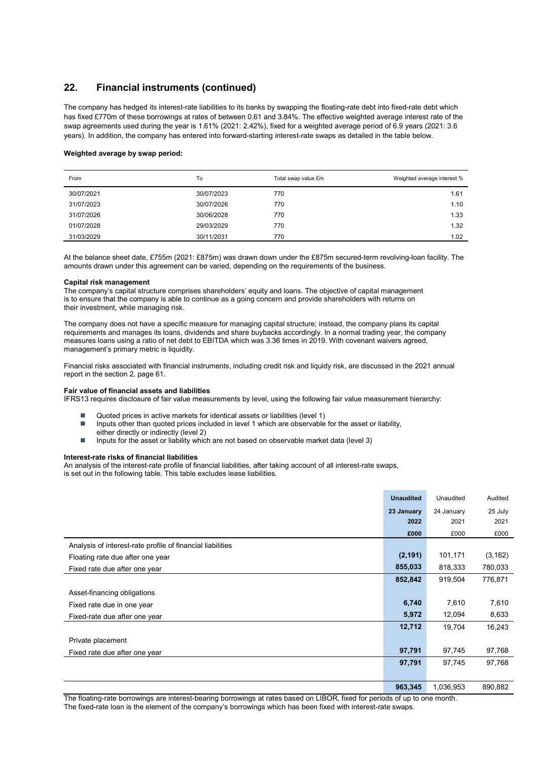### 22. Financial instruments (continued)

The company has hedged its interest-rate liabilities to its banks by swapping the floating-rate debt into fixed-rate debt which has fixed £770m of these borrowings at rates of between 0.61 and 3.84%. The effective weighted average interest rate of the swap agreements used during the year is 1.61% (2021: 2.42%), fixed for a weighted average period of 6.9 years (2021: 3.6 years). In addition, the company has entered into forward-starting interest-rate swaps as detailed in the table below.

#### Weighted average by swap period:

| From       | To         | Total swap value £m | Weighted average interest % |
|------------|------------|---------------------|-----------------------------|
| 30/07/2021 | 30/07/2023 | 770                 | 1.61                        |
| 31/07/2023 | 30/07/2026 | 770                 | 1.10                        |
| 31/07/2026 | 30/06/2028 | 770                 | 1.33                        |
| 01/07/2028 | 29/03/2029 | 770                 | 1.32                        |
| 31/03/2029 | 30/11/2031 | 770                 | 1.02                        |

At the balance sheet date, £755m (2021: £875m) was drawn down under the £875m secured-term revolving-loan facility. The amounts drawn under this agreement can be varied, depending on the requirements of the business.

#### Capital risk management

The company's capital structure comprises shareholders' equity and loans. The objective of capital management is to ensure that the company is able to continue as a going concern and provide shareholders with returns on their investment, while managing risk.

The company does not have a specific measure for managing capital structure; instead, the company plans its capital requirements and manages its loans, dividends and share buybacks accordingly. In a normal trading year, the company measures loans using a ratio of net debt to EBITDA which was 3.36 times in 2019. With covenant waivers agreed, management's primary metric is liquidity.

Financial risks associated with financial instruments, including credit risk and liquidy risk, are discussed in the 2021 annual report in the section 2, page 61.

#### Fair value of financial assets and liabilities

IFRS13 requires disclosure of fair value measurements by level, using the following fair value measurement hierarchy:

- Quoted prices in active markets for identical assets or liabilities (level 1)
- Inputs other than quoted prices included in level 1 which are observable for the asset or liability, either directly or indirectly (level 2)
- $\blacksquare$  Inputs for the asset or liability which are not based on observable market data (level 3)

#### Interest-rate risks of financial liabilities

An analysis of the interest-rate profile of financial liabilities, after taking account of all interest-rate swaps, is set out in the following table. This table excludes lease liabilities.

|                                                            | <b>Unaudited</b> | Unaudited  | Audited  |
|------------------------------------------------------------|------------------|------------|----------|
|                                                            | 23 January       | 24 January | 25 July  |
|                                                            | 2022             | 2021       | 2021     |
|                                                            | £000             | £000       | £000     |
| Analysis of interest-rate profile of financial liabilities |                  |            |          |
| Floating rate due after one year                           | (2, 191)         | 101,171    | (3, 162) |
| Fixed rate due after one year                              | 855,033          | 818,333    | 780,033  |
|                                                            | 852,842          | 919,504    | 776,871  |
| Asset-financing obligations                                |                  |            |          |
| Fixed rate due in one year                                 | 6,740            | 7,610      | 7,610    |
| Fixed-rate due after one year                              | 5,972            | 12,094     | 8,633    |
|                                                            | 12,712           | 19,704     | 16,243   |
| Private placement                                          |                  |            |          |
| Fixed rate due after one year                              | 97,791           | 97,745     | 97,768   |
|                                                            | 97,791           | 97,745     | 97,768   |
|                                                            |                  |            |          |
|                                                            | 963,345          | 1,036,953  | 890,882  |

The floating-rate borrowings are interest-bearing borrowings at rates based on LIBOR, fixed for periods of up to one month. The fixed-rate loan is the element of the company's borrowings which has been fixed with interest-rate swaps.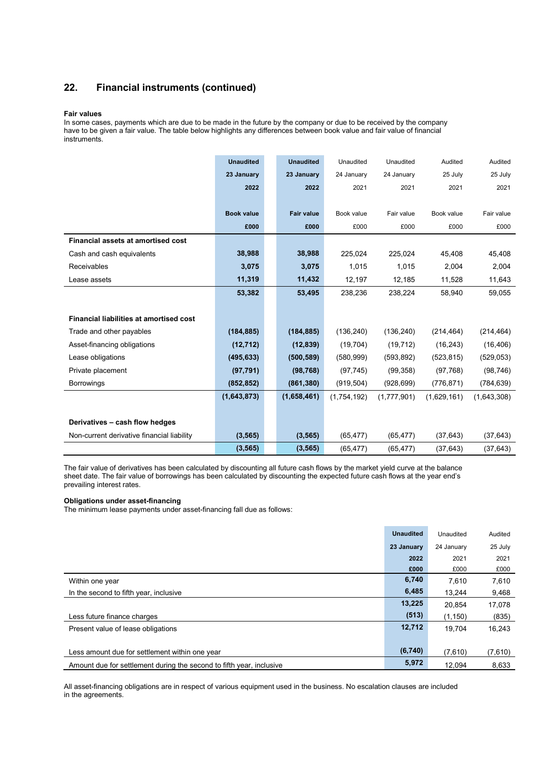### 22. Financial instruments (continued)

#### Fair values

In some cases, payments which are due to be made in the future by the company or due to be received by the company have to be given a fair value. The table below highlights any differences between book value and fair value of financial instruments.

|                                                | <b>Unaudited</b>  | <b>Unaudited</b>  | Unaudited   | Unaudited   | Audited     | Audited     |
|------------------------------------------------|-------------------|-------------------|-------------|-------------|-------------|-------------|
|                                                | 23 January        | 23 January        | 24 January  | 24 January  | 25 July     | 25 July     |
|                                                | 2022              | 2022              | 2021        | 2021        | 2021        | 2021        |
|                                                |                   |                   |             |             |             |             |
|                                                | <b>Book value</b> | <b>Fair value</b> | Book value  | Fair value  | Book value  | Fair value  |
|                                                | £000              | £000              | £000        | £000        | £000        | £000        |
| Financial assets at amortised cost             |                   |                   |             |             |             |             |
| Cash and cash equivalents                      | 38,988            | 38,988            | 225.024     | 225.024     | 45.408      | 45,408      |
| Receivables                                    | 3,075             | 3,075             | 1,015       | 1,015       | 2,004       | 2,004       |
| Lease assets                                   | 11,319            | 11,432            | 12,197      | 12,185      | 11,528      | 11,643      |
|                                                | 53,382            | 53,495            | 238.236     | 238.224     | 58.940      | 59.055      |
|                                                |                   |                   |             |             |             |             |
| <b>Financial liabilities at amortised cost</b> |                   |                   |             |             |             |             |
| Trade and other payables                       | (184, 885)        | (184, 885)        | (136, 240)  | (136, 240)  | (214, 464)  | (214, 464)  |
| Asset-financing obligations                    | (12, 712)         | (12, 839)         | (19,704)    | (19, 712)   | (16, 243)   | (16, 406)   |
| Lease obligations                              | (495, 633)        | (500, 589)        | (580, 999)  | (593, 892)  | (523, 815)  | (529, 053)  |
| Private placement                              | (97, 791)         | (98, 768)         | (97, 745)   | (99, 358)   | (97, 768)   | (98, 746)   |
| <b>Borrowings</b>                              | (852, 852)        | (861, 380)        | (919, 504)  | (928, 699)  | (776, 871)  | (784, 639)  |
|                                                | (1,643,873)       | (1,658,461)       | (1,754,192) | (1,777,901) | (1,629,161) | (1,643,308) |
|                                                |                   |                   |             |             |             |             |
| Derivatives - cash flow hedges                 |                   |                   |             |             |             |             |
| Non-current derivative financial liability     | (3, 565)          | (3, 565)          | (65, 477)   | (65, 477)   | (37, 643)   | (37, 643)   |
|                                                | (3, 565)          | (3, 565)          | (65, 477)   | (65, 477)   | (37, 643)   | (37, 643)   |

The fair value of derivatives has been calculated by discounting all future cash flows by the market yield curve at the balance sheet date. The fair value of borrowings has been calculated by discounting the expected future cash flows at the year end's prevailing interest rates.

#### Obligations under asset-financing

The minimum lease payments under asset-financing fall due as follows:

|                                                                      | <b>Unaudited</b> | Unaudited  | Audited |
|----------------------------------------------------------------------|------------------|------------|---------|
|                                                                      | 23 January       | 24 January | 25 July |
|                                                                      | 2022             | 2021       | 2021    |
|                                                                      | £000             | £000       | £000    |
| Within one year                                                      | 6,740            | 7,610      | 7,610   |
| In the second to fifth year, inclusive                               | 6,485            | 13.244     | 9,468   |
|                                                                      | 13,225           | 20.854     | 17,078  |
| Less future finance charges                                          | (513)            | (1, 150)   | (835)   |
| Present value of lease obligations                                   | 12,712           | 19.704     | 16.243  |
|                                                                      |                  |            |         |
| Less amount due for settlement within one year                       | (6,740)          | (7,610)    | (7,610) |
| Amount due for settlement during the second to fifth year, inclusive | 5,972            | 12.094     | 8,633   |

All asset-financing obligations are in respect of various equipment used in the business. No escalation clauses are included in the agreements.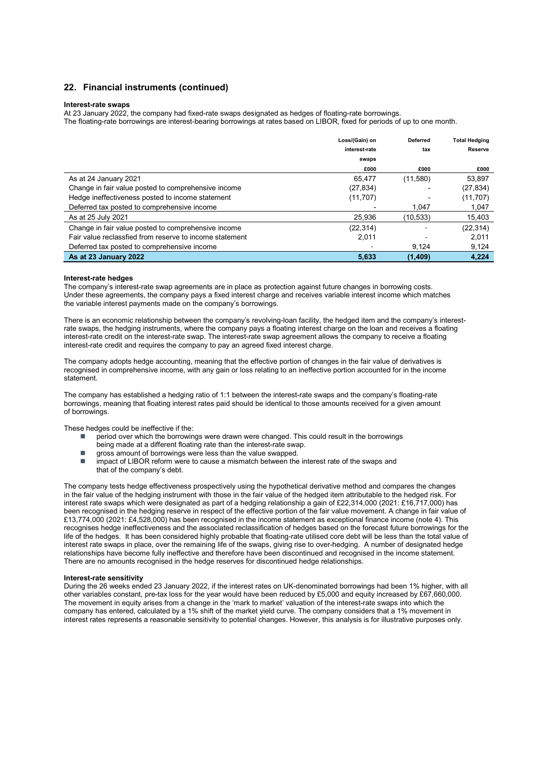#### 22. Financial instruments (continued)

#### Interest-rate swaps

At 23 January 2022, the company had fixed-rate swaps designated as hedges of floating-rate borrowings. The floating-rate borrowings are interest-bearing borrowings at rates based on LIBOR, fixed for periods of up to one month.

|                                                         | Loss/(Gain) on | <b>Deferred</b> | <b>Total Hedging</b> |
|---------------------------------------------------------|----------------|-----------------|----------------------|
|                                                         | interest-rate  | tax             | Reserve              |
|                                                         | swaps          |                 |                      |
|                                                         | £000           | £000            | £000                 |
| As at 24 January 2021                                   | 65.477         | (11,580)        | 53,897               |
| Change in fair value posted to comprehensive income     | (27, 834)      |                 | (27, 834)            |
| Hedge ineffectiveness posted to income statement        | (11, 707)      |                 | (11, 707)            |
| Deferred tax posted to comprehensive income             |                | 1,047           | 1,047                |
| As at 25 July 2021                                      | 25.936         | (10,533)        | 15,403               |
| Change in fair value posted to comprehensive income     | (22, 314)      |                 | (22, 314)            |
| Fair value reclassfied from reserve to income statement | 2.011          |                 | 2,011                |
| Deferred tax posted to comprehensive income             |                | 9.124           | 9,124                |
| As at 23 January 2022                                   | 5.633          | (1,409)         | 4.224                |

#### Interest-rate hedges

The company's interest-rate swap agreements are in place as protection against future changes in borrowing costs. Under these agreements, the company pays a fixed interest charge and receives variable interest income which matches the variable interest payments made on the company's borrowings.

There is an economic relationship between the company's revolving-loan facility, the hedged item and the company's interestrate swaps, the hedging instruments, where the company pays a floating interest charge on the loan and receives a floating interest-rate credit on the interest-rate swap. The interest-rate swap agreement allows the company to receive a floating interest-rate credit and requires the company to pay an agreed fixed interest charge.

The company adopts hedge accounting, meaning that the effective portion of changes in the fair value of derivatives is recognised in comprehensive income, with any gain or loss relating to an ineffective portion accounted for in the income statement.

The company has established a hedging ratio of 1:1 between the interest-rate swaps and the company's floating-rate borrowings, meaning that floating interest rates paid should be identical to those amounts received for a given amount of borrowings.

These hedges could be ineffective if the:

- period over which the borrowings were drawn were changed. This could result in the borrowings being made at a different floating rate than the interest-rate swap.
- gross amount of borrowings were less than the value swapped.
- impact of LIBOR reform were to cause a mismatch between the interest rate of the swaps and that of the company's debt.

The company tests hedge effectiveness prospectively using the hypothetical derivative method and compares the changes in the fair value of the hedging instrument with those in the fair value of the hedged item attributable to the hedged risk. For interest rate swaps which were designated as part of a hedging relationship a gain of £22,314,000 (2021: £16,717,000) has been recognised in the hedging reserve in respect of the effective portion of the fair value movement. A change in fair value of £13,774,000 (2021: £4,528,000) has been recognised in the income statement as exceptional finance income (note 4). This recognises hedge ineffectiveness and the associated reclassification of hedges based on the forecast future borrowings for the life of the hedges. It has been considered highly probable that floating-rate utilised core debt will be less than the total value of interest rate swaps in place, over the remaining life of the swaps, giving rise to over-hedging. A number of designated hedge relationships have become fully ineffective and therefore have been discontinued and recognised in the income statement. There are no amounts recognised in the hedge reserves for discontinued hedge relationships.

#### Interest-rate sensitivity

During the 26 weeks ended 23 January 2022, if the interest rates on UK-denominated borrowings had been 1% higher, with all other variables constant, pre-tax loss for the year would have been reduced by £5,000 and equity increased by £67,660,000. The movement in equity arises from a change in the 'mark to market' valuation of the interest-rate swaps into which the company has entered, calculated by a 1% shift of the market yield curve. The company considers that a 1% movement in interest rates represents a reasonable sensitivity to potential changes. However, this analysis is for illustrative purposes only.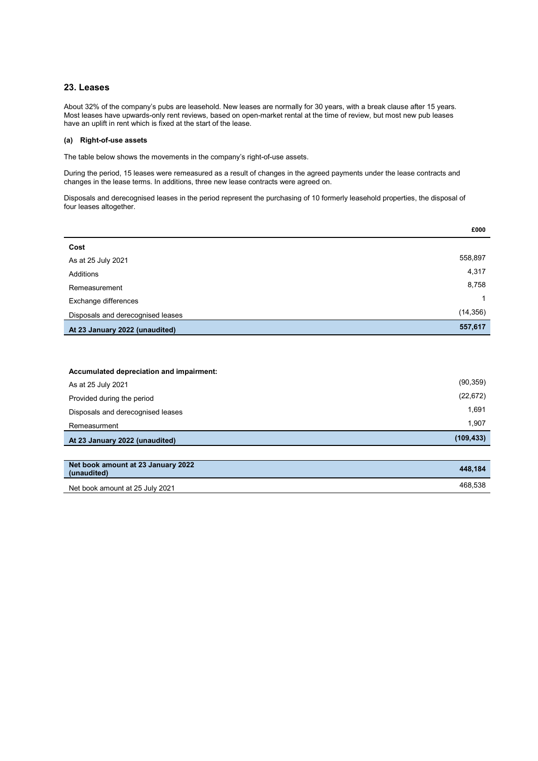#### 23. Leases

About 32% of the company's pubs are leasehold. New leases are normally for 30 years, with a break clause after 15 years. Most leases have upwards-only rent reviews, based on open-market rental at the time of review, but most new pub leases have an uplift in rent which is fixed at the start of the lease.

#### (a) Right-of-use assets

The table below shows the movements in the company's right-of-use assets.

During the period, 15 leases were remeasured as a result of changes in the agreed payments under the lease contracts and changes in the lease terms. In additions, three new lease contracts were agreed on.

Disposals and derecognised leases in the period represent the purchasing of 10 formerly leasehold properties, the disposal of four leases altogether.

|                                   | £000      |
|-----------------------------------|-----------|
| Cost                              |           |
| As at 25 July 2021                | 558,897   |
| Additions                         | 4,317     |
| Remeasurement                     | 8,758     |
| Exchange differences              | 1         |
| Disposals and derecognised leases | (14, 356) |
| At 23 January 2022 (unaudited)    | 557,617   |

| Accumulated depreciation and impairment: |            |
|------------------------------------------|------------|
| As at 25 July 2021                       | (90, 359)  |
| Provided during the period               | (22, 672)  |
| Disposals and derecognised leases        | 1,691      |
| Remeasurment                             | 1.907      |
| At 23 January 2022 (unaudited)           | (109, 433) |
|                                          |            |

| Net book amount at 23 January 2022<br>(unaudited) | 448.184 |
|---------------------------------------------------|---------|
| Net book amount at 25 July 2021                   | 468.538 |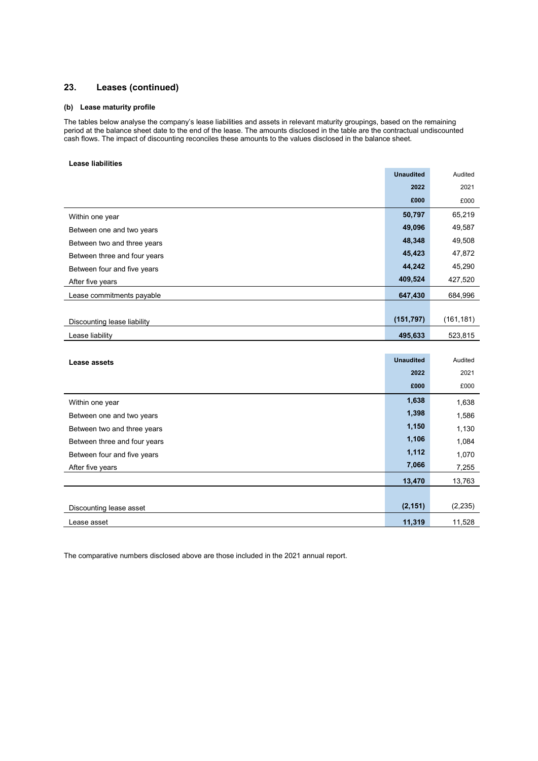### 23. Leases (continued)

#### (b) Lease maturity profile

The tables below analyse the company's lease liabilities and assets in relevant maturity groupings, based on the remaining period at the balance sheet date to the end of the lease. The amounts disclosed in the table are the contractual undiscounted cash flows. The impact of discounting reconciles these amounts to the values disclosed in the balance sheet.

#### Lease liabilities

|                              | <b>Unaudited</b> | Audited    |
|------------------------------|------------------|------------|
|                              | 2022             | 2021       |
|                              | £000             | £000       |
| Within one year              | 50,797           | 65,219     |
| Between one and two years    | 49,096           | 49,587     |
| Between two and three years  | 48,348           | 49,508     |
| Between three and four years | 45,423           | 47,872     |
| Between four and five years  | 44,242           | 45,290     |
| After five years             | 409,524          | 427,520    |
| Lease commitments payable    | 647,430          | 684,996    |
|                              |                  |            |
| Discounting lease liability  | (151, 797)       | (161, 181) |
| Lease liability              | 495,633          | 523,815    |

| Lease assets                 | <b>Unaudited</b> | Audited  |
|------------------------------|------------------|----------|
|                              | 2022             | 2021     |
|                              | £000             | £000     |
| Within one year              | 1,638            | 1,638    |
| Between one and two years    | 1,398            | 1,586    |
| Between two and three years  | 1,150            | 1,130    |
| Between three and four years | 1,106            | 1,084    |
| Between four and five years  | 1,112            | 1,070    |
| After five years             | 7,066            | 7,255    |
|                              | 13,470           | 13,763   |
|                              |                  |          |
| Discounting lease asset      | (2, 151)         | (2, 235) |
| Lease asset                  | 11,319           | 11,528   |

The comparative numbers disclosed above are those included in the 2021 annual report.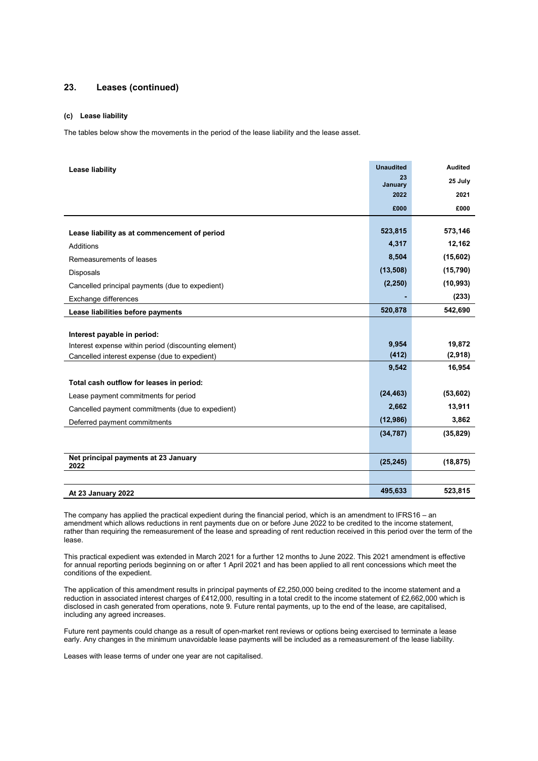### 23. Leases (continued)

#### (c) Lease liability

The tables below show the movements in the period of the lease liability and the lease asset.

| Lease liability                                      | <b>Unaudited</b> | <b>Audited</b> |
|------------------------------------------------------|------------------|----------------|
|                                                      | 23               | 25 July        |
|                                                      | January<br>2022  | 2021           |
|                                                      |                  |                |
|                                                      | £000             | £000           |
|                                                      | 523,815          | 573,146        |
| Lease liability as at commencement of period         |                  |                |
| Additions                                            | 4,317            | 12,162         |
| Remeasurements of leases                             | 8,504            | (15,602)       |
| Disposals                                            | (13,508)         | (15, 790)      |
| Cancelled principal payments (due to expedient)      | (2, 250)         | (10, 993)      |
| Exchange differences                                 |                  | (233)          |
| Lease liabilities before payments                    | 520,878          | 542,690        |
|                                                      |                  |                |
| Interest payable in period:                          |                  |                |
| Interest expense within period (discounting element) | 9,954            | 19,872         |
| Cancelled interest expense (due to expedient)        | (412)            | (2,918)        |
|                                                      | 9,542            | 16,954         |
| Total cash outflow for leases in period:             |                  |                |
| Lease payment commitments for period                 | (24, 463)        | (53,602)       |
| Cancelled payment commitments (due to expedient)     | 2,662            | 13,911         |
| Deferred payment commitments                         | (12,986)         | 3,862          |
|                                                      | (34, 787)        | (35, 829)      |
|                                                      |                  |                |
| Net principal payments at 23 January<br>2022         | (25, 245)        | (18, 875)      |
|                                                      |                  |                |
| At 23 January 2022                                   | 495,633          | 523,815        |

The company has applied the practical expedient during the financial period, which is an amendment to IFRS16 – an amendment which allows reductions in rent payments due on or before June 2022 to be credited to the income statement, rather than requiring the remeasurement of the lease and spreading of rent reduction received in this period over the term of the lease.

This practical expedient was extended in March 2021 for a further 12 months to June 2022. This 2021 amendment is effective for annual reporting periods beginning on or after 1 April 2021 and has been applied to all rent concessions which meet the conditions of the expedient.

The application of this amendment results in principal payments of £2,250,000 being credited to the income statement and a reduction in associated interest charges of £412,000, resulting in a total credit to the income statement of £2,662,000 which is disclosed in cash generated from operations, note 9. Future rental payments, up to the end of the lease, are capitalised, including any agreed increases.

Future rent payments could change as a result of open-market rent reviews or options being exercised to terminate a lease early. Any changes in the minimum unavoidable lease payments will be included as a remeasurement of the lease liability.

Leases with lease terms of under one year are not capitalised.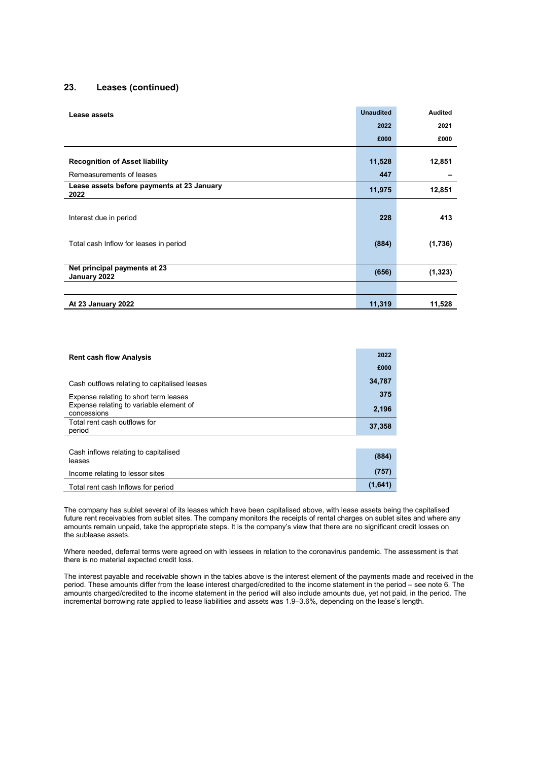### 23. Leases (continued)

| Lease assets                                       | <b>Unaudited</b> | <b>Audited</b> |
|----------------------------------------------------|------------------|----------------|
|                                                    | 2022             | 2021           |
|                                                    | £000             | £000           |
|                                                    |                  |                |
| <b>Recognition of Asset liability</b>              | 11,528           | 12,851         |
| Remeasurements of leases                           | 447              |                |
| Lease assets before payments at 23 January<br>2022 | 11,975           | 12,851         |
|                                                    |                  |                |
| Interest due in period                             | 228              | 413            |
|                                                    |                  |                |
| Total cash Inflow for leases in period             | (884)            | (1,736)        |
|                                                    |                  |                |
| Net principal payments at 23<br>January 2022       | (656)            | (1, 323)       |
|                                                    |                  |                |
| At 23 January 2022                                 | 11,319           | 11,528         |

| <b>Rent cash flow Analysis</b>                         | 2022    |
|--------------------------------------------------------|---------|
|                                                        | £000    |
| Cash outflows relating to capitalised leases           | 34,787  |
| Expense relating to short term leases                  | 375     |
| Expense relating to variable element of<br>concessions | 2,196   |
| Total rent cash outflows for<br>period                 | 37,358  |
|                                                        |         |
| Cash inflows relating to capitalised<br>leases         | (884)   |
| Income relating to lessor sites                        | (757)   |
| Total rent cash Inflows for period                     | (1,641) |

The company has sublet several of its leases which have been capitalised above, with lease assets being the capitalised future rent receivables from sublet sites. The company monitors the receipts of rental charges on sublet sites and where any amounts remain unpaid, take the appropriate steps. It is the company's view that there are no significant credit losses on the sublease assets.

Where needed, deferral terms were agreed on with lessees in relation to the coronavirus pandemic. The assessment is that there is no material expected credit loss.

The interest payable and receivable shown in the tables above is the interest element of the payments made and received in the period. These amounts differ from the lease interest charged/credited to the income statement in the period – see note 6. The amounts charged/credited to the income statement in the period will also include amounts due, yet not paid, in the period. The incremental borrowing rate applied to lease liabilities and assets was 1.9–3.6%, depending on the lease's length.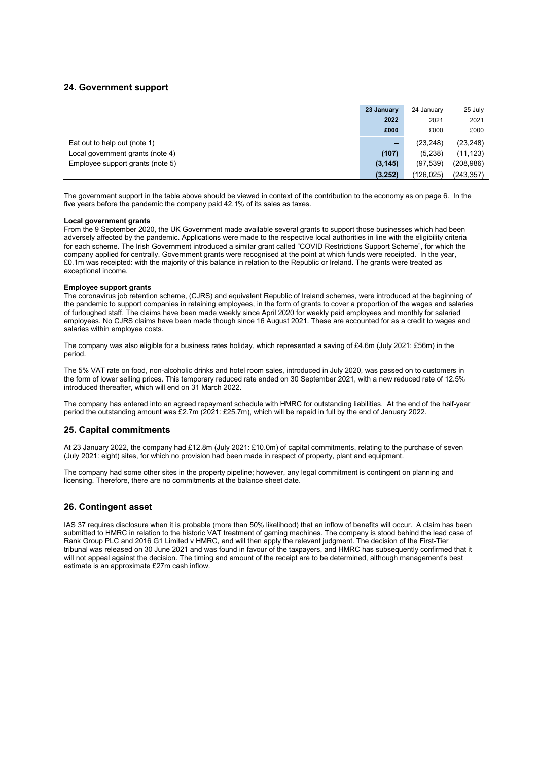#### 24. Government support

|                                  | 23 January | 24 January | 25 July    |
|----------------------------------|------------|------------|------------|
|                                  | 2022       | 2021       | 2021       |
|                                  | £000       | £000       | £000       |
| Eat out to help out (note 1)     | -          | (23, 248)  | (23, 248)  |
| Local government grants (note 4) | (107)      | (5,238)    | (11, 123)  |
| Employee support grants (note 5) | (3, 145)   | (97, 539)  | (208,986)  |
|                                  | (3, 252)   | (126,025)  | (243, 357) |

The government support in the table above should be viewed in context of the contribution to the economy as on page 6. In the five years before the pandemic the company paid 42.1% of its sales as taxes.

#### Local government grants

From the 9 September 2020, the UK Government made available several grants to support those businesses which had been adversely affected by the pandemic. Applications were made to the respective local authorities in line with the eligibility criteria for each scheme. The Irish Government introduced a similar grant called "COVID Restrictions Support Scheme", for which the company applied for centrally. Government grants were recognised at the point at which funds were receipted. In the year, £0.1m was receipted: with the majority of this balance in relation to the Republic or Ireland. The grants were treated as exceptional income.

#### Employee support grants

The coronavirus job retention scheme, (CJRS) and equivalent Republic of Ireland schemes, were introduced at the beginning of the pandemic to support companies in retaining employees, in the form of grants to cover a proportion of the wages and salaries of furloughed staff. The claims have been made weekly since April 2020 for weekly paid employees and monthly for salaried employees. No CJRS claims have been made though since 16 August 2021. These are accounted for as a credit to wages and salaries within employee costs.

The company was also eligible for a business rates holiday, which represented a saving of £4.6m (July 2021: £56m) in the period.

The 5% VAT rate on food, non-alcoholic drinks and hotel room sales, introduced in July 2020, was passed on to customers in the form of lower selling prices. This temporary reduced rate ended on 30 September 2021, with a new reduced rate of 12.5% introduced thereafter, which will end on 31 March 2022.

The company has entered into an agreed repayment schedule with HMRC for outstanding liabilities. At the end of the half-year period the outstanding amount was £2.7m (2021: £25.7m), which will be repaid in full by the end of January 2022.

#### 25. Capital commitments

At 23 January 2022, the company had £12.8m (July 2021: £10.0m) of capital commitments, relating to the purchase of seven (July 2021: eight) sites, for which no provision had been made in respect of property, plant and equipment.

The company had some other sites in the property pipeline; however, any legal commitment is contingent on planning and licensing. Therefore, there are no commitments at the balance sheet date.

#### 26. Contingent asset

IAS 37 requires disclosure when it is probable (more than 50% likelihood) that an inflow of benefits will occur. A claim has been submitted to HMRC in relation to the historic VAT treatment of gaming machines. The company is stood behind the lead case of Rank Group PLC and 2016 G1 Limited v HMRC, and will then apply the relevant judgment. The decision of the First-Tier tribunal was released on 30 June 2021 and was found in favour of the taxpayers, and HMRC has subsequently confirmed that it will not appeal against the decision. The timing and amount of the receipt are to be determined, although management's best estimate is an approximate £27m cash inflow.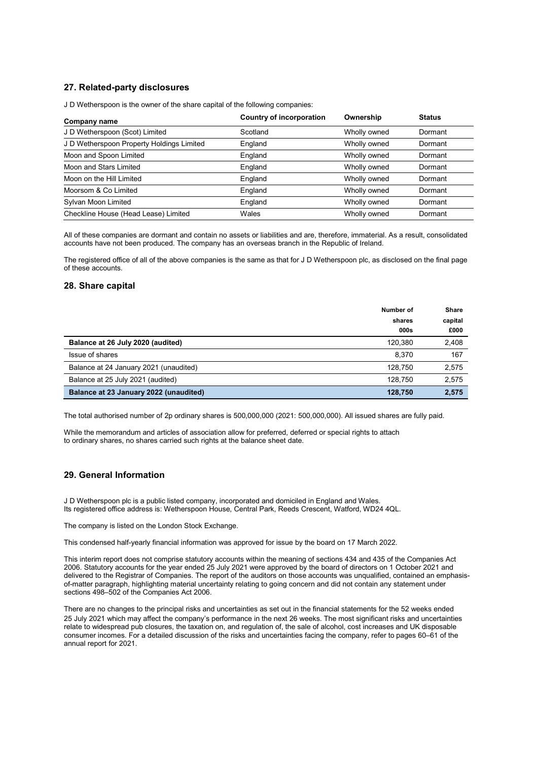### 27. Related-party disclosures

J D Wetherspoon is the owner of the share capital of the following companies:

| Company name                              | Country of incorporation | Ownership    | <b>Status</b> |
|-------------------------------------------|--------------------------|--------------|---------------|
| J D Wetherspoon (Scot) Limited            | Scotland                 | Wholly owned | Dormant       |
| J D Wetherspoon Property Holdings Limited | England                  | Wholly owned | Dormant       |
| Moon and Spoon Limited                    | England                  | Wholly owned | Dormant       |
| Moon and Stars Limited                    | England                  | Wholly owned | Dormant       |
| Moon on the Hill Limited                  | England                  | Wholly owned | Dormant       |
| Moorsom & Co Limited                      | England                  | Wholly owned | Dormant       |
| Sylvan Moon Limited                       | England                  | Wholly owned | Dormant       |
| Checkline House (Head Lease) Limited      | Wales                    | Wholly owned | Dormant       |

All of these companies are dormant and contain no assets or liabilities and are, therefore, immaterial. As a result, consolidated accounts have not been produced. The company has an overseas branch in the Republic of Ireland.

The registered office of all of the above companies is the same as that for J D Wetherspoon plc, as disclosed on the final page of these accounts.

#### 28. Share capital

|                                        | Number of<br>shares<br>000s | <b>Share</b><br>capital<br>£000 |
|----------------------------------------|-----------------------------|---------------------------------|
| Balance at 26 July 2020 (audited)      | 120.380                     | 2,408                           |
| Issue of shares                        | 8.370                       | 167                             |
| Balance at 24 January 2021 (unaudited) | 128.750                     | 2,575                           |
| Balance at 25 July 2021 (audited)      | 128.750                     | 2,575                           |
| Balance at 23 January 2022 (unaudited) | 128,750                     | 2,575                           |

The total authorised number of 2p ordinary shares is 500,000,000 (2021: 500,000,000). All issued shares are fully paid.

While the memorandum and articles of association allow for preferred, deferred or special rights to attach to ordinary shares, no shares carried such rights at the balance sheet date.

#### 29. General Information

J D Wetherspoon plc is a public listed company, incorporated and domiciled in England and Wales. Its registered office address is: Wetherspoon House, Central Park, Reeds Crescent, Watford, WD24 4QL.

The company is listed on the London Stock Exchange.

This condensed half-yearly financial information was approved for issue by the board on 17 March 2022.

This interim report does not comprise statutory accounts within the meaning of sections 434 and 435 of the Companies Act 2006. Statutory accounts for the year ended 25 July 2021 were approved by the board of directors on 1 October 2021 and delivered to the Registrar of Companies. The report of the auditors on those accounts was unqualified, contained an emphasisof-matter paragraph, highlighting material uncertainty relating to going concern and did not contain any statement under sections 498–502 of the Companies Act 2006.

There are no changes to the principal risks and uncertainties as set out in the financial statements for the 52 weeks ended 25 July 2021 which may affect the company's performance in the next 26 weeks. The most significant risks and uncertainties relate to widespread pub closures, the taxation on, and regulation of, the sale of alcohol, cost increases and UK disposable consumer incomes. For a detailed discussion of the risks and uncertainties facing the company, refer to pages 60–61 of the annual report for 2021.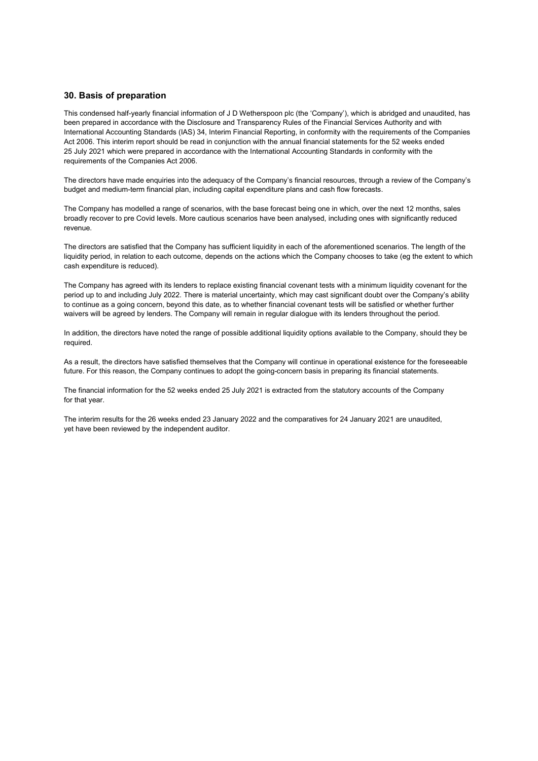#### 30. Basis of preparation

This condensed half-yearly financial information of J D Wetherspoon plc (the 'Company'), which is abridged and unaudited, has been prepared in accordance with the Disclosure and Transparency Rules of the Financial Services Authority and with International Accounting Standards (IAS) 34, Interim Financial Reporting, in conformity with the requirements of the Companies Act 2006. This interim report should be read in conjunction with the annual financial statements for the 52 weeks ended 25 July 2021 which were prepared in accordance with the International Accounting Standards in conformity with the requirements of the Companies Act 2006.

The directors have made enquiries into the adequacy of the Company's financial resources, through a review of the Company's budget and medium-term financial plan, including capital expenditure plans and cash flow forecasts.

The Company has modelled a range of scenarios, with the base forecast being one in which, over the next 12 months, sales broadly recover to pre Covid levels. More cautious scenarios have been analysed, including ones with significantly reduced revenue.

The directors are satisfied that the Company has sufficient liquidity in each of the aforementioned scenarios. The length of the liquidity period, in relation to each outcome, depends on the actions which the Company chooses to take (eg the extent to which cash expenditure is reduced).

The Company has agreed with its lenders to replace existing financial covenant tests with a minimum liquidity covenant for the period up to and including July 2022. There is material uncertainty, which may cast significant doubt over the Company's ability to continue as a going concern, beyond this date, as to whether financial covenant tests will be satisfied or whether further waivers will be agreed by lenders. The Company will remain in regular dialogue with its lenders throughout the period.

In addition, the directors have noted the range of possible additional liquidity options available to the Company, should they be required.

As a result, the directors have satisfied themselves that the Company will continue in operational existence for the foreseeable future. For this reason, the Company continues to adopt the going-concern basis in preparing its financial statements.

The financial information for the 52 weeks ended 25 July 2021 is extracted from the statutory accounts of the Company for that year.

The interim results for the 26 weeks ended 23 January 2022 and the comparatives for 24 January 2021 are unaudited, yet have been reviewed by the independent auditor.